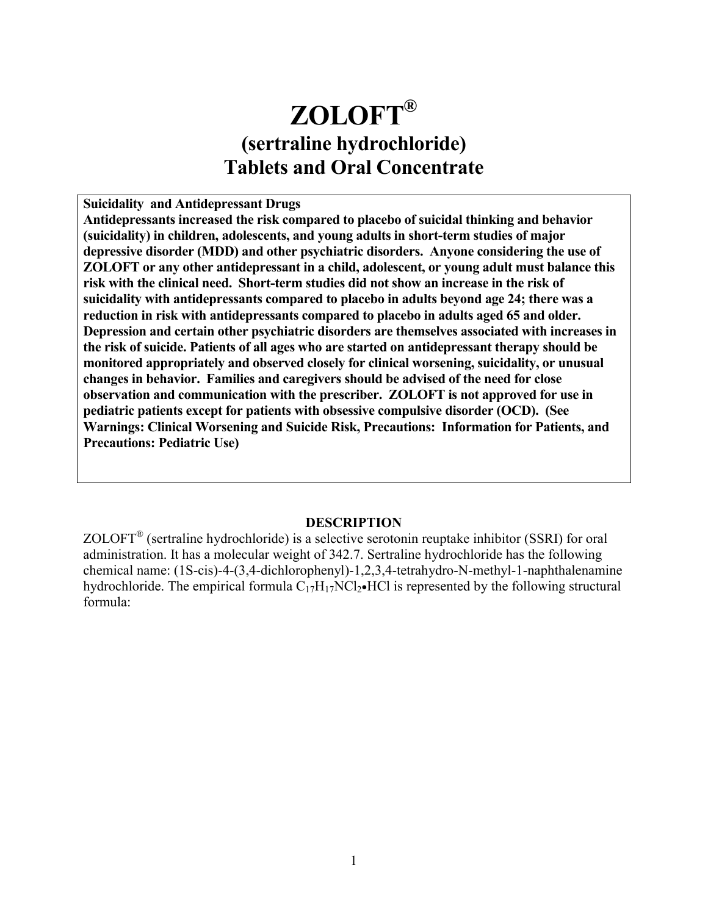# **ZOLOFT® (sertraline hydrochloride) Tablets and Oral Concentrate**

#### **Suicidality and Antidepressant Drugs**

**Antidepressants increased the risk compared to placebo of suicidal thinking and behavior (suicidality) in children, adolescents, and young adults in short-term studies of major depressive disorder (MDD) and other psychiatric disorders. Anyone considering the use of ZOLOFT or any other antidepressant in a child, adolescent, or young adult must balance this risk with the clinical need. Short-term studies did not show an increase in the risk of suicidality with antidepressants compared to placebo in adults beyond age 24; there was a reduction in risk with antidepressants compared to placebo in adults aged 65 and older. Depression and certain other psychiatric disorders are themselves associated with increases in the risk of suicide. Patients of all ages who are started on antidepressant therapy should be monitored appropriately and observed closely for clinical worsening, suicidality, or unusual changes in behavior. Families and caregivers should be advised of the need for close observation and communication with the prescriber. ZOLOFT is not approved for use in pediatric patients except for patients with obsessive compulsive disorder (OCD). (See Warnings: Clinical Worsening and Suicide Risk, Precautions: Information for Patients, and Precautions: Pediatric Use)**

## **DESCRIPTION**

 $ZOLOFT^{\circledast}$  (sertraline hydrochloride) is a selective serotonin reuptake inhibitor (SSRI) for oral administration. It has a molecular weight of 342.7. Sertraline hydrochloride has the following chemical name: (1S-cis)-4-(3,4-dichlorophenyl)-1,2,3,4-tetrahydro-N-methyl-1-naphthalenamine hydrochloride. The empirical formula  $C_{17}H_{17}NCl_{2}$  HCl is represented by the following structural formula: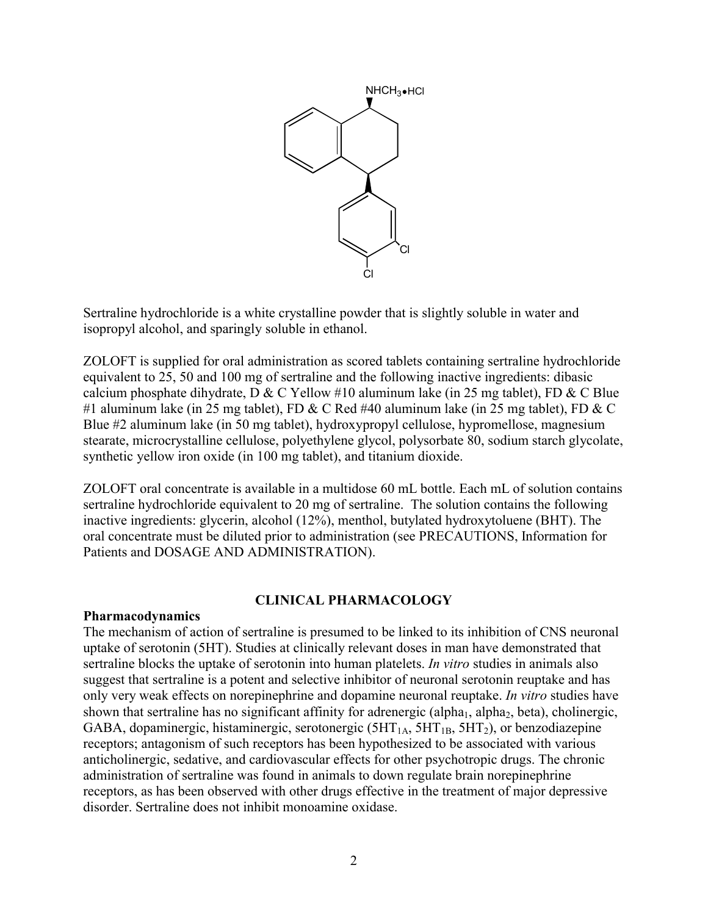

Sertraline hydrochloride is a white crystalline powder that is slightly soluble in water and isopropyl alcohol, and sparingly soluble in ethanol.

ZOLOFT is supplied for oral administration as scored tablets containing sertraline hydrochloride equivalent to 25, 50 and 100 mg of sertraline and the following inactive ingredients: dibasic calcium phosphate dihydrate, D & C Yellow #10 aluminum lake (in 25 mg tablet), FD & C Blue #1 aluminum lake (in 25 mg tablet), FD & C Red #40 aluminum lake (in 25 mg tablet), FD & C Blue #2 aluminum lake (in 50 mg tablet), hydroxypropyl cellulose, hypromellose, magnesium stearate, microcrystalline cellulose, polyethylene glycol, polysorbate 80, sodium starch glycolate, synthetic yellow iron oxide (in 100 mg tablet), and titanium dioxide.

ZOLOFT oral concentrate is available in a multidose 60 mL bottle. Each mL of solution contains sertraline hydrochloride equivalent to 20 mg of sertraline. The solution contains the following inactive ingredients: glycerin, alcohol (12%), menthol, butylated hydroxytoluene (BHT). The oral concentrate must be diluted prior to administration (see PRECAUTIONS, Information for Patients and DOSAGE AND ADMINISTRATION).

## **CLINICAL PHARMACOLOGY**

## **Pharmacodynamics**

The mechanism of action of sertraline is presumed to be linked to its inhibition of CNS neuronal uptake of serotonin (5HT). Studies at clinically relevant doses in man have demonstrated that sertraline blocks the uptake of serotonin into human platelets. *In vitro* studies in animals also suggest that sertraline is a potent and selective inhibitor of neuronal serotonin reuptake and has only very weak effects on norepinephrine and dopamine neuronal reuptake. *In vitro* studies have shown that sertraline has no significant affinity for adrenergic (alpha<sub>1</sub>, alpha<sub>2</sub>, beta), cholinergic, GABA, dopaminergic, histaminergic, serotonergic ( $5HT<sub>1A</sub>$ ,  $5HT<sub>1B</sub>$ ,  $5HT<sub>2</sub>$ ), or benzodiazepine receptors; antagonism of such receptors has been hypothesized to be associated with various anticholinergic, sedative, and cardiovascular effects for other psychotropic drugs. The chronic administration of sertraline was found in animals to down regulate brain norepinephrine receptors, as has been observed with other drugs effective in the treatment of major depressive disorder. Sertraline does not inhibit monoamine oxidase.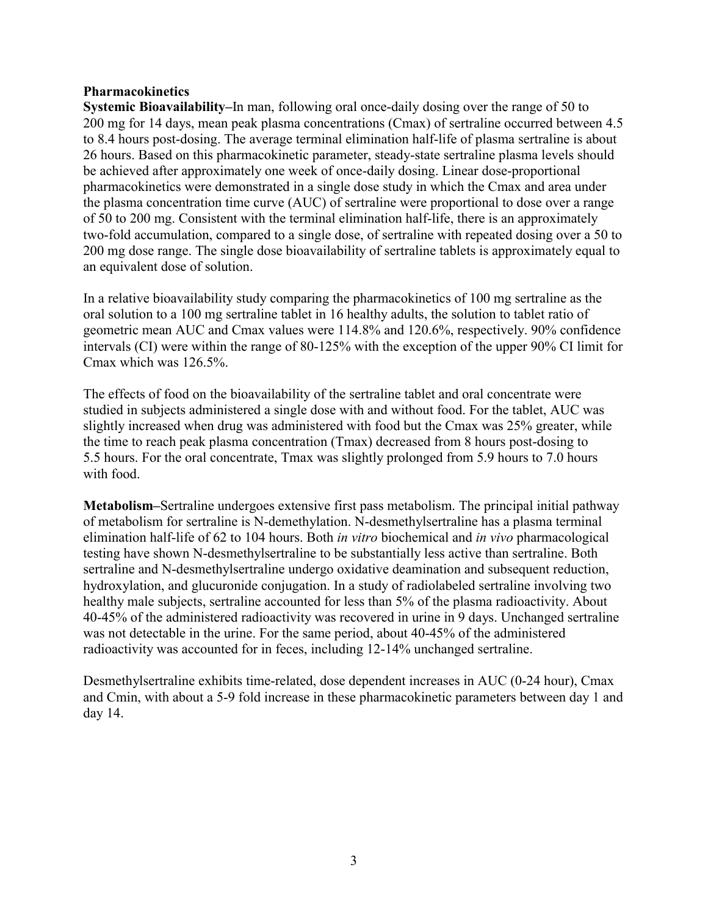## **Pharmacokinetics**

**Systemic Bioavailability–**In man, following oral once-daily dosing over the range of 50 to 200 mg for 14 days, mean peak plasma concentrations (Cmax) of sertraline occurred between 4.5 to 8.4 hours post-dosing. The average terminal elimination half-life of plasma sertraline is about 26 hours. Based on this pharmacokinetic parameter, steady-state sertraline plasma levels should be achieved after approximately one week of once-daily dosing. Linear dose-proportional pharmacokinetics were demonstrated in a single dose study in which the Cmax and area under the plasma concentration time curve (AUC) of sertraline were proportional to dose over a range of 50 to 200 mg. Consistent with the terminal elimination half-life, there is an approximately two-fold accumulation, compared to a single dose, of sertraline with repeated dosing over a 50 to 200 mg dose range. The single dose bioavailability of sertraline tablets is approximately equal to an equivalent dose of solution.

In a relative bioavailability study comparing the pharmacokinetics of 100 mg sertraline as the oral solution to a 100 mg sertraline tablet in 16 healthy adults, the solution to tablet ratio of geometric mean AUC and Cmax values were 114.8% and 120.6%, respectively. 90% confidence intervals (CI) were within the range of 80-125% with the exception of the upper 90% CI limit for Cmax which was 126.5%.

The effects of food on the bioavailability of the sertraline tablet and oral concentrate were studied in subjects administered a single dose with and without food. For the tablet, AUC was slightly increased when drug was administered with food but the Cmax was 25% greater, while the time to reach peak plasma concentration (Tmax) decreased from 8 hours post-dosing to 5.5 hours. For the oral concentrate, Tmax was slightly prolonged from 5.9 hours to 7.0 hours with food.

**Metabolism–**Sertraline undergoes extensive first pass metabolism. The principal initial pathway of metabolism for sertraline is N-demethylation. N-desmethylsertraline has a plasma terminal elimination half-life of 62 to 104 hours. Both *in vitro* biochemical and *in vivo* pharmacological testing have shown N-desmethylsertraline to be substantially less active than sertraline. Both sertraline and N-desmethylsertraline undergo oxidative deamination and subsequent reduction, hydroxylation, and glucuronide conjugation. In a study of radiolabeled sertraline involving two healthy male subjects, sertraline accounted for less than 5% of the plasma radioactivity. About 40-45% of the administered radioactivity was recovered in urine in 9 days. Unchanged sertraline was not detectable in the urine. For the same period, about 40-45% of the administered radioactivity was accounted for in feces, including 12-14% unchanged sertraline.

Desmethylsertraline exhibits time-related, dose dependent increases in AUC (0-24 hour), Cmax and Cmin, with about a 5-9 fold increase in these pharmacokinetic parameters between day 1 and day 14.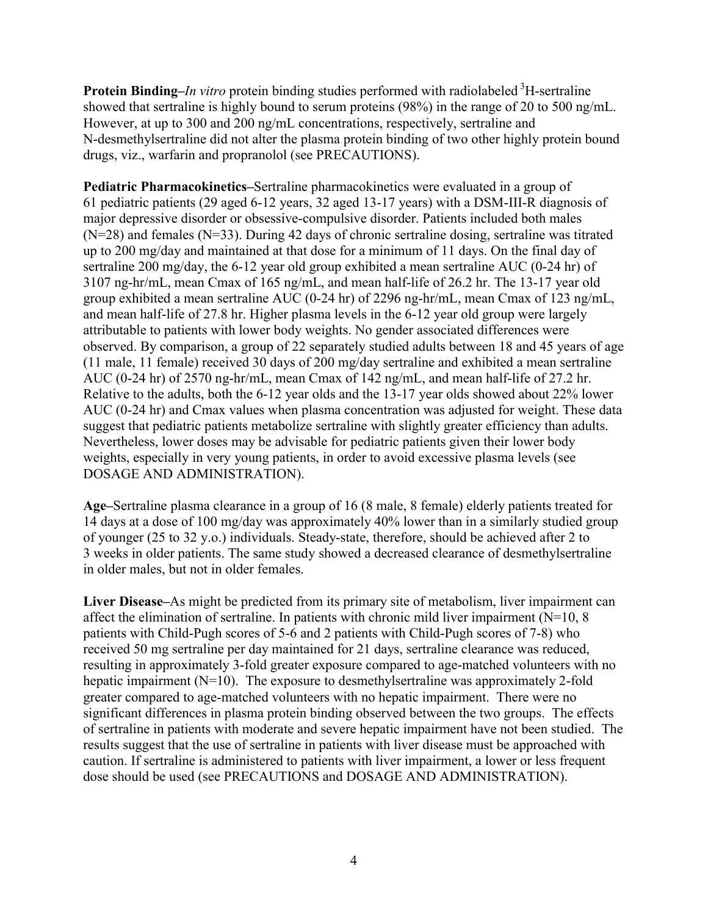**Protein Binding–***In vitro* protein binding studies performed with radiolabeled <sup>3</sup>H-sertraline showed that sertraline is highly bound to serum proteins (98%) in the range of 20 to 500 ng/mL. However, at up to 300 and 200 ng/mL concentrations, respectively, sertraline and N-desmethylsertraline did not alter the plasma protein binding of two other highly protein bound drugs, viz., warfarin and propranolol (see PRECAUTIONS).

**Pediatric Pharmacokinetics–**Sertraline pharmacokinetics were evaluated in a group of 61 pediatric patients (29 aged 6-12 years, 32 aged 13-17 years) with a DSM-III-R diagnosis of major depressive disorder or obsessive-compulsive disorder. Patients included both males (N=28) and females (N=33). During 42 days of chronic sertraline dosing, sertraline was titrated up to 200 mg/day and maintained at that dose for a minimum of 11 days. On the final day of sertraline 200 mg/day, the 6-12 year old group exhibited a mean sertraline AUC (0-24 hr) of 3107 ng-hr/mL, mean Cmax of 165 ng/mL, and mean half-life of 26.2 hr. The 13-17 year old group exhibited a mean sertraline AUC (0-24 hr) of 2296 ng-hr/mL, mean Cmax of 123 ng/mL, and mean half-life of 27.8 hr. Higher plasma levels in the 6-12 year old group were largely attributable to patients with lower body weights. No gender associated differences were observed. By comparison, a group of 22 separately studied adults between 18 and 45 years of age (11 male, 11 female) received 30 days of 200 mg/day sertraline and exhibited a mean sertraline AUC (0-24 hr) of 2570 ng-hr/mL, mean Cmax of 142 ng/mL, and mean half-life of 27.2 hr. Relative to the adults, both the 6-12 year olds and the 13-17 year olds showed about 22% lower AUC (0-24 hr) and Cmax values when plasma concentration was adjusted for weight. These data suggest that pediatric patients metabolize sertraline with slightly greater efficiency than adults. Nevertheless, lower doses may be advisable for pediatric patients given their lower body weights, especially in very young patients, in order to avoid excessive plasma levels (see DOSAGE AND ADMINISTRATION).

**Age–**Sertraline plasma clearance in a group of 16 (8 male, 8 female) elderly patients treated for 14 days at a dose of 100 mg/day was approximately 40% lower than in a similarly studied group of younger (25 to 32 y.o.) individuals. Steady-state, therefore, should be achieved after 2 to 3 weeks in older patients. The same study showed a decreased clearance of desmethylsertraline in older males, but not in older females.

**Liver Disease–**As might be predicted from its primary site of metabolism, liver impairment can affect the elimination of sertraline. In patients with chronic mild liver impairment  $(N=10, 8)$ patients with Child-Pugh scores of 5-6 and 2 patients with Child-Pugh scores of 7-8) who received 50 mg sertraline per day maintained for 21 days, sertraline clearance was reduced, resulting in approximately 3-fold greater exposure compared to age-matched volunteers with no hepatic impairment (N=10). The exposure to desmethylsertraline was approximately 2-fold greater compared to age-matched volunteers with no hepatic impairment. There were no significant differences in plasma protein binding observed between the two groups. The effects of sertraline in patients with moderate and severe hepatic impairment have not been studied. The results suggest that the use of sertraline in patients with liver disease must be approached with caution. If sertraline is administered to patients with liver impairment, a lower or less frequent dose should be used (see PRECAUTIONS and DOSAGE AND ADMINISTRATION).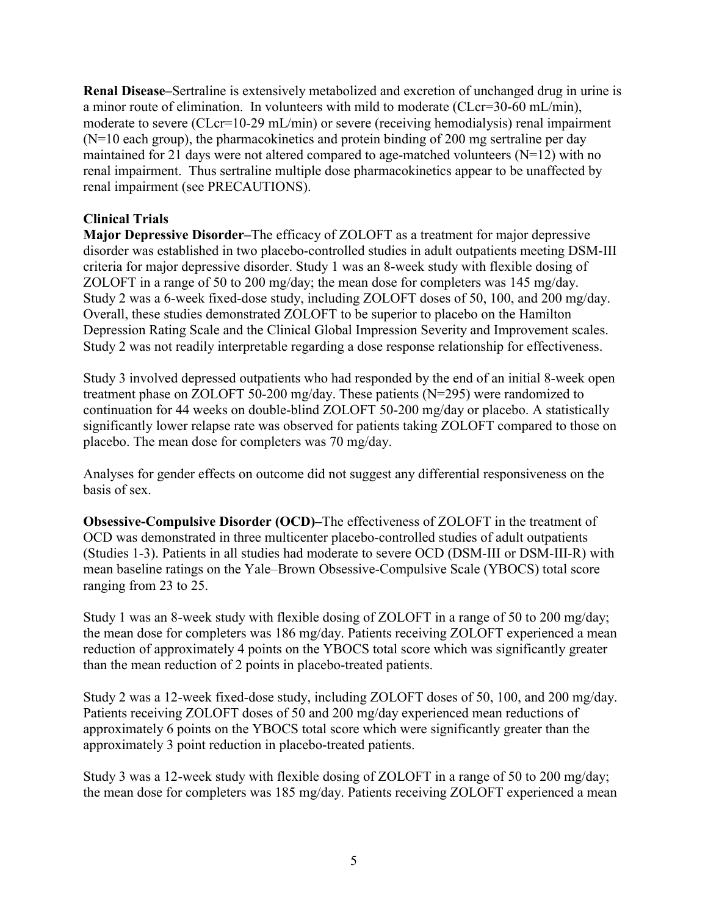**Renal Disease–**Sertraline is extensively metabolized and excretion of unchanged drug in urine is a minor route of elimination. In volunteers with mild to moderate (CLcr=30-60 mL/min), moderate to severe (CLcr=10-29 mL/min) or severe (receiving hemodialysis) renal impairment (N=10 each group), the pharmacokinetics and protein binding of 200 mg sertraline per day maintained for 21 days were not altered compared to age-matched volunteers (N=12) with no renal impairment. Thus sertraline multiple dose pharmacokinetics appear to be unaffected by renal impairment (see PRECAUTIONS).

# **Clinical Trials**

**Major Depressive Disorder–**The efficacy of ZOLOFT as a treatment for major depressive disorder was established in two placebo-controlled studies in adult outpatients meeting DSM-III criteria for major depressive disorder. Study 1 was an 8-week study with flexible dosing of ZOLOFT in a range of 50 to 200 mg/day; the mean dose for completers was 145 mg/day. Study 2 was a 6-week fixed-dose study, including ZOLOFT doses of 50, 100, and 200 mg/day. Overall, these studies demonstrated ZOLOFT to be superior to placebo on the Hamilton Depression Rating Scale and the Clinical Global Impression Severity and Improvement scales. Study 2 was not readily interpretable regarding a dose response relationship for effectiveness.

Study 3 involved depressed outpatients who had responded by the end of an initial 8-week open treatment phase on ZOLOFT 50-200 mg/day. These patients (N=295) were randomized to continuation for 44 weeks on double-blind ZOLOFT 50-200 mg/day or placebo. A statistically significantly lower relapse rate was observed for patients taking ZOLOFT compared to those on placebo. The mean dose for completers was 70 mg/day.

Analyses for gender effects on outcome did not suggest any differential responsiveness on the basis of sex.

**Obsessive-Compulsive Disorder (OCD)–**The effectiveness of ZOLOFT in the treatment of OCD was demonstrated in three multicenter placebo-controlled studies of adult outpatients (Studies 1-3). Patients in all studies had moderate to severe OCD (DSM-III or DSM-III-R) with mean baseline ratings on the Yale–Brown Obsessive-Compulsive Scale (YBOCS) total score ranging from 23 to 25.

Study 1 was an 8-week study with flexible dosing of ZOLOFT in a range of 50 to 200 mg/day; the mean dose for completers was 186 mg/day. Patients receiving ZOLOFT experienced a mean reduction of approximately 4 points on the YBOCS total score which was significantly greater than the mean reduction of 2 points in placebo-treated patients.

Study 2 was a 12-week fixed-dose study, including ZOLOFT doses of 50, 100, and 200 mg/day. Patients receiving ZOLOFT doses of 50 and 200 mg/day experienced mean reductions of approximately 6 points on the YBOCS total score which were significantly greater than the approximately 3 point reduction in placebo-treated patients.

Study 3 was a 12-week study with flexible dosing of ZOLOFT in a range of 50 to 200 mg/day; the mean dose for completers was 185 mg/day. Patients receiving ZOLOFT experienced a mean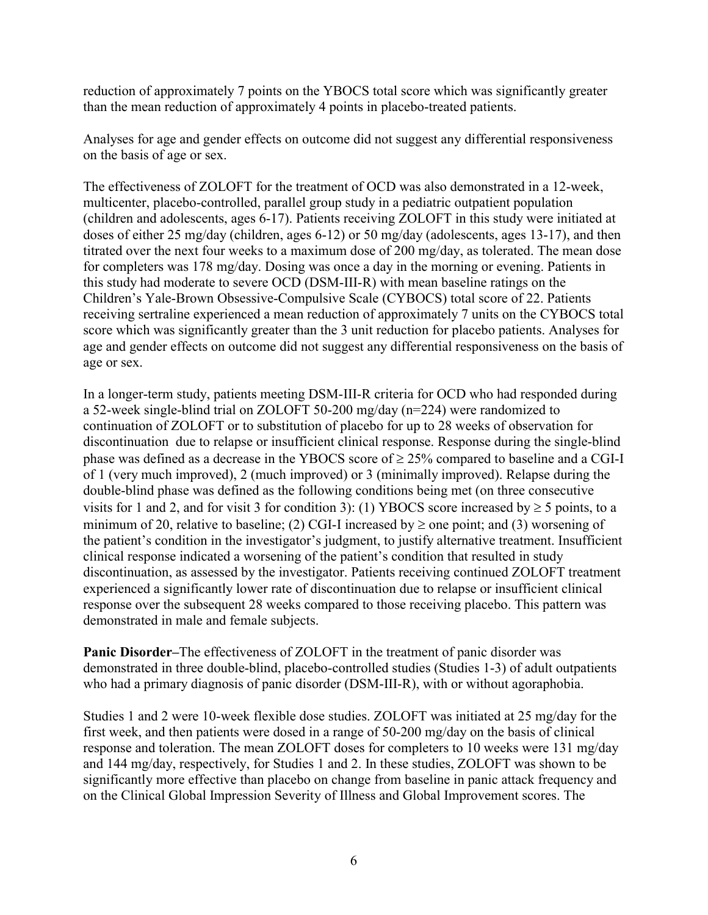reduction of approximately 7 points on the YBOCS total score which was significantly greater than the mean reduction of approximately 4 points in placebo-treated patients.

Analyses for age and gender effects on outcome did not suggest any differential responsiveness on the basis of age or sex.

The effectiveness of ZOLOFT for the treatment of OCD was also demonstrated in a 12-week, multicenter, placebo-controlled, parallel group study in a pediatric outpatient population (children and adolescents, ages 6-17). Patients receiving ZOLOFT in this study were initiated at doses of either 25 mg/day (children, ages 6-12) or 50 mg/day (adolescents, ages 13-17), and then titrated over the next four weeks to a maximum dose of 200 mg/day, as tolerated. The mean dose for completers was 178 mg/day. Dosing was once a day in the morning or evening. Patients in this study had moderate to severe OCD (DSM-III-R) with mean baseline ratings on the Children's Yale-Brown Obsessive-Compulsive Scale (CYBOCS) total score of 22. Patients receiving sertraline experienced a mean reduction of approximately 7 units on the CYBOCS total score which was significantly greater than the 3 unit reduction for placebo patients. Analyses for age and gender effects on outcome did not suggest any differential responsiveness on the basis of age or sex.

In a longer-term study, patients meeting DSM-III-R criteria for OCD who had responded during a 52-week single-blind trial on ZOLOFT 50-200 mg/day (n=224) were randomized to continuation of ZOLOFT or to substitution of placebo for up to 28 weeks of observation for discontinuation due to relapse or insufficient clinical response. Response during the single-blind phase was defined as a decrease in the YBOCS score of  $\geq$  25% compared to baseline and a CGI-I of 1 (very much improved), 2 (much improved) or 3 (minimally improved). Relapse during the double-blind phase was defined as the following conditions being met (on three consecutive visits for 1 and 2, and for visit 3 for condition 3): (1) YBOCS score increased by  $\geq$  5 points, to a minimum of 20, relative to baseline; (2) CGI-I increased by  $\geq$  one point; and (3) worsening of the patient's condition in the investigator's judgment, to justify alternative treatment. Insufficient clinical response indicated a worsening of the patient's condition that resulted in study discontinuation, as assessed by the investigator. Patients receiving continued ZOLOFT treatment experienced a significantly lower rate of discontinuation due to relapse or insufficient clinical response over the subsequent 28 weeks compared to those receiving placebo. This pattern was demonstrated in male and female subjects.

**Panic Disorder–**The effectiveness of ZOLOFT in the treatment of panic disorder was demonstrated in three double-blind, placebo-controlled studies (Studies 1-3) of adult outpatients who had a primary diagnosis of panic disorder (DSM-III-R), with or without agoraphobia.

Studies 1 and 2 were 10-week flexible dose studies. ZOLOFT was initiated at 25 mg/day for the first week, and then patients were dosed in a range of 50-200 mg/day on the basis of clinical response and toleration. The mean ZOLOFT doses for completers to 10 weeks were 131 mg/day and 144 mg/day, respectively, for Studies 1 and 2. In these studies, ZOLOFT was shown to be significantly more effective than placebo on change from baseline in panic attack frequency and on the Clinical Global Impression Severity of Illness and Global Improvement scores. The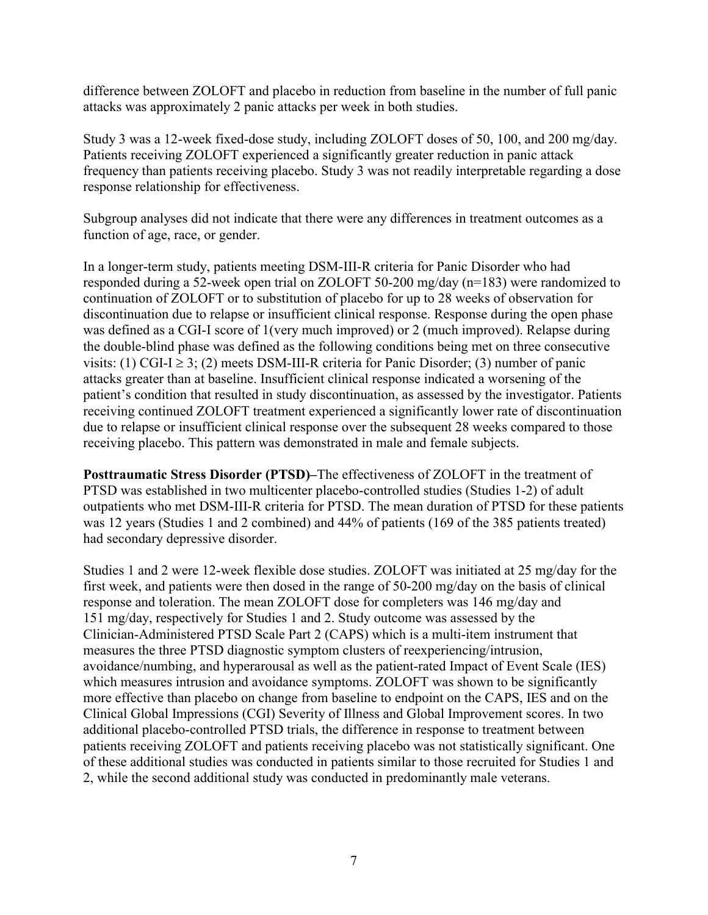difference between ZOLOFT and placebo in reduction from baseline in the number of full panic attacks was approximately 2 panic attacks per week in both studies.

Study 3 was a 12-week fixed-dose study, including ZOLOFT doses of 50, 100, and 200 mg/day. Patients receiving ZOLOFT experienced a significantly greater reduction in panic attack frequency than patients receiving placebo. Study 3 was not readily interpretable regarding a dose response relationship for effectiveness.

Subgroup analyses did not indicate that there were any differences in treatment outcomes as a function of age, race, or gender.

In a longer-term study, patients meeting DSM-III-R criteria for Panic Disorder who had responded during a 52-week open trial on ZOLOFT 50-200 mg/day (n=183) were randomized to continuation of ZOLOFT or to substitution of placebo for up to 28 weeks of observation for discontinuation due to relapse or insufficient clinical response. Response during the open phase was defined as a CGI-I score of 1(very much improved) or 2 (much improved). Relapse during the double-blind phase was defined as the following conditions being met on three consecutive visits: (1) CGI-I  $\geq$  3; (2) meets DSM-III-R criteria for Panic Disorder; (3) number of panic attacks greater than at baseline. Insufficient clinical response indicated a worsening of the patient's condition that resulted in study discontinuation, as assessed by the investigator. Patients receiving continued ZOLOFT treatment experienced a significantly lower rate of discontinuation due to relapse or insufficient clinical response over the subsequent 28 weeks compared to those receiving placebo. This pattern was demonstrated in male and female subjects.

**Posttraumatic Stress Disorder (PTSD)–**The effectiveness of ZOLOFT in the treatment of PTSD was established in two multicenter placebo-controlled studies (Studies 1-2) of adult outpatients who met DSM-III-R criteria for PTSD. The mean duration of PTSD for these patients was 12 years (Studies 1 and 2 combined) and 44% of patients (169 of the 385 patients treated) had secondary depressive disorder.

Studies 1 and 2 were 12-week flexible dose studies. ZOLOFT was initiated at 25 mg/day for the first week, and patients were then dosed in the range of 50-200 mg/day on the basis of clinical response and toleration. The mean ZOLOFT dose for completers was 146 mg/day and 151 mg/day, respectively for Studies 1 and 2. Study outcome was assessed by the Clinician-Administered PTSD Scale Part 2 (CAPS) which is a multi-item instrument that measures the three PTSD diagnostic symptom clusters of reexperiencing/intrusion, avoidance/numbing, and hyperarousal as well as the patient-rated Impact of Event Scale (IES) which measures intrusion and avoidance symptoms. ZOLOFT was shown to be significantly more effective than placebo on change from baseline to endpoint on the CAPS, IES and on the Clinical Global Impressions (CGI) Severity of Illness and Global Improvement scores. In two additional placebo-controlled PTSD trials, the difference in response to treatment between patients receiving ZOLOFT and patients receiving placebo was not statistically significant. One of these additional studies was conducted in patients similar to those recruited for Studies 1 and 2, while the second additional study was conducted in predominantly male veterans.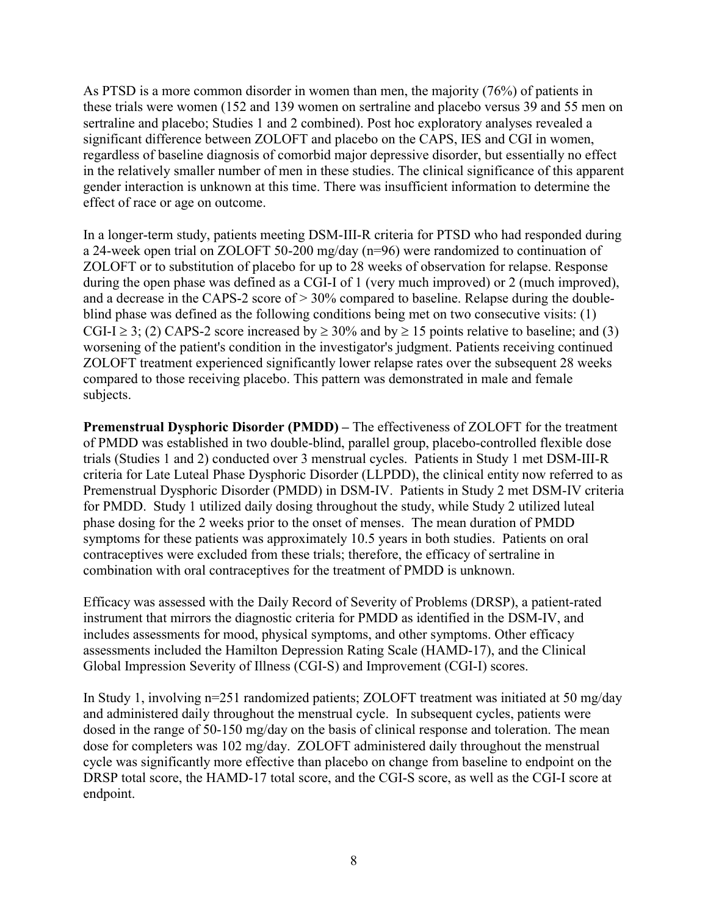As PTSD is a more common disorder in women than men, the majority (76%) of patients in these trials were women (152 and 139 women on sertraline and placebo versus 39 and 55 men on sertraline and placebo; Studies 1 and 2 combined). Post hoc exploratory analyses revealed a significant difference between ZOLOFT and placebo on the CAPS, IES and CGI in women, regardless of baseline diagnosis of comorbid major depressive disorder, but essentially no effect in the relatively smaller number of men in these studies. The clinical significance of this apparent gender interaction is unknown at this time. There was insufficient information to determine the effect of race or age on outcome.

In a longer-term study, patients meeting DSM-III-R criteria for PTSD who had responded during a 24-week open trial on ZOLOFT 50-200 mg/day (n=96) were randomized to continuation of ZOLOFT or to substitution of placebo for up to 28 weeks of observation for relapse. Response during the open phase was defined as a CGI-I of 1 (very much improved) or 2 (much improved), and a decrease in the CAPS-2 score of > 30% compared to baseline. Relapse during the doubleblind phase was defined as the following conditions being met on two consecutive visits: (1) CGI-I  $\geq$  3; (2) CAPS-2 score increased by  $\geq$  30% and by  $\geq$  15 points relative to baseline; and (3) worsening of the patient's condition in the investigator's judgment. Patients receiving continued ZOLOFT treatment experienced significantly lower relapse rates over the subsequent 28 weeks compared to those receiving placebo. This pattern was demonstrated in male and female subjects.

**Premenstrual Dysphoric Disorder (PMDD)** – The effectiveness of ZOLOFT for the treatment of PMDD was established in two double-blind, parallel group, placebo-controlled flexible dose trials (Studies 1 and 2) conducted over 3 menstrual cycles. Patients in Study 1 met DSM-III-R criteria for Late Luteal Phase Dysphoric Disorder (LLPDD), the clinical entity now referred to as Premenstrual Dysphoric Disorder (PMDD) in DSM-IV. Patients in Study 2 met DSM-IV criteria for PMDD. Study 1 utilized daily dosing throughout the study, while Study 2 utilized luteal phase dosing for the 2 weeks prior to the onset of menses. The mean duration of PMDD symptoms for these patients was approximately 10.5 years in both studies. Patients on oral contraceptives were excluded from these trials; therefore, the efficacy of sertraline in combination with oral contraceptives for the treatment of PMDD is unknown.

Efficacy was assessed with the Daily Record of Severity of Problems (DRSP), a patient-rated instrument that mirrors the diagnostic criteria for PMDD as identified in the DSM-IV, and includes assessments for mood, physical symptoms, and other symptoms. Other efficacy assessments included the Hamilton Depression Rating Scale (HAMD-17), and the Clinical Global Impression Severity of Illness (CGI-S) and Improvement (CGI-I) scores.

In Study 1, involving n=251 randomized patients; ZOLOFT treatment was initiated at 50 mg/day and administered daily throughout the menstrual cycle. In subsequent cycles, patients were dosed in the range of 50-150 mg/day on the basis of clinical response and toleration. The mean dose for completers was 102 mg/day. ZOLOFT administered daily throughout the menstrual cycle was significantly more effective than placebo on change from baseline to endpoint on the DRSP total score, the HAMD-17 total score, and the CGI-S score, as well as the CGI-I score at endpoint.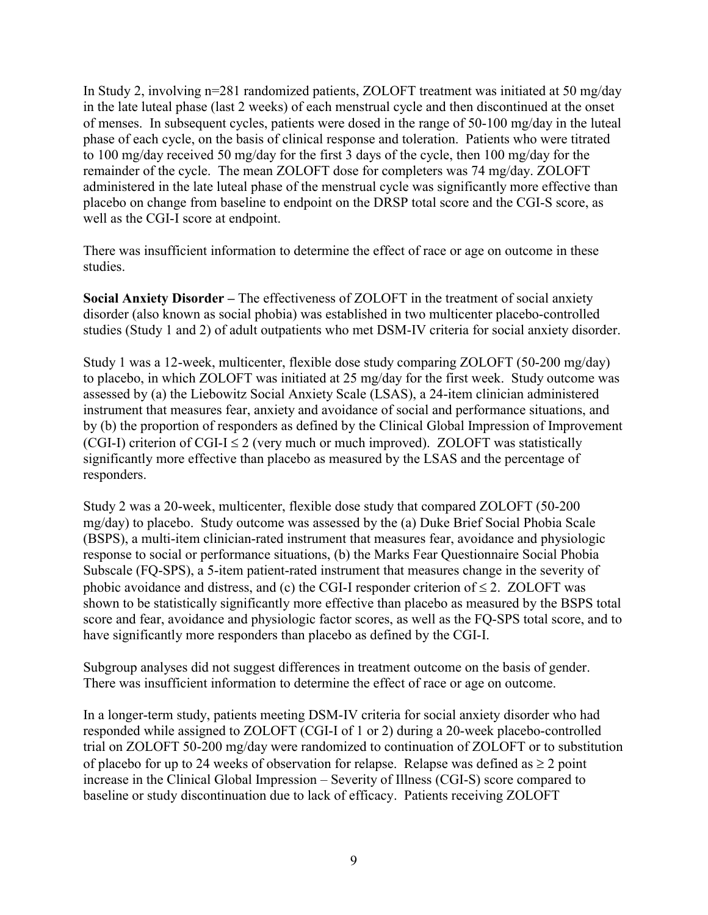In Study 2, involving n=281 randomized patients, ZOLOFT treatment was initiated at 50 mg/day in the late luteal phase (last 2 weeks) of each menstrual cycle and then discontinued at the onset of menses. In subsequent cycles, patients were dosed in the range of 50-100 mg/day in the luteal phase of each cycle, on the basis of clinical response and toleration. Patients who were titrated to 100 mg/day received 50 mg/day for the first 3 days of the cycle, then 100 mg/day for the remainder of the cycle. The mean ZOLOFT dose for completers was 74 mg/day. ZOLOFT administered in the late luteal phase of the menstrual cycle was significantly more effective than placebo on change from baseline to endpoint on the DRSP total score and the CGI-S score, as well as the CGI-I score at endpoint.

There was insufficient information to determine the effect of race or age on outcome in these studies.

**Social Anxiety Disorder –** The effectiveness of ZOLOFT in the treatment of social anxiety disorder (also known as social phobia) was established in two multicenter placebo-controlled studies (Study 1 and 2) of adult outpatients who met DSM-IV criteria for social anxiety disorder.

Study 1 was a 12-week, multicenter, flexible dose study comparing ZOLOFT (50-200 mg/day) to placebo, in which ZOLOFT was initiated at 25 mg/day for the first week. Study outcome was assessed by (a) the Liebowitz Social Anxiety Scale (LSAS), a 24-item clinician administered instrument that measures fear, anxiety and avoidance of social and performance situations, and by (b) the proportion of responders as defined by the Clinical Global Impression of Improvement (CGI-I) criterion of CGI-I  $\leq$  2 (very much or much improved). ZOLOFT was statistically significantly more effective than placebo as measured by the LSAS and the percentage of responders.

Study 2 was a 20-week, multicenter, flexible dose study that compared ZOLOFT (50-200 mg/day) to placebo. Study outcome was assessed by the (a) Duke Brief Social Phobia Scale (BSPS), a multi-item clinician-rated instrument that measures fear, avoidance and physiologic response to social or performance situations, (b) the Marks Fear Questionnaire Social Phobia Subscale (FQ-SPS), a 5-item patient-rated instrument that measures change in the severity of phobic avoidance and distress, and (c) the CGI-I responder criterion of  $\leq$  2. ZOLOFT was shown to be statistically significantly more effective than placebo as measured by the BSPS total score and fear, avoidance and physiologic factor scores, as well as the FQ-SPS total score, and to have significantly more responders than placebo as defined by the CGI-I.

Subgroup analyses did not suggest differences in treatment outcome on the basis of gender. There was insufficient information to determine the effect of race or age on outcome.

In a longer-term study, patients meeting DSM-IV criteria for social anxiety disorder who had responded while assigned to ZOLOFT (CGI-I of 1 or 2) during a 20-week placebo-controlled trial on ZOLOFT 50-200 mg/day were randomized to continuation of ZOLOFT or to substitution of placebo for up to 24 weeks of observation for relapse. Relapse was defined as  $\geq 2$  point increase in the Clinical Global Impression – Severity of Illness (CGI-S) score compared to baseline or study discontinuation due to lack of efficacy. Patients receiving ZOLOFT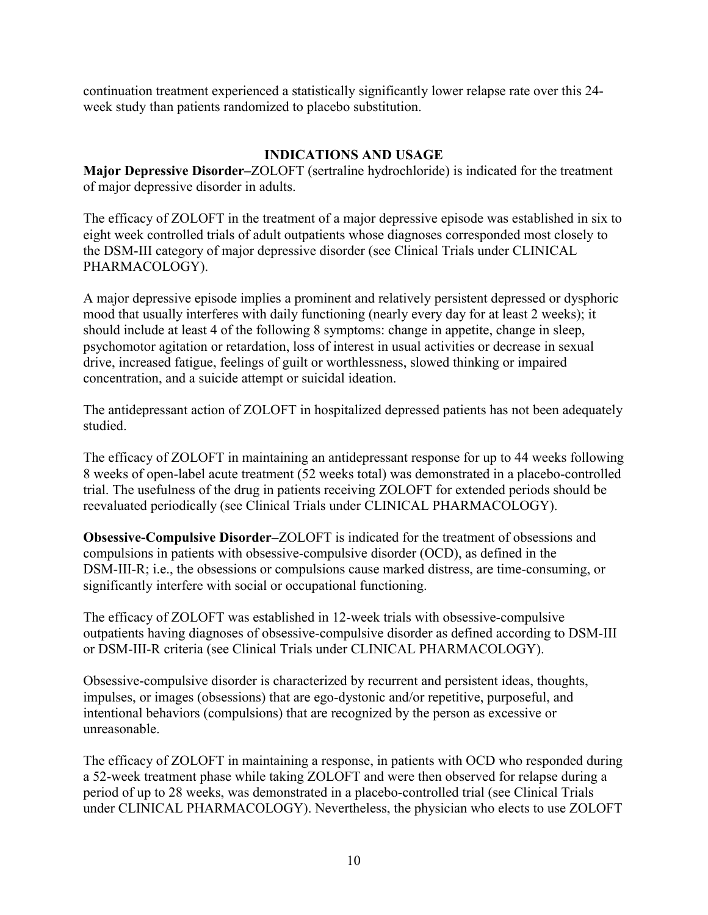continuation treatment experienced a statistically significantly lower relapse rate over this 24 week study than patients randomized to placebo substitution.

# **INDICATIONS AND USAGE**

**Major Depressive Disorder–**ZOLOFT (sertraline hydrochloride) is indicated for the treatment of major depressive disorder in adults.

The efficacy of ZOLOFT in the treatment of a major depressive episode was established in six to eight week controlled trials of adult outpatients whose diagnoses corresponded most closely to the DSM-III category of major depressive disorder (see Clinical Trials under CLINICAL PHARMACOLOGY).

A major depressive episode implies a prominent and relatively persistent depressed or dysphoric mood that usually interferes with daily functioning (nearly every day for at least 2 weeks); it should include at least 4 of the following 8 symptoms: change in appetite, change in sleep, psychomotor agitation or retardation, loss of interest in usual activities or decrease in sexual drive, increased fatigue, feelings of guilt or worthlessness, slowed thinking or impaired concentration, and a suicide attempt or suicidal ideation.

The antidepressant action of ZOLOFT in hospitalized depressed patients has not been adequately studied.

The efficacy of ZOLOFT in maintaining an antidepressant response for up to 44 weeks following 8 weeks of open-label acute treatment (52 weeks total) was demonstrated in a placebo-controlled trial. The usefulness of the drug in patients receiving ZOLOFT for extended periods should be reevaluated periodically (see Clinical Trials under CLINICAL PHARMACOLOGY).

**Obsessive-Compulsive Disorder–**ZOLOFT is indicated for the treatment of obsessions and compulsions in patients with obsessive-compulsive disorder (OCD), as defined in the DSM-III-R; i.e., the obsessions or compulsions cause marked distress, are time-consuming, or significantly interfere with social or occupational functioning.

The efficacy of ZOLOFT was established in 12-week trials with obsessive-compulsive outpatients having diagnoses of obsessive-compulsive disorder as defined according to DSM-III or DSM-III-R criteria (see Clinical Trials under CLINICAL PHARMACOLOGY).

Obsessive-compulsive disorder is characterized by recurrent and persistent ideas, thoughts, impulses, or images (obsessions) that are ego-dystonic and/or repetitive, purposeful, and intentional behaviors (compulsions) that are recognized by the person as excessive or unreasonable.

The efficacy of ZOLOFT in maintaining a response, in patients with OCD who responded during a 52-week treatment phase while taking ZOLOFT and were then observed for relapse during a period of up to 28 weeks, was demonstrated in a placebo-controlled trial (see Clinical Trials under CLINICAL PHARMACOLOGY). Nevertheless, the physician who elects to use ZOLOFT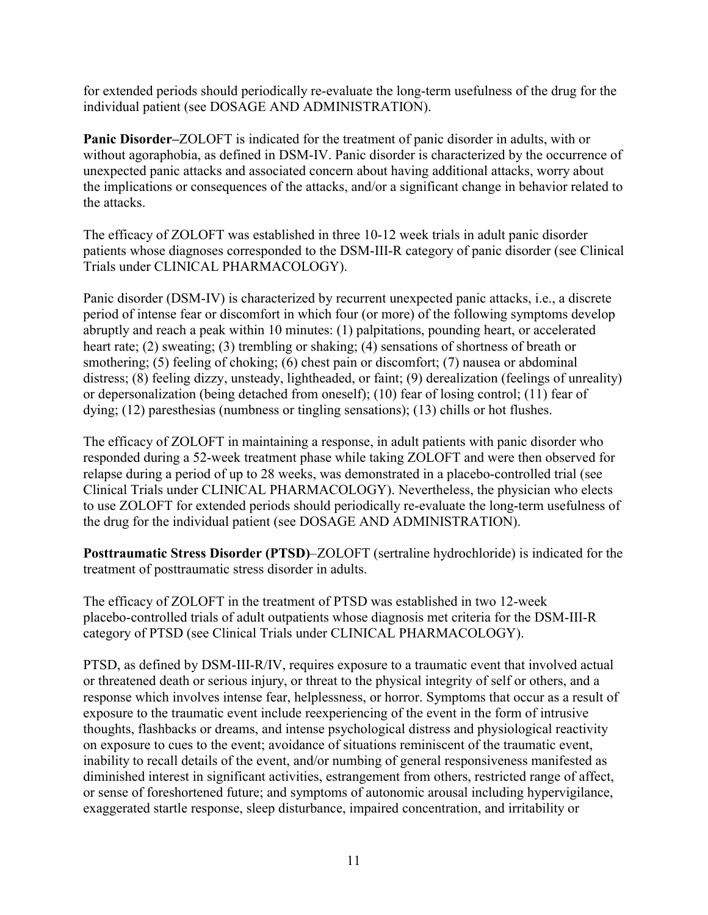for extended periods should periodically re-evaluate the long-term usefulness of the drug for the individual patient (see DOSAGE AND ADMINISTRATION).

**Panic Disorder–**ZOLOFT is indicated for the treatment of panic disorder in adults, with or without agoraphobia, as defined in DSM-IV. Panic disorder is characterized by the occurrence of unexpected panic attacks and associated concern about having additional attacks, worry about the implications or consequences of the attacks, and/or a significant change in behavior related to the attacks.

The efficacy of ZOLOFT was established in three 10-12 week trials in adult panic disorder patients whose diagnoses corresponded to the DSM-III-R category of panic disorder (see Clinical Trials under CLINICAL PHARMACOLOGY).

Panic disorder (DSM-IV) is characterized by recurrent unexpected panic attacks, i.e., a discrete period of intense fear or discomfort in which four (or more) of the following symptoms develop abruptly and reach a peak within 10 minutes: (1) palpitations, pounding heart, or accelerated heart rate; (2) sweating; (3) trembling or shaking; (4) sensations of shortness of breath or smothering; (5) feeling of choking; (6) chest pain or discomfort; (7) nausea or abdominal distress; (8) feeling dizzy, unsteady, lightheaded, or faint; (9) derealization (feelings of unreality) or depersonalization (being detached from oneself); (10) fear of losing control; (11) fear of dying; (12) paresthesias (numbness or tingling sensations); (13) chills or hot flushes.

The efficacy of ZOLOFT in maintaining a response, in adult patients with panic disorder who responded during a 52-week treatment phase while taking ZOLOFT and were then observed for relapse during a period of up to 28 weeks, was demonstrated in a placebo-controlled trial (see Clinical Trials under CLINICAL PHARMACOLOGY). Nevertheless, the physician who elects to use ZOLOFT for extended periods should periodically re-evaluate the long-term usefulness of the drug for the individual patient (see DOSAGE AND ADMINISTRATION).

**Posttraumatic Stress Disorder (PTSD)**–ZOLOFT (sertraline hydrochloride) is indicated for the treatment of posttraumatic stress disorder in adults.

The efficacy of ZOLOFT in the treatment of PTSD was established in two 12-week placebo-controlled trials of adult outpatients whose diagnosis met criteria for the DSM-III-R category of PTSD (see Clinical Trials under CLINICAL PHARMACOLOGY).

PTSD, as defined by DSM-III-R/IV, requires exposure to a traumatic event that involved actual or threatened death or serious injury, or threat to the physical integrity of self or others, and a response which involves intense fear, helplessness, or horror. Symptoms that occur as a result of exposure to the traumatic event include reexperiencing of the event in the form of intrusive thoughts, flashbacks or dreams, and intense psychological distress and physiological reactivity on exposure to cues to the event; avoidance of situations reminiscent of the traumatic event, inability to recall details of the event, and/or numbing of general responsiveness manifested as diminished interest in significant activities, estrangement from others, restricted range of affect, or sense of foreshortened future; and symptoms of autonomic arousal including hypervigilance, exaggerated startle response, sleep disturbance, impaired concentration, and irritability or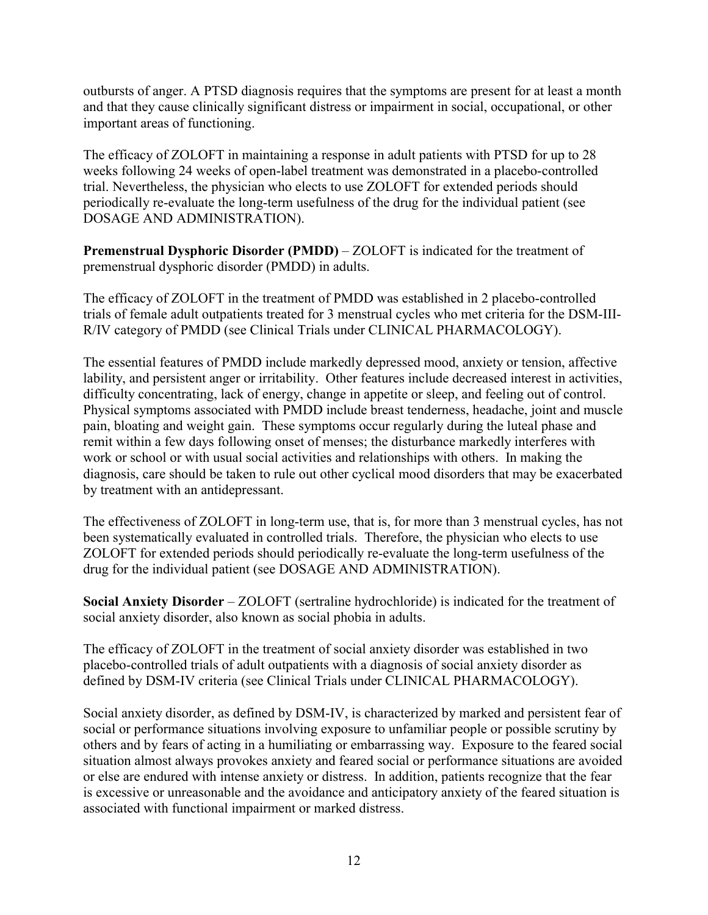outbursts of anger. A PTSD diagnosis requires that the symptoms are present for at least a month and that they cause clinically significant distress or impairment in social, occupational, or other important areas of functioning.

The efficacy of ZOLOFT in maintaining a response in adult patients with PTSD for up to 28 weeks following 24 weeks of open-label treatment was demonstrated in a placebo-controlled trial. Nevertheless, the physician who elects to use ZOLOFT for extended periods should periodically re-evaluate the long-term usefulness of the drug for the individual patient (see DOSAGE AND ADMINISTRATION).

**Premenstrual Dysphoric Disorder (PMDD)** – ZOLOFT is indicated for the treatment of premenstrual dysphoric disorder (PMDD) in adults.

The efficacy of ZOLOFT in the treatment of PMDD was established in 2 placebo-controlled trials of female adult outpatients treated for 3 menstrual cycles who met criteria for the DSM-III-R/IV category of PMDD (see Clinical Trials under CLINICAL PHARMACOLOGY).

The essential features of PMDD include markedly depressed mood, anxiety or tension, affective lability, and persistent anger or irritability. Other features include decreased interest in activities, difficulty concentrating, lack of energy, change in appetite or sleep, and feeling out of control. Physical symptoms associated with PMDD include breast tenderness, headache, joint and muscle pain, bloating and weight gain. These symptoms occur regularly during the luteal phase and remit within a few days following onset of menses; the disturbance markedly interferes with work or school or with usual social activities and relationships with others. In making the diagnosis, care should be taken to rule out other cyclical mood disorders that may be exacerbated by treatment with an antidepressant.

The effectiveness of ZOLOFT in long-term use, that is, for more than 3 menstrual cycles, has not been systematically evaluated in controlled trials. Therefore, the physician who elects to use ZOLOFT for extended periods should periodically re-evaluate the long-term usefulness of the drug for the individual patient (see DOSAGE AND ADMINISTRATION).

**Social Anxiety Disorder** – ZOLOFT (sertraline hydrochloride) is indicated for the treatment of social anxiety disorder, also known as social phobia in adults.

The efficacy of ZOLOFT in the treatment of social anxiety disorder was established in two placebo-controlled trials of adult outpatients with a diagnosis of social anxiety disorder as defined by DSM-IV criteria (see Clinical Trials under CLINICAL PHARMACOLOGY).

Social anxiety disorder, as defined by DSM-IV, is characterized by marked and persistent fear of social or performance situations involving exposure to unfamiliar people or possible scrutiny by others and by fears of acting in a humiliating or embarrassing way. Exposure to the feared social situation almost always provokes anxiety and feared social or performance situations are avoided or else are endured with intense anxiety or distress. In addition, patients recognize that the fear is excessive or unreasonable and the avoidance and anticipatory anxiety of the feared situation is associated with functional impairment or marked distress.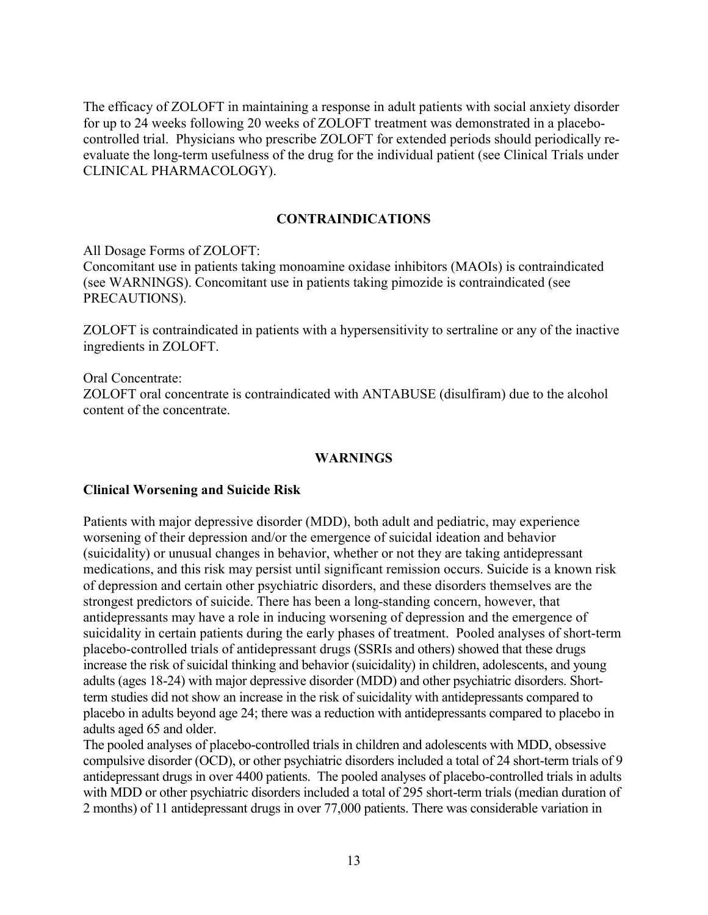The efficacy of ZOLOFT in maintaining a response in adult patients with social anxiety disorder for up to 24 weeks following 20 weeks of ZOLOFT treatment was demonstrated in a placebocontrolled trial. Physicians who prescribe ZOLOFT for extended periods should periodically reevaluate the long-term usefulness of the drug for the individual patient (see Clinical Trials under CLINICAL PHARMACOLOGY).

### **CONTRAINDICATIONS**

All Dosage Forms of ZOLOFT:

Concomitant use in patients taking monoamine oxidase inhibitors (MAOIs) is contraindicated (see WARNINGS). Concomitant use in patients taking pimozide is contraindicated (see PRECAUTIONS).

ZOLOFT is contraindicated in patients with a hypersensitivity to sertraline or any of the inactive ingredients in ZOLOFT.

Oral Concentrate: ZOLOFT oral concentrate is contraindicated with ANTABUSE (disulfiram) due to the alcohol content of the concentrate.

## **WARNINGS**

#### **Clinical Worsening and Suicide Risk**

Patients with major depressive disorder (MDD), both adult and pediatric, may experience worsening of their depression and/or the emergence of suicidal ideation and behavior (suicidality) or unusual changes in behavior, whether or not they are taking antidepressant medications, and this risk may persist until significant remission occurs. Suicide is a known risk of depression and certain other psychiatric disorders, and these disorders themselves are the strongest predictors of suicide. There has been a long-standing concern, however, that antidepressants may have a role in inducing worsening of depression and the emergence of suicidality in certain patients during the early phases of treatment. Pooled analyses of short-term placebo-controlled trials of antidepressant drugs (SSRIs and others) showed that these drugs increase the risk of suicidal thinking and behavior (suicidality) in children, adolescents, and young adults (ages 18-24) with major depressive disorder (MDD) and other psychiatric disorders. Shortterm studies did not show an increase in the risk of suicidality with antidepressants compared to placebo in adults beyond age 24; there was a reduction with antidepressants compared to placebo in adults aged 65 and older.

The pooled analyses of placebo-controlled trials in children and adolescents with MDD, obsessive compulsive disorder (OCD), or other psychiatric disorders included a total of 24 short-term trials of 9 antidepressant drugs in over 4400 patients. The pooled analyses of placebo-controlled trials in adults with MDD or other psychiatric disorders included a total of 295 short-term trials (median duration of 2 months) of 11 antidepressant drugs in over 77,000 patients. There was considerable variation in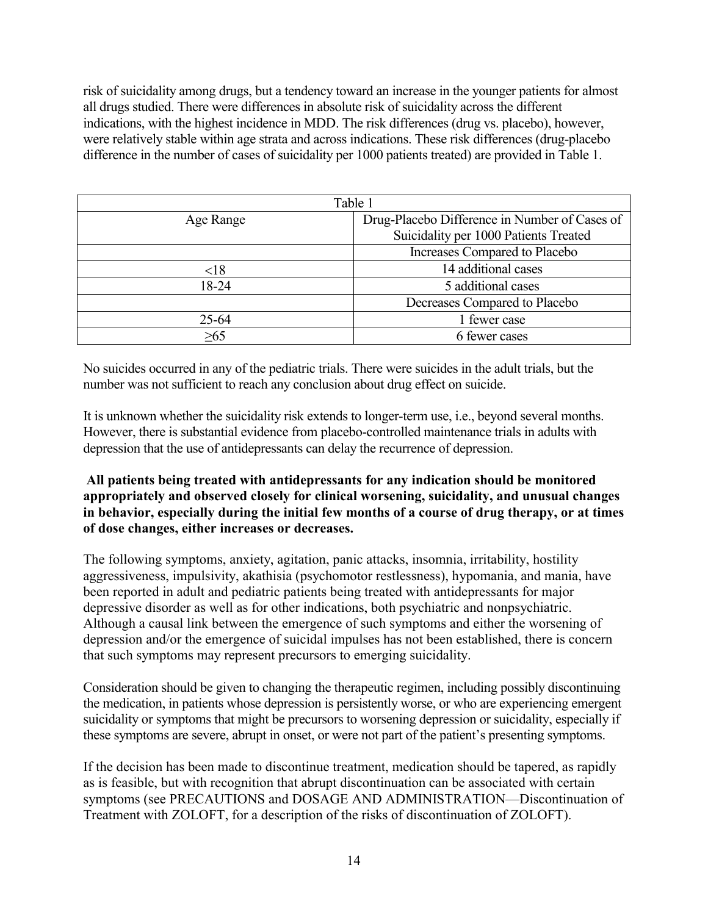risk of suicidality among drugs, but a tendency toward an increase in the younger patients for almost all drugs studied. There were differences in absolute risk of suicidality across the different indications, with the highest incidence in MDD. The risk differences (drug vs. placebo), however, were relatively stable within age strata and across indications. These risk differences (drug-placebo difference in the number of cases of suicidality per 1000 patients treated) are provided in Table 1.

| Table 1   |                                               |  |
|-----------|-----------------------------------------------|--|
| Age Range | Drug-Placebo Difference in Number of Cases of |  |
|           | Suicidality per 1000 Patients Treated         |  |
|           | Increases Compared to Placebo                 |  |
| < 18      | 14 additional cases                           |  |
| 18-24     | 5 additional cases                            |  |
|           | Decreases Compared to Placebo                 |  |
| 25-64     | 1 fewer case                                  |  |
| $\geq 65$ | 6 fewer cases                                 |  |

No suicides occurred in any of the pediatric trials. There were suicides in the adult trials, but the number was not sufficient to reach any conclusion about drug effect on suicide.

It is unknown whether the suicidality risk extends to longer-term use, i.e., beyond several months. However, there is substantial evidence from placebo-controlled maintenance trials in adults with depression that the use of antidepressants can delay the recurrence of depression.

# **All patients being treated with antidepressants for any indication should be monitored appropriately and observed closely for clinical worsening, suicidality, and unusual changes in behavior, especially during the initial few months of a course of drug therapy, or at times of dose changes, either increases or decreases.**

The following symptoms, anxiety, agitation, panic attacks, insomnia, irritability, hostility aggressiveness, impulsivity, akathisia (psychomotor restlessness), hypomania, and mania, have been reported in adult and pediatric patients being treated with antidepressants for major depressive disorder as well as for other indications, both psychiatric and nonpsychiatric. Although a causal link between the emergence of such symptoms and either the worsening of depression and/or the emergence of suicidal impulses has not been established, there is concern that such symptoms may represent precursors to emerging suicidality.

Consideration should be given to changing the therapeutic regimen, including possibly discontinuing the medication, in patients whose depression is persistently worse, or who are experiencing emergent suicidality or symptoms that might be precursors to worsening depression or suicidality, especially if these symptoms are severe, abrupt in onset, or were not part of the patient's presenting symptoms.

If the decision has been made to discontinue treatment, medication should be tapered, as rapidly as is feasible, but with recognition that abrupt discontinuation can be associated with certain symptoms (see PRECAUTIONS and DOSAGE AND ADMINISTRATION—Discontinuation of Treatment with ZOLOFT, for a description of the risks of discontinuation of ZOLOFT).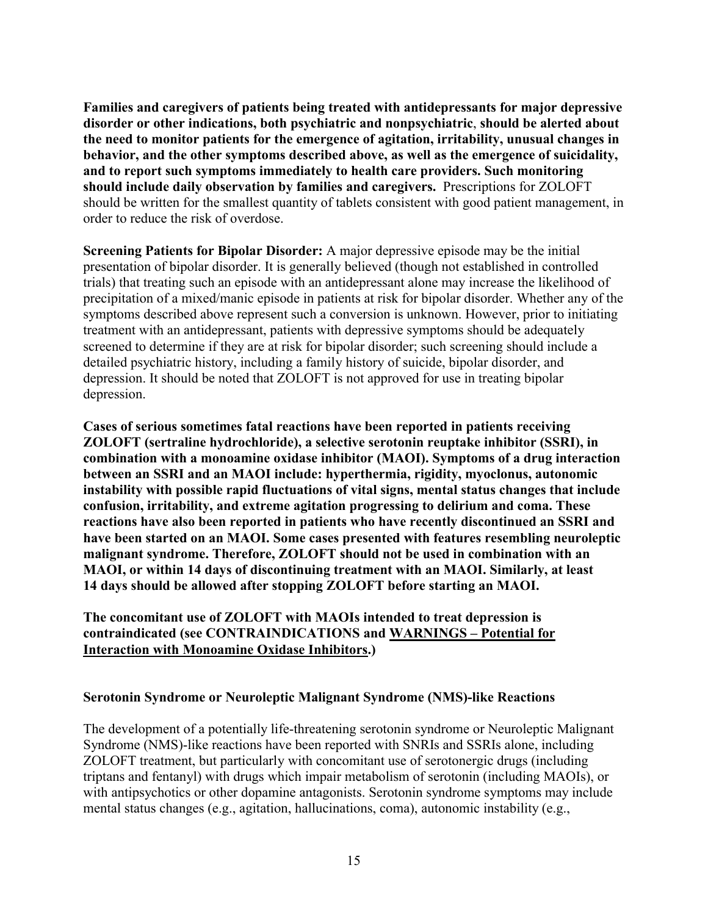**Families and caregivers of patients being treated with antidepressants for major depressive disorder or other indications, both psychiatric and nonpsychiatric**, **should be alerted about the need to monitor patients for the emergence of agitation, irritability, unusual changes in behavior, and the other symptoms described above, as well as the emergence of suicidality, and to report such symptoms immediately to health care providers. Such monitoring should include daily observation by families and caregivers.** Prescriptions for ZOLOFT should be written for the smallest quantity of tablets consistent with good patient management, in order to reduce the risk of overdose.

**Screening Patients for Bipolar Disorder:** A major depressive episode may be the initial presentation of bipolar disorder. It is generally believed (though not established in controlled trials) that treating such an episode with an antidepressant alone may increase the likelihood of precipitation of a mixed/manic episode in patients at risk for bipolar disorder. Whether any of the symptoms described above represent such a conversion is unknown. However, prior to initiating treatment with an antidepressant, patients with depressive symptoms should be adequately screened to determine if they are at risk for bipolar disorder; such screening should include a detailed psychiatric history, including a family history of suicide, bipolar disorder, and depression. It should be noted that ZOLOFT is not approved for use in treating bipolar depression.

**Cases of serious sometimes fatal reactions have been reported in patients receiving ZOLOFT (sertraline hydrochloride), a selective serotonin reuptake inhibitor (SSRI), in combination with a monoamine oxidase inhibitor (MAOI). Symptoms of a drug interaction between an SSRI and an MAOI include: hyperthermia, rigidity, myoclonus, autonomic instability with possible rapid fluctuations of vital signs, mental status changes that include confusion, irritability, and extreme agitation progressing to delirium and coma. These reactions have also been reported in patients who have recently discontinued an SSRI and have been started on an MAOI. Some cases presented with features resembling neuroleptic malignant syndrome. Therefore, ZOLOFT should not be used in combination with an MAOI, or within 14 days of discontinuing treatment with an MAOI. Similarly, at least 14 days should be allowed after stopping ZOLOFT before starting an MAOI.**

# **The concomitant use of ZOLOFT with MAOIs intended to treat depression is contraindicated (see CONTRAINDICATIONS and WARNINGS – Potential for Interaction with Monoamine Oxidase Inhibitors.)**

# **Serotonin Syndrome or Neuroleptic Malignant Syndrome (NMS)-like Reactions**

The development of a potentially life-threatening serotonin syndrome or Neuroleptic Malignant Syndrome (NMS)-like reactions have been reported with SNRIs and SSRIs alone, including ZOLOFT treatment, but particularly with concomitant use of serotonergic drugs (including triptans and fentanyl) with drugs which impair metabolism of serotonin (including MAOIs), or with antipsychotics or other dopamine antagonists. Serotonin syndrome symptoms may include mental status changes (e.g., agitation, hallucinations, coma), autonomic instability (e.g.,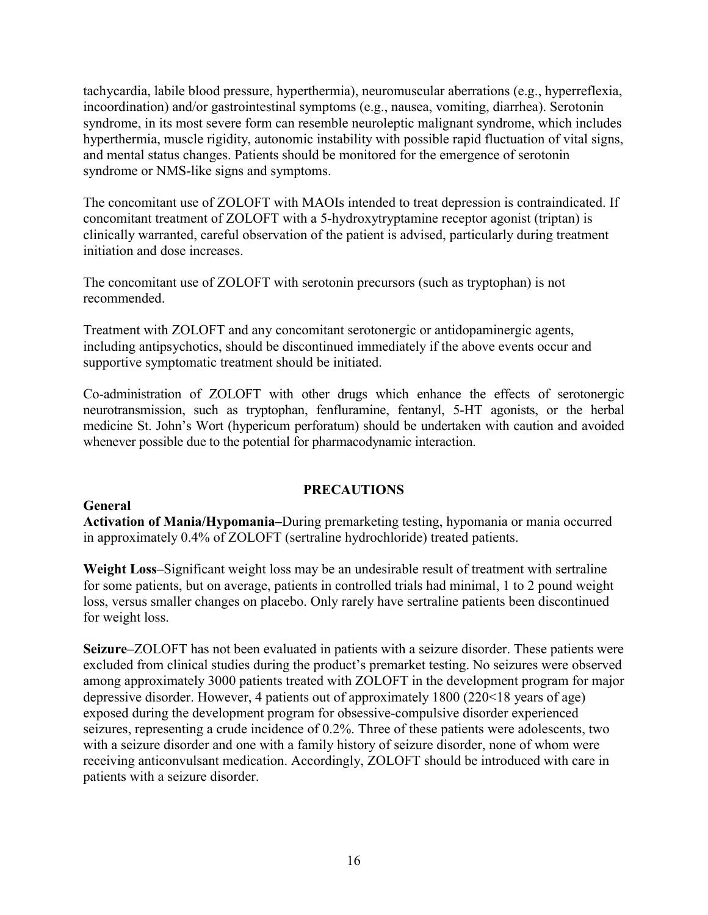tachycardia, labile blood pressure, hyperthermia), neuromuscular aberrations (e.g., hyperreflexia, incoordination) and/or gastrointestinal symptoms (e.g., nausea, vomiting, diarrhea). Serotonin syndrome, in its most severe form can resemble neuroleptic malignant syndrome, which includes hyperthermia, muscle rigidity, autonomic instability with possible rapid fluctuation of vital signs, and mental status changes. Patients should be monitored for the emergence of serotonin syndrome or NMS-like signs and symptoms.

The concomitant use of ZOLOFT with MAOIs intended to treat depression is contraindicated. If concomitant treatment of ZOLOFT with a 5-hydroxytryptamine receptor agonist (triptan) is clinically warranted, careful observation of the patient is advised, particularly during treatment initiation and dose increases.

The concomitant use of ZOLOFT with serotonin precursors (such as tryptophan) is not recommended.

Treatment with ZOLOFT and any concomitant serotonergic or antidopaminergic agents, including antipsychotics, should be discontinued immediately if the above events occur and supportive symptomatic treatment should be initiated.

Co-administration of ZOLOFT with other drugs which enhance the effects of serotonergic neurotransmission, such as tryptophan, fenfluramine, fentanyl, 5-HT agonists, or the herbal medicine St. John's Wort (hypericum perforatum) should be undertaken with caution and avoided whenever possible due to the potential for pharmacodynamic interaction.

# **PRECAUTIONS**

#### **General Activation of Mania/Hypomania–**During premarketing testing, hypomania or mania occurred in approximately 0.4% of ZOLOFT (sertraline hydrochloride) treated patients.

**Weight Loss–**Significant weight loss may be an undesirable result of treatment with sertraline for some patients, but on average, patients in controlled trials had minimal, 1 to 2 pound weight loss, versus smaller changes on placebo. Only rarely have sertraline patients been discontinued for weight loss.

**Seizure–**ZOLOFT has not been evaluated in patients with a seizure disorder. These patients were excluded from clinical studies during the product's premarket testing. No seizures were observed among approximately 3000 patients treated with ZOLOFT in the development program for major depressive disorder. However, 4 patients out of approximately 1800 (220<18 years of age) exposed during the development program for obsessive-compulsive disorder experienced seizures, representing a crude incidence of 0.2%. Three of these patients were adolescents, two with a seizure disorder and one with a family history of seizure disorder, none of whom were receiving anticonvulsant medication. Accordingly, ZOLOFT should be introduced with care in patients with a seizure disorder.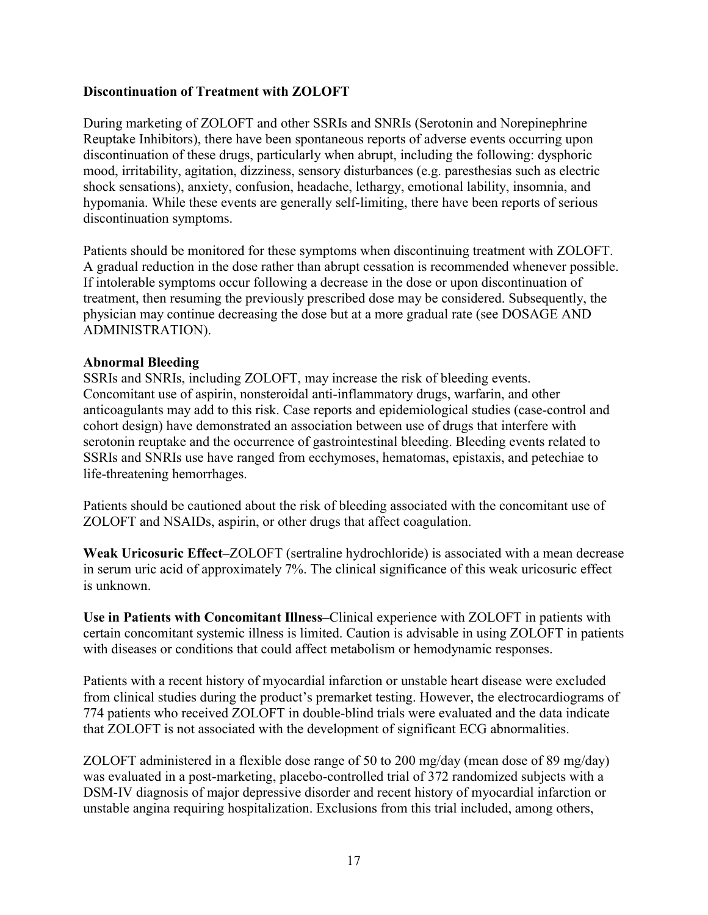# **Discontinuation of Treatment with ZOLOFT**

During marketing of ZOLOFT and other SSRIs and SNRIs (Serotonin and Norepinephrine Reuptake Inhibitors), there have been spontaneous reports of adverse events occurring upon discontinuation of these drugs, particularly when abrupt, including the following: dysphoric mood, irritability, agitation, dizziness, sensory disturbances (e.g. paresthesias such as electric shock sensations), anxiety, confusion, headache, lethargy, emotional lability, insomnia, and hypomania. While these events are generally self-limiting, there have been reports of serious discontinuation symptoms.

Patients should be monitored for these symptoms when discontinuing treatment with ZOLOFT. A gradual reduction in the dose rather than abrupt cessation is recommended whenever possible. If intolerable symptoms occur following a decrease in the dose or upon discontinuation of treatment, then resuming the previously prescribed dose may be considered. Subsequently, the physician may continue decreasing the dose but at a more gradual rate (see DOSAGE AND ADMINISTRATION).

## **Abnormal Bleeding**

SSRIs and SNRIs, including ZOLOFT, may increase the risk of bleeding events. Concomitant use of aspirin, nonsteroidal anti-inflammatory drugs, warfarin, and other anticoagulants may add to this risk. Case reports and epidemiological studies (case-control and cohort design) have demonstrated an association between use of drugs that interfere with serotonin reuptake and the occurrence of gastrointestinal bleeding. Bleeding events related to SSRIs and SNRIs use have ranged from ecchymoses, hematomas, epistaxis, and petechiae to life-threatening hemorrhages.

Patients should be cautioned about the risk of bleeding associated with the concomitant use of ZOLOFT and NSAIDs, aspirin, or other drugs that affect coagulation.

**Weak Uricosuric Effect–**ZOLOFT (sertraline hydrochloride) is associated with a mean decrease in serum uric acid of approximately 7%. The clinical significance of this weak uricosuric effect is unknown.

**Use in Patients with Concomitant Illness–**Clinical experience with ZOLOFT in patients with certain concomitant systemic illness is limited. Caution is advisable in using ZOLOFT in patients with diseases or conditions that could affect metabolism or hemodynamic responses.

Patients with a recent history of myocardial infarction or unstable heart disease were excluded from clinical studies during the product's premarket testing. However, the electrocardiograms of 774 patients who received ZOLOFT in double-blind trials were evaluated and the data indicate that ZOLOFT is not associated with the development of significant ECG abnormalities.

ZOLOFT administered in a flexible dose range of 50 to 200 mg/day (mean dose of 89 mg/day) was evaluated in a post-marketing, placebo-controlled trial of 372 randomized subjects with a DSM-IV diagnosis of major depressive disorder and recent history of myocardial infarction or unstable angina requiring hospitalization. Exclusions from this trial included, among others,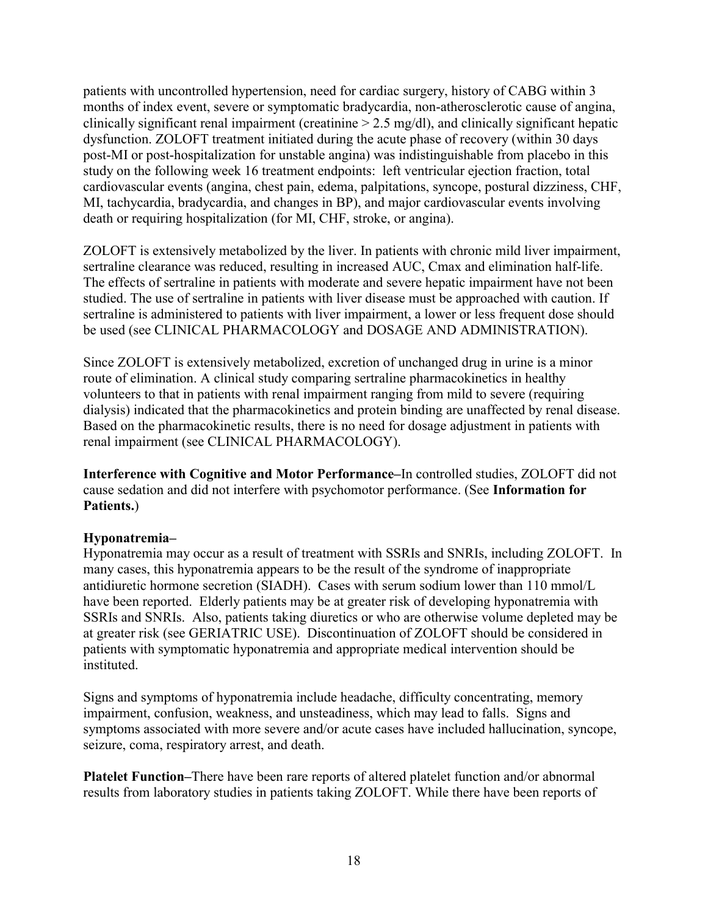patients with uncontrolled hypertension, need for cardiac surgery, history of CABG within 3 months of index event, severe or symptomatic bradycardia, non-atherosclerotic cause of angina, clinically significant renal impairment (creatinine  $> 2.5$  mg/dl), and clinically significant hepatic dysfunction. ZOLOFT treatment initiated during the acute phase of recovery (within 30 days post-MI or post-hospitalization for unstable angina) was indistinguishable from placebo in this study on the following week 16 treatment endpoints: left ventricular ejection fraction, total cardiovascular events (angina, chest pain, edema, palpitations, syncope, postural dizziness, CHF, MI, tachycardia, bradycardia, and changes in BP), and major cardiovascular events involving death or requiring hospitalization (for MI, CHF, stroke, or angina).

ZOLOFT is extensively metabolized by the liver. In patients with chronic mild liver impairment, sertraline clearance was reduced, resulting in increased AUC, Cmax and elimination half-life. The effects of sertraline in patients with moderate and severe hepatic impairment have not been studied. The use of sertraline in patients with liver disease must be approached with caution. If sertraline is administered to patients with liver impairment, a lower or less frequent dose should be used (see CLINICAL PHARMACOLOGY and DOSAGE AND ADMINISTRATION).

Since ZOLOFT is extensively metabolized, excretion of unchanged drug in urine is a minor route of elimination. A clinical study comparing sertraline pharmacokinetics in healthy volunteers to that in patients with renal impairment ranging from mild to severe (requiring dialysis) indicated that the pharmacokinetics and protein binding are unaffected by renal disease. Based on the pharmacokinetic results, there is no need for dosage adjustment in patients with renal impairment (see CLINICAL PHARMACOLOGY).

**Interference with Cognitive and Motor Performance–**In controlled studies, ZOLOFT did not cause sedation and did not interfere with psychomotor performance. (See **Information for Patients.**)

# **Hyponatremia–**

Hyponatremia may occur as a result of treatment with SSRIs and SNRIs, including ZOLOFT. In many cases, this hyponatremia appears to be the result of the syndrome of inappropriate antidiuretic hormone secretion (SIADH). Cases with serum sodium lower than 110 mmol/L have been reported. Elderly patients may be at greater risk of developing hyponatremia with SSRIs and SNRIs. Also, patients taking diuretics or who are otherwise volume depleted may be at greater risk (see GERIATRIC USE). Discontinuation of ZOLOFT should be considered in patients with symptomatic hyponatremia and appropriate medical intervention should be instituted.

Signs and symptoms of hyponatremia include headache, difficulty concentrating, memory impairment, confusion, weakness, and unsteadiness, which may lead to falls. Signs and symptoms associated with more severe and/or acute cases have included hallucination, syncope, seizure, coma, respiratory arrest, and death.

**Platelet Function–**There have been rare reports of altered platelet function and/or abnormal results from laboratory studies in patients taking ZOLOFT. While there have been reports of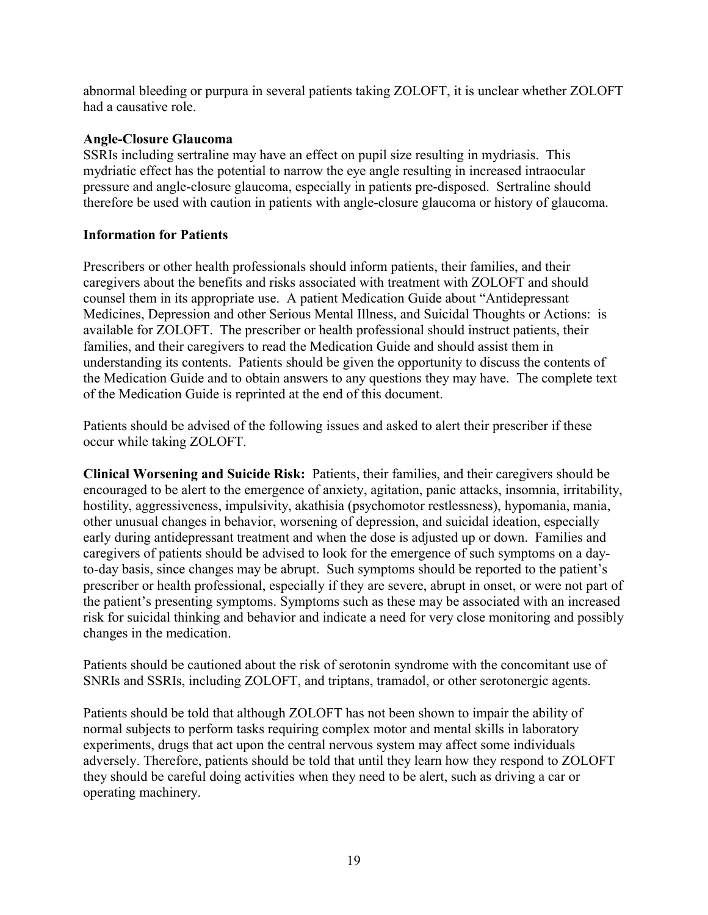abnormal bleeding or purpura in several patients taking ZOLOFT, it is unclear whether ZOLOFT had a causative role.

# **Angle-Closure Glaucoma**

SSRIs including sertraline may have an effect on pupil size resulting in mydriasis. This mydriatic effect has the potential to narrow the eye angle resulting in increased intraocular pressure and angle-closure glaucoma, especially in patients pre-disposed. Sertraline should therefore be used with caution in patients with angle-closure glaucoma or history of glaucoma.

# **Information for Patients**

Prescribers or other health professionals should inform patients, their families, and their caregivers about the benefits and risks associated with treatment with ZOLOFT and should counsel them in its appropriate use. A patient Medication Guide about "Antidepressant Medicines, Depression and other Serious Mental Illness, and Suicidal Thoughts or Actions: is available for ZOLOFT. The prescriber or health professional should instruct patients, their families, and their caregivers to read the Medication Guide and should assist them in understanding its contents. Patients should be given the opportunity to discuss the contents of the Medication Guide and to obtain answers to any questions they may have. The complete text of the Medication Guide is reprinted at the end of this document.

Patients should be advised of the following issues and asked to alert their prescriber if these occur while taking ZOLOFT.

**Clinical Worsening and Suicide Risk:** Patients, their families, and their caregivers should be encouraged to be alert to the emergence of anxiety, agitation, panic attacks, insomnia, irritability, hostility, aggressiveness, impulsivity, akathisia (psychomotor restlessness), hypomania, mania, other unusual changes in behavior, worsening of depression, and suicidal ideation, especially early during antidepressant treatment and when the dose is adjusted up or down. Families and caregivers of patients should be advised to look for the emergence of such symptoms on a dayto-day basis, since changes may be abrupt. Such symptoms should be reported to the patient's prescriber or health professional, especially if they are severe, abrupt in onset, or were not part of the patient's presenting symptoms. Symptoms such as these may be associated with an increased risk for suicidal thinking and behavior and indicate a need for very close monitoring and possibly changes in the medication.

Patients should be cautioned about the risk of serotonin syndrome with the concomitant use of SNRIs and SSRIs, including ZOLOFT, and triptans, tramadol, or other serotonergic agents.

Patients should be told that although ZOLOFT has not been shown to impair the ability of normal subjects to perform tasks requiring complex motor and mental skills in laboratory experiments, drugs that act upon the central nervous system may affect some individuals adversely. Therefore, patients should be told that until they learn how they respond to ZOLOFT they should be careful doing activities when they need to be alert, such as driving a car or operating machinery.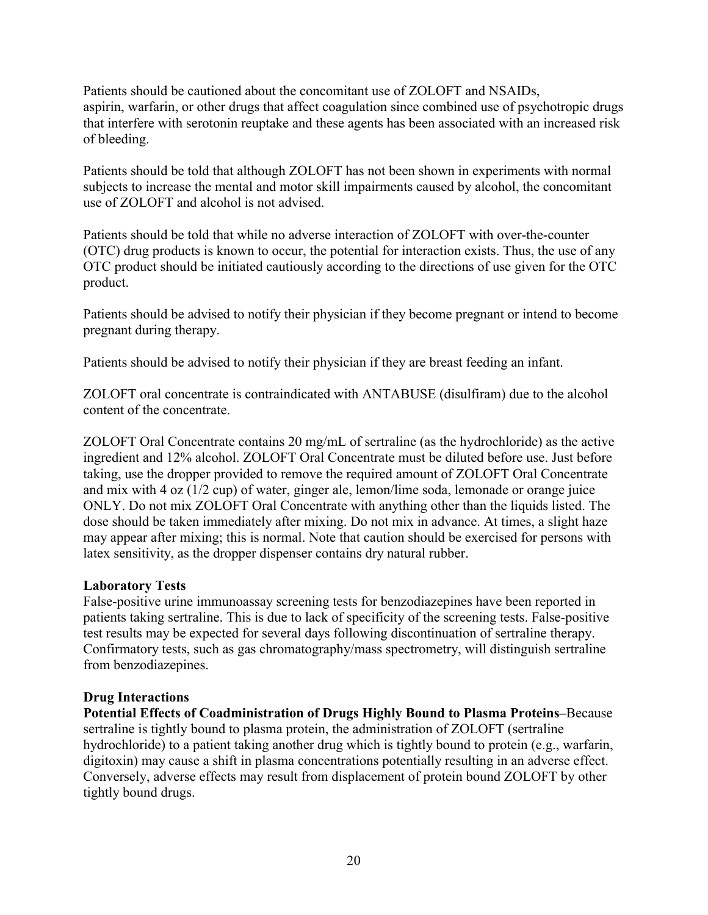Patients should be cautioned about the concomitant use of ZOLOFT and NSAIDs, aspirin, warfarin, or other drugs that affect coagulation since combined use of psychotropic drugs that interfere with serotonin reuptake and these agents has been associated with an increased risk of bleeding.

Patients should be told that although ZOLOFT has not been shown in experiments with normal subjects to increase the mental and motor skill impairments caused by alcohol, the concomitant use of ZOLOFT and alcohol is not advised.

Patients should be told that while no adverse interaction of ZOLOFT with over-the-counter (OTC) drug products is known to occur, the potential for interaction exists. Thus, the use of any OTC product should be initiated cautiously according to the directions of use given for the OTC product.

Patients should be advised to notify their physician if they become pregnant or intend to become pregnant during therapy.

Patients should be advised to notify their physician if they are breast feeding an infant.

ZOLOFT oral concentrate is contraindicated with ANTABUSE (disulfiram) due to the alcohol content of the concentrate.

ZOLOFT Oral Concentrate contains 20 mg/mL of sertraline (as the hydrochloride) as the active ingredient and 12% alcohol. ZOLOFT Oral Concentrate must be diluted before use. Just before taking, use the dropper provided to remove the required amount of ZOLOFT Oral Concentrate and mix with 4 oz (1/2 cup) of water, ginger ale, lemon/lime soda, lemonade or orange juice ONLY. Do not mix ZOLOFT Oral Concentrate with anything other than the liquids listed. The dose should be taken immediately after mixing. Do not mix in advance. At times, a slight haze may appear after mixing; this is normal. Note that caution should be exercised for persons with latex sensitivity, as the dropper dispenser contains dry natural rubber.

# **Laboratory Tests**

False-positive urine immunoassay screening tests for benzodiazepines have been reported in patients taking sertraline. This is due to lack of specificity of the screening tests. False-positive test results may be expected for several days following discontinuation of sertraline therapy. Confirmatory tests, such as gas chromatography/mass spectrometry, will distinguish sertraline from benzodiazepines.

# **Drug Interactions**

**Potential Effects of Coadministration of Drugs Highly Bound to Plasma Proteins–**Because sertraline is tightly bound to plasma protein, the administration of ZOLOFT (sertraline hydrochloride) to a patient taking another drug which is tightly bound to protein (e.g., warfarin, digitoxin) may cause a shift in plasma concentrations potentially resulting in an adverse effect. Conversely, adverse effects may result from displacement of protein bound ZOLOFT by other tightly bound drugs.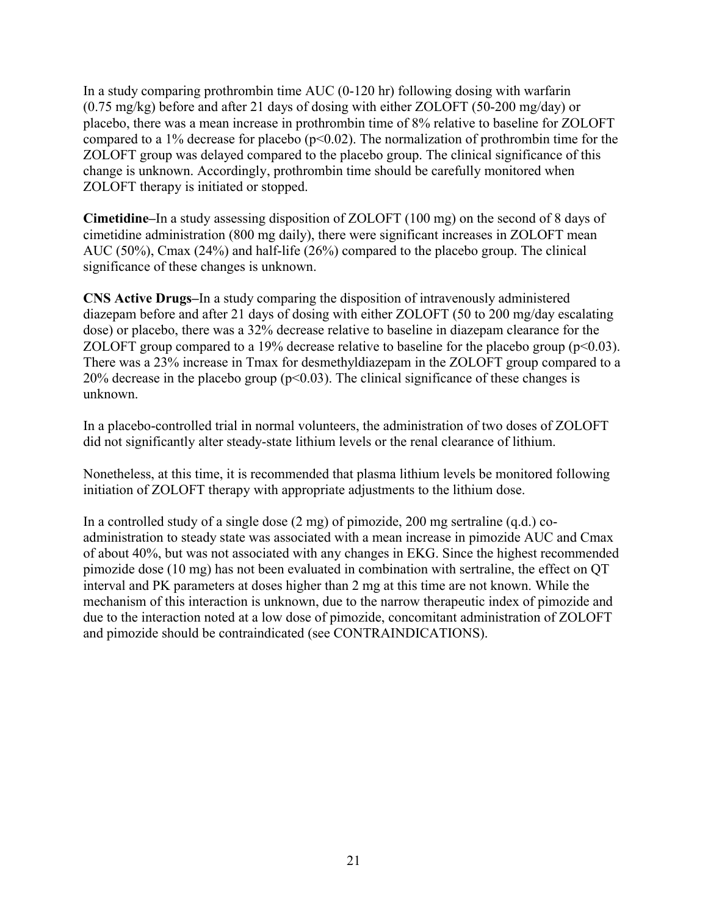In a study comparing prothrombin time AUC (0-120 hr) following dosing with warfarin (0.75 mg/kg) before and after 21 days of dosing with either ZOLOFT (50-200 mg/day) or placebo, there was a mean increase in prothrombin time of 8% relative to baseline for ZOLOFT compared to a 1% decrease for placebo ( $p<0.02$ ). The normalization of prothrombin time for the ZOLOFT group was delayed compared to the placebo group. The clinical significance of this change is unknown. Accordingly, prothrombin time should be carefully monitored when ZOLOFT therapy is initiated or stopped.

**Cimetidine–**In a study assessing disposition of ZOLOFT (100 mg) on the second of 8 days of cimetidine administration (800 mg daily), there were significant increases in ZOLOFT mean AUC (50%), Cmax (24%) and half-life (26%) compared to the placebo group. The clinical significance of these changes is unknown.

**CNS Active Drugs–**In a study comparing the disposition of intravenously administered diazepam before and after 21 days of dosing with either ZOLOFT (50 to 200 mg/day escalating dose) or placebo, there was a 32% decrease relative to baseline in diazepam clearance for the ZOLOFT group compared to a 19% decrease relative to baseline for the placebo group  $(p<0.03)$ . There was a 23% increase in Tmax for desmethyldiazepam in the ZOLOFT group compared to a 20% decrease in the placebo group  $(p<0.03)$ . The clinical significance of these changes is unknown.

In a placebo-controlled trial in normal volunteers, the administration of two doses of ZOLOFT did not significantly alter steady-state lithium levels or the renal clearance of lithium.

Nonetheless, at this time, it is recommended that plasma lithium levels be monitored following initiation of ZOLOFT therapy with appropriate adjustments to the lithium dose.

In a controlled study of a single dose (2 mg) of pimozide, 200 mg sertraline (q.d.) coadministration to steady state was associated with a mean increase in pimozide AUC and Cmax of about 40%, but was not associated with any changes in EKG. Since the highest recommended pimozide dose (10 mg) has not been evaluated in combination with sertraline, the effect on QT interval and PK parameters at doses higher than 2 mg at this time are not known. While the mechanism of this interaction is unknown, due to the narrow therapeutic index of pimozide and due to the interaction noted at a low dose of pimozide, concomitant administration of ZOLOFT and pimozide should be contraindicated (see CONTRAINDICATIONS).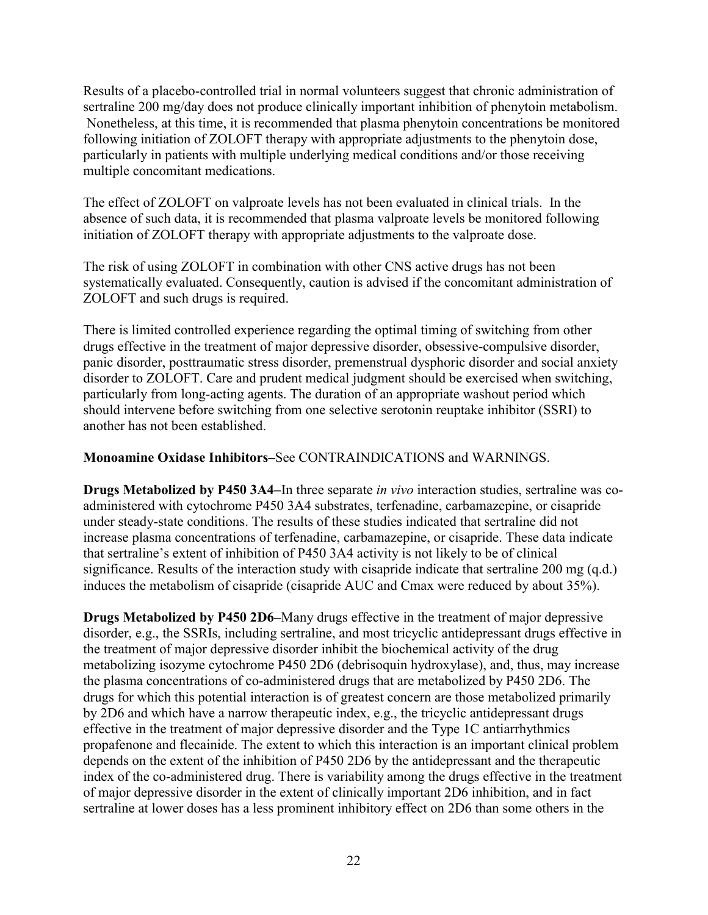Results of a placebo-controlled trial in normal volunteers suggest that chronic administration of sertraline 200 mg/day does not produce clinically important inhibition of phenytoin metabolism. Nonetheless, at this time, it is recommended that plasma phenytoin concentrations be monitored following initiation of ZOLOFT therapy with appropriate adjustments to the phenytoin dose, particularly in patients with multiple underlying medical conditions and/or those receiving multiple concomitant medications.

The effect of ZOLOFT on valproate levels has not been evaluated in clinical trials. In the absence of such data, it is recommended that plasma valproate levels be monitored following initiation of ZOLOFT therapy with appropriate adjustments to the valproate dose.

The risk of using ZOLOFT in combination with other CNS active drugs has not been systematically evaluated. Consequently, caution is advised if the concomitant administration of ZOLOFT and such drugs is required.

There is limited controlled experience regarding the optimal timing of switching from other drugs effective in the treatment of major depressive disorder, obsessive-compulsive disorder, panic disorder, posttraumatic stress disorder, premenstrual dysphoric disorder and social anxiety disorder to ZOLOFT. Care and prudent medical judgment should be exercised when switching, particularly from long-acting agents. The duration of an appropriate washout period which should intervene before switching from one selective serotonin reuptake inhibitor (SSRI) to another has not been established.

# **Monoamine Oxidase Inhibitors–**See CONTRAINDICATIONS and WARNINGS.

**Drugs Metabolized by P450 3A4–**In three separate *in vivo* interaction studies, sertraline was coadministered with cytochrome P450 3A4 substrates, terfenadine, carbamazepine, or cisapride under steady-state conditions. The results of these studies indicated that sertraline did not increase plasma concentrations of terfenadine, carbamazepine, or cisapride. These data indicate that sertraline's extent of inhibition of P450 3A4 activity is not likely to be of clinical significance. Results of the interaction study with cisapride indicate that sertraline 200 mg (q.d.) induces the metabolism of cisapride (cisapride AUC and Cmax were reduced by about 35%).

**Drugs Metabolized by P450 2D6–**Many drugs effective in the treatment of major depressive disorder, e.g., the SSRIs, including sertraline, and most tricyclic antidepressant drugs effective in the treatment of major depressive disorder inhibit the biochemical activity of the drug metabolizing isozyme cytochrome P450 2D6 (debrisoquin hydroxylase), and, thus, may increase the plasma concentrations of co-administered drugs that are metabolized by P450 2D6. The drugs for which this potential interaction is of greatest concern are those metabolized primarily by 2D6 and which have a narrow therapeutic index, e.g., the tricyclic antidepressant drugs effective in the treatment of major depressive disorder and the Type 1C antiarrhythmics propafenone and flecainide. The extent to which this interaction is an important clinical problem depends on the extent of the inhibition of P450 2D6 by the antidepressant and the therapeutic index of the co-administered drug. There is variability among the drugs effective in the treatment of major depressive disorder in the extent of clinically important 2D6 inhibition, and in fact sertraline at lower doses has a less prominent inhibitory effect on 2D6 than some others in the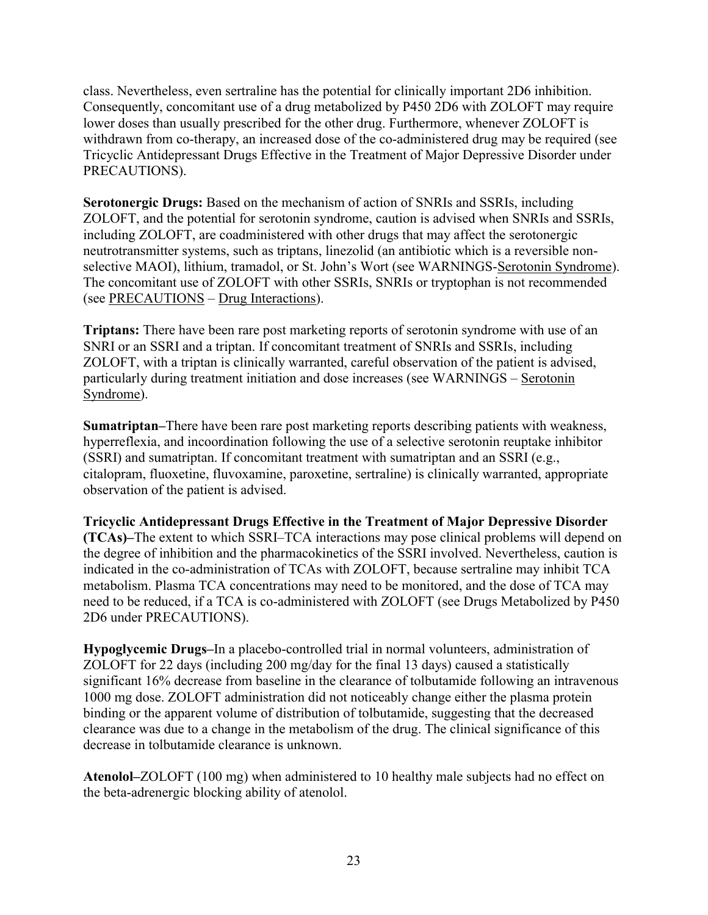class. Nevertheless, even sertraline has the potential for clinically important 2D6 inhibition. Consequently, concomitant use of a drug metabolized by P450 2D6 with ZOLOFT may require lower doses than usually prescribed for the other drug. Furthermore, whenever ZOLOFT is withdrawn from co-therapy, an increased dose of the co-administered drug may be required (see Tricyclic Antidepressant Drugs Effective in the Treatment of Major Depressive Disorder under PRECAUTIONS).

**Serotonergic Drugs:** Based on the mechanism of action of SNRIs and SSRIs, including ZOLOFT, and the potential for serotonin syndrome, caution is advised when SNRIs and SSRIs, including ZOLOFT, are coadministered with other drugs that may affect the serotonergic neutrotransmitter systems, such as triptans, linezolid (an antibiotic which is a reversible nonselective MAOI), lithium, tramadol, or St. John's Wort (see WARNINGS-Serotonin Syndrome). The concomitant use of ZOLOFT with other SSRIs, SNRIs or tryptophan is not recommended (see PRECAUTIONS – Drug Interactions).

**Triptans:** There have been rare post marketing reports of serotonin syndrome with use of an SNRI or an SSRI and a triptan. If concomitant treatment of SNRIs and SSRIs, including ZOLOFT, with a triptan is clinically warranted, careful observation of the patient is advised, particularly during treatment initiation and dose increases (see WARNINGS – Serotonin Syndrome).

**Sumatriptan–**There have been rare post marketing reports describing patients with weakness, hyperreflexia, and incoordination following the use of a selective serotonin reuptake inhibitor (SSRI) and sumatriptan. If concomitant treatment with sumatriptan and an SSRI (e.g., citalopram, fluoxetine, fluvoxamine, paroxetine, sertraline) is clinically warranted, appropriate observation of the patient is advised.

**Tricyclic Antidepressant Drugs Effective in the Treatment of Major Depressive Disorder (TCAs)–**The extent to which SSRI–TCA interactions may pose clinical problems will depend on the degree of inhibition and the pharmacokinetics of the SSRI involved. Nevertheless, caution is indicated in the co-administration of TCAs with ZOLOFT, because sertraline may inhibit TCA metabolism. Plasma TCA concentrations may need to be monitored, and the dose of TCA may need to be reduced, if a TCA is co-administered with ZOLOFT (see Drugs Metabolized by P450 2D6 under PRECAUTIONS).

**Hypoglycemic Drugs–**In a placebo-controlled trial in normal volunteers, administration of ZOLOFT for 22 days (including 200 mg/day for the final 13 days) caused a statistically significant 16% decrease from baseline in the clearance of tolbutamide following an intravenous 1000 mg dose. ZOLOFT administration did not noticeably change either the plasma protein binding or the apparent volume of distribution of tolbutamide, suggesting that the decreased clearance was due to a change in the metabolism of the drug. The clinical significance of this decrease in tolbutamide clearance is unknown.

**Atenolol–**ZOLOFT (100 mg) when administered to 10 healthy male subjects had no effect on the beta-adrenergic blocking ability of atenolol.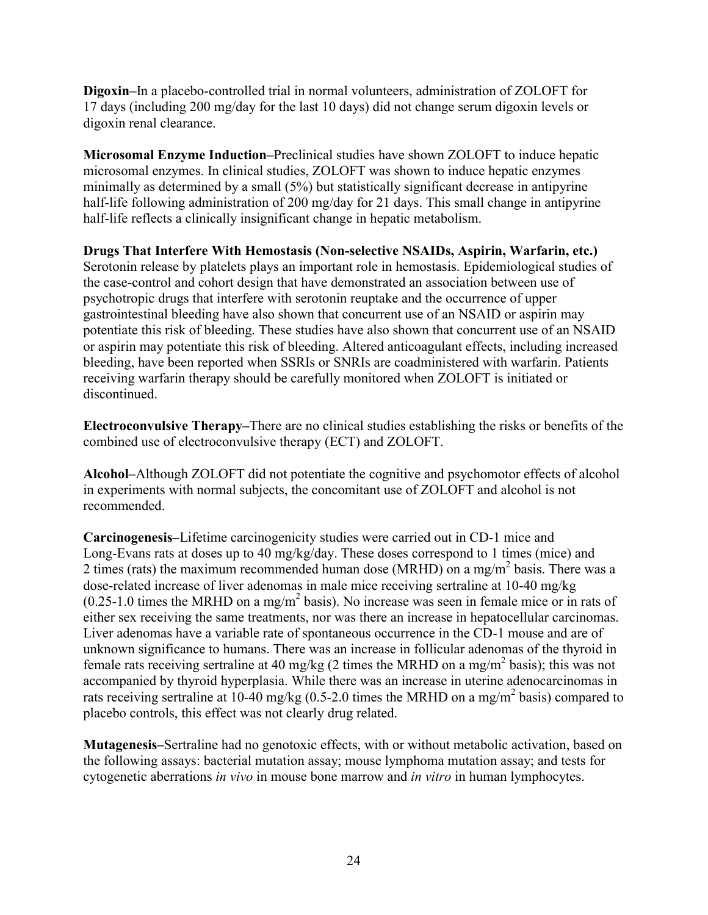**Digoxin–**In a placebo-controlled trial in normal volunteers, administration of ZOLOFT for 17 days (including 200 mg/day for the last 10 days) did not change serum digoxin levels or digoxin renal clearance.

**Microsomal Enzyme Induction–**Preclinical studies have shown ZOLOFT to induce hepatic microsomal enzymes. In clinical studies, ZOLOFT was shown to induce hepatic enzymes minimally as determined by a small (5%) but statistically significant decrease in antipyrine half-life following administration of 200 mg/day for 21 days. This small change in antipyrine half-life reflects a clinically insignificant change in hepatic metabolism.

**Drugs That Interfere With Hemostasis (Non-selective NSAIDs, Aspirin, Warfarin, etc.)** Serotonin release by platelets plays an important role in hemostasis. Epidemiological studies of the case-control and cohort design that have demonstrated an association between use of psychotropic drugs that interfere with serotonin reuptake and the occurrence of upper gastrointestinal bleeding have also shown that concurrent use of an NSAID or aspirin may potentiate this risk of bleeding. These studies have also shown that concurrent use of an NSAID or aspirin may potentiate this risk of bleeding. Altered anticoagulant effects, including increased bleeding, have been reported when SSRIs or SNRIs are coadministered with warfarin. Patients receiving warfarin therapy should be carefully monitored when ZOLOFT is initiated or discontinued.

**Electroconvulsive Therapy–**There are no clinical studies establishing the risks or benefits of the combined use of electroconvulsive therapy (ECT) and ZOLOFT.

**Alcohol–**Although ZOLOFT did not potentiate the cognitive and psychomotor effects of alcohol in experiments with normal subjects, the concomitant use of ZOLOFT and alcohol is not recommended.

**Carcinogenesis–**Lifetime carcinogenicity studies were carried out in CD-1 mice and Long-Evans rats at doses up to 40 mg/kg/day. These doses correspond to 1 times (mice) and 2 times (rats) the maximum recommended human dose (MRHD) on a mg/m<sup>2</sup> basis. There was a dose-related increase of liver adenomas in male mice receiving sertraline at 10-40 mg/kg  $(0.25-1.0$  times the MRHD on a mg/m<sup>2</sup> basis). No increase was seen in female mice or in rats of either sex receiving the same treatments, nor was there an increase in hepatocellular carcinomas. Liver adenomas have a variable rate of spontaneous occurrence in the CD-1 mouse and are of unknown significance to humans. There was an increase in follicular adenomas of the thyroid in female rats receiving sertraline at 40 mg/kg (2 times the MRHD on a mg/m<sup>2</sup> basis); this was not accompanied by thyroid hyperplasia. While there was an increase in uterine adenocarcinomas in rats receiving sertraline at 10-40 mg/kg (0.5-2.0 times the MRHD on a mg/m<sup>2</sup> basis) compared to placebo controls, this effect was not clearly drug related.

**Mutagenesis–**Sertraline had no genotoxic effects, with or without metabolic activation, based on the following assays: bacterial mutation assay; mouse lymphoma mutation assay; and tests for cytogenetic aberrations *in vivo* in mouse bone marrow and *in vitro* in human lymphocytes.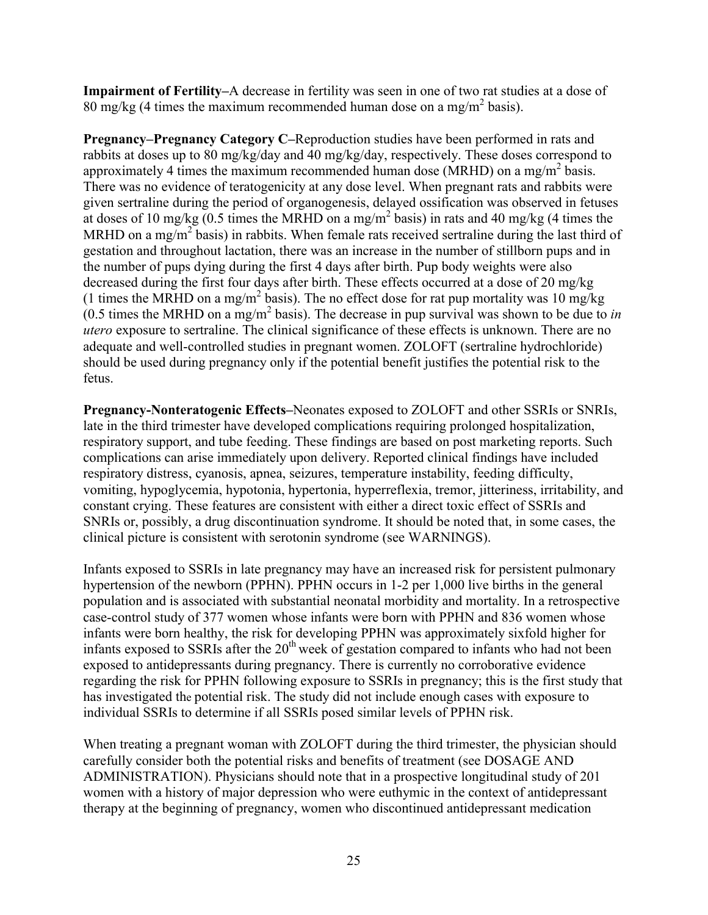**Impairment of Fertility–**A decrease in fertility was seen in one of two rat studies at a dose of 80 mg/kg (4 times the maximum recommended human dose on a mg/m<sup>2</sup> basis).

**Pregnancy–Pregnancy Category C–**Reproduction studies have been performed in rats and rabbits at doses up to 80 mg/kg/day and 40 mg/kg/day, respectively. These doses correspond to approximately 4 times the maximum recommended human dose (MRHD) on a mg/m<sup>2</sup> basis. There was no evidence of teratogenicity at any dose level. When pregnant rats and rabbits were given sertraline during the period of organogenesis, delayed ossification was observed in fetuses at doses of 10 mg/kg  $(0.5 \text{ times the MRHD on a mg/m}^2 \text{ basis})$  in rats and 40 mg/kg (4 times the MRHD on a mg/m<sup>2</sup> basis) in rabbits. When female rats received sertraline during the last third of gestation and throughout lactation, there was an increase in the number of stillborn pups and in the number of pups dying during the first 4 days after birth. Pup body weights were also decreased during the first four days after birth. These effects occurred at a dose of 20 mg/kg (1 times the MRHD on a mg/m<sup>2</sup> basis). The no effect dose for rat pup mortality was 10 mg/kg  $(0.5$  times the MRHD on a mg/m<sup>2</sup> basis). The decrease in pup survival was shown to be due to *in utero* exposure to sertraline. The clinical significance of these effects is unknown. There are no adequate and well-controlled studies in pregnant women. ZOLOFT (sertraline hydrochloride) should be used during pregnancy only if the potential benefit justifies the potential risk to the fetus.

**Pregnancy-Nonteratogenic Effects–**Neonates exposed to ZOLOFT and other SSRIs or SNRIs, late in the third trimester have developed complications requiring prolonged hospitalization, respiratory support, and tube feeding. These findings are based on post marketing reports. Such complications can arise immediately upon delivery. Reported clinical findings have included respiratory distress, cyanosis, apnea, seizures, temperature instability, feeding difficulty, vomiting, hypoglycemia, hypotonia, hypertonia, hyperreflexia, tremor, jitteriness, irritability, and constant crying. These features are consistent with either a direct toxic effect of SSRIs and SNRIs or, possibly, a drug discontinuation syndrome. It should be noted that, in some cases, the clinical picture is consistent with serotonin syndrome (see WARNINGS).

Infants exposed to SSRIs in late pregnancy may have an increased risk for persistent pulmonary hypertension of the newborn (PPHN). PPHN occurs in 1-2 per 1,000 live births in the general population and is associated with substantial neonatal morbidity and mortality. In a retrospective case-control study of 377 women whose infants were born with PPHN and 836 women whose infants were born healthy, the risk for developing PPHN was approximately sixfold higher for infants exposed to SSRIs after the  $20<sup>th</sup>$  week of gestation compared to infants who had not been exposed to antidepressants during pregnancy. There is currently no corroborative evidence regarding the risk for PPHN following exposure to SSRIs in pregnancy; this is the first study that has investigated the potential risk. The study did not include enough cases with exposure to individual SSRIs to determine if all SSRIs posed similar levels of PPHN risk.

When treating a pregnant woman with ZOLOFT during the third trimester, the physician should carefully consider both the potential risks and benefits of treatment (see DOSAGE AND ADMINISTRATION). Physicians should note that in a prospective longitudinal study of 201 women with a history of major depression who were euthymic in the context of antidepressant therapy at the beginning of pregnancy, women who discontinued antidepressant medication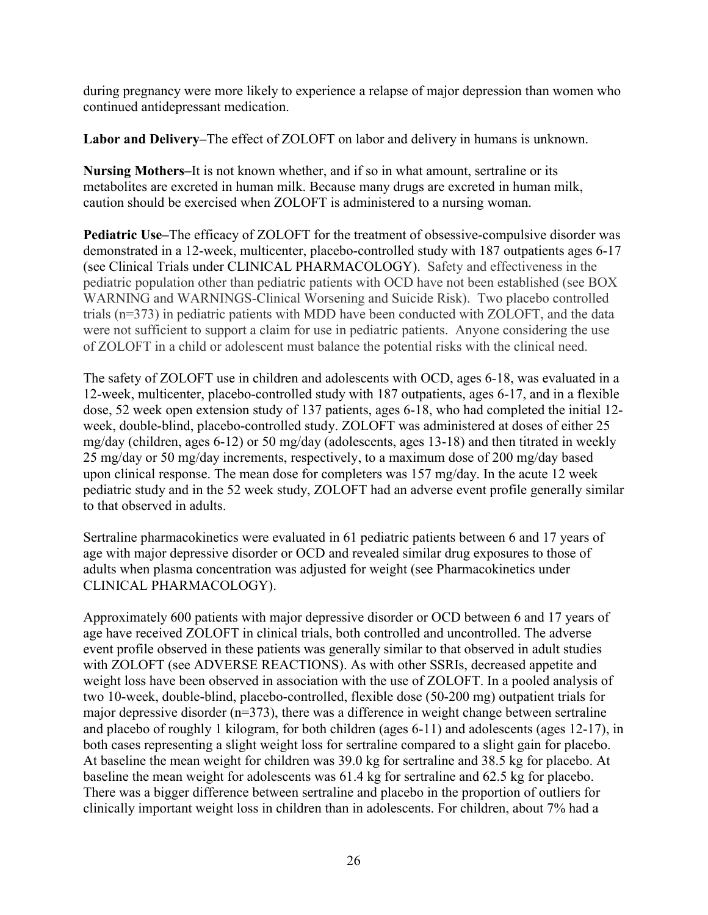during pregnancy were more likely to experience a relapse of major depression than women who continued antidepressant medication.

**Labor and Delivery–**The effect of ZOLOFT on labor and delivery in humans is unknown.

**Nursing Mothers–**It is not known whether, and if so in what amount, sertraline or its metabolites are excreted in human milk. Because many drugs are excreted in human milk, caution should be exercised when ZOLOFT is administered to a nursing woman.

**Pediatric Use–**The efficacy of ZOLOFT for the treatment of obsessive-compulsive disorder was demonstrated in a 12-week, multicenter, placebo-controlled study with 187 outpatients ages 6-17 (see Clinical Trials under CLINICAL PHARMACOLOGY). Safety and effectiveness in the pediatric population other than pediatric patients with OCD have not been established (see BOX WARNING and WARNINGS-Clinical Worsening and Suicide Risk). Two placebo controlled trials (n=373) in pediatric patients with MDD have been conducted with ZOLOFT, and the data were not sufficient to support a claim for use in pediatric patients. Anyone considering the use of ZOLOFT in a child or adolescent must balance the potential risks with the clinical need.

The safety of ZOLOFT use in children and adolescents with OCD, ages 6-18, was evaluated in a 12-week, multicenter, placebo-controlled study with 187 outpatients, ages 6-17, and in a flexible dose, 52 week open extension study of 137 patients, ages 6-18, who had completed the initial 12 week, double-blind, placebo-controlled study. ZOLOFT was administered at doses of either 25 mg/day (children, ages 6-12) or 50 mg/day (adolescents, ages 13-18) and then titrated in weekly 25 mg/day or 50 mg/day increments, respectively, to a maximum dose of 200 mg/day based upon clinical response. The mean dose for completers was 157 mg/day. In the acute 12 week pediatric study and in the 52 week study, ZOLOFT had an adverse event profile generally similar to that observed in adults.

Sertraline pharmacokinetics were evaluated in 61 pediatric patients between 6 and 17 years of age with major depressive disorder or OCD and revealed similar drug exposures to those of adults when plasma concentration was adjusted for weight (see Pharmacokinetics under CLINICAL PHARMACOLOGY).

Approximately 600 patients with major depressive disorder or OCD between 6 and 17 years of age have received ZOLOFT in clinical trials, both controlled and uncontrolled. The adverse event profile observed in these patients was generally similar to that observed in adult studies with ZOLOFT (see ADVERSE REACTIONS). As with other SSRIs, decreased appetite and weight loss have been observed in association with the use of ZOLOFT. In a pooled analysis of two 10-week, double-blind, placebo-controlled, flexible dose (50-200 mg) outpatient trials for major depressive disorder  $(n=373)$ , there was a difference in weight change between sertraline and placebo of roughly 1 kilogram, for both children (ages 6-11) and adolescents (ages 12-17), in both cases representing a slight weight loss for sertraline compared to a slight gain for placebo. At baseline the mean weight for children was 39.0 kg for sertraline and 38.5 kg for placebo. At baseline the mean weight for adolescents was 61.4 kg for sertraline and 62.5 kg for placebo. There was a bigger difference between sertraline and placebo in the proportion of outliers for clinically important weight loss in children than in adolescents. For children, about 7% had a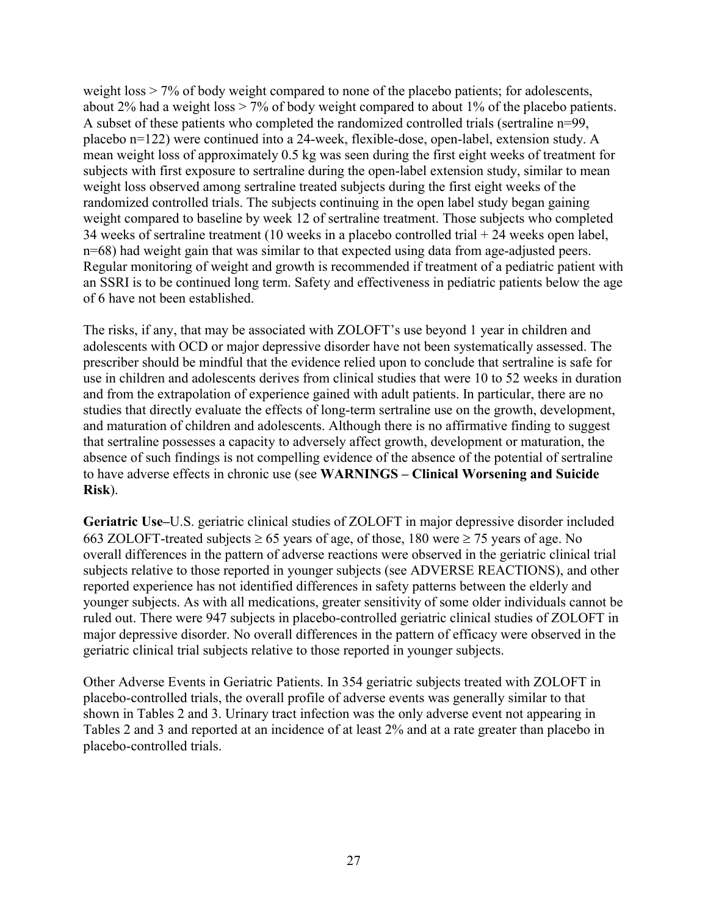weight loss  $> 7\%$  of body weight compared to none of the placebo patients; for adolescents, about 2% had a weight loss > 7% of body weight compared to about 1% of the placebo patients. A subset of these patients who completed the randomized controlled trials (sertraline n=99, placebo n=122) were continued into a 24-week, flexible-dose, open-label, extension study. A mean weight loss of approximately 0.5 kg was seen during the first eight weeks of treatment for subjects with first exposure to sertraline during the open-label extension study, similar to mean weight loss observed among sertraline treated subjects during the first eight weeks of the randomized controlled trials. The subjects continuing in the open label study began gaining weight compared to baseline by week 12 of sertraline treatment. Those subjects who completed 34 weeks of sertraline treatment (10 weeks in a placebo controlled trial + 24 weeks open label, n=68) had weight gain that was similar to that expected using data from age-adjusted peers. Regular monitoring of weight and growth is recommended if treatment of a pediatric patient with an SSRI is to be continued long term. Safety and effectiveness in pediatric patients below the age of 6 have not been established.

The risks, if any, that may be associated with ZOLOFT's use beyond 1 year in children and adolescents with OCD or major depressive disorder have not been systematically assessed. The prescriber should be mindful that the evidence relied upon to conclude that sertraline is safe for use in children and adolescents derives from clinical studies that were 10 to 52 weeks in duration and from the extrapolation of experience gained with adult patients. In particular, there are no studies that directly evaluate the effects of long-term sertraline use on the growth, development, and maturation of children and adolescents. Although there is no affirmative finding to suggest that sertraline possesses a capacity to adversely affect growth, development or maturation, the absence of such findings is not compelling evidence of the absence of the potential of sertraline to have adverse effects in chronic use (see **WARNINGS – Clinical Worsening and Suicide Risk**).

**Geriatric Use–**U.S. geriatric clinical studies of ZOLOFT in major depressive disorder included 663 ZOLOFT-treated subjects  $\geq 65$  years of age, of those, 180 were  $\geq 75$  years of age. No overall differences in the pattern of adverse reactions were observed in the geriatric clinical trial subjects relative to those reported in younger subjects (see ADVERSE REACTIONS), and other reported experience has not identified differences in safety patterns between the elderly and younger subjects. As with all medications, greater sensitivity of some older individuals cannot be ruled out. There were 947 subjects in placebo-controlled geriatric clinical studies of ZOLOFT in major depressive disorder. No overall differences in the pattern of efficacy were observed in the geriatric clinical trial subjects relative to those reported in younger subjects.

Other Adverse Events in Geriatric Patients. In 354 geriatric subjects treated with ZOLOFT in placebo-controlled trials, the overall profile of adverse events was generally similar to that shown in Tables 2 and 3. Urinary tract infection was the only adverse event not appearing in Tables 2 and 3 and reported at an incidence of at least 2% and at a rate greater than placebo in placebo-controlled trials.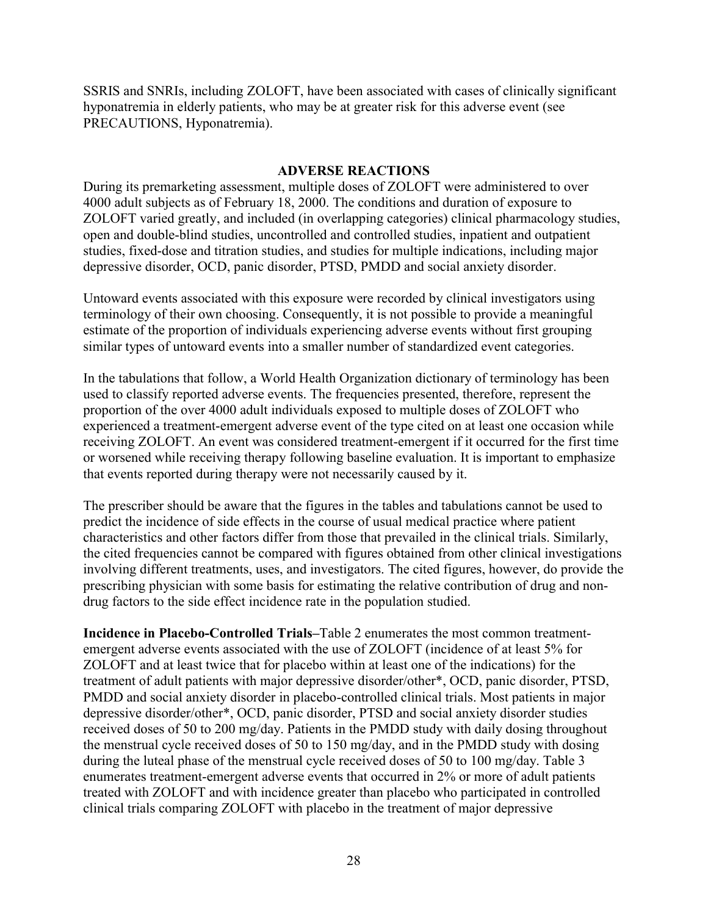SSRIS and SNRIs, including ZOLOFT, have been associated with cases of clinically significant hyponatremia in elderly patients, who may be at greater risk for this adverse event (see PRECAUTIONS, Hyponatremia).

# **ADVERSE REACTIONS**

During its premarketing assessment, multiple doses of ZOLOFT were administered to over 4000 adult subjects as of February 18, 2000. The conditions and duration of exposure to ZOLOFT varied greatly, and included (in overlapping categories) clinical pharmacology studies, open and double-blind studies, uncontrolled and controlled studies, inpatient and outpatient studies, fixed-dose and titration studies, and studies for multiple indications, including major depressive disorder, OCD, panic disorder, PTSD, PMDD and social anxiety disorder.

Untoward events associated with this exposure were recorded by clinical investigators using terminology of their own choosing. Consequently, it is not possible to provide a meaningful estimate of the proportion of individuals experiencing adverse events without first grouping similar types of untoward events into a smaller number of standardized event categories.

In the tabulations that follow, a World Health Organization dictionary of terminology has been used to classify reported adverse events. The frequencies presented, therefore, represent the proportion of the over 4000 adult individuals exposed to multiple doses of ZOLOFT who experienced a treatment-emergent adverse event of the type cited on at least one occasion while receiving ZOLOFT. An event was considered treatment-emergent if it occurred for the first time or worsened while receiving therapy following baseline evaluation. It is important to emphasize that events reported during therapy were not necessarily caused by it.

The prescriber should be aware that the figures in the tables and tabulations cannot be used to predict the incidence of side effects in the course of usual medical practice where patient characteristics and other factors differ from those that prevailed in the clinical trials. Similarly, the cited frequencies cannot be compared with figures obtained from other clinical investigations involving different treatments, uses, and investigators. The cited figures, however, do provide the prescribing physician with some basis for estimating the relative contribution of drug and nondrug factors to the side effect incidence rate in the population studied.

**Incidence in Placebo-Controlled Trials–**Table 2 enumerates the most common treatmentemergent adverse events associated with the use of ZOLOFT (incidence of at least 5% for ZOLOFT and at least twice that for placebo within at least one of the indications) for the treatment of adult patients with major depressive disorder/other\*, OCD, panic disorder, PTSD, PMDD and social anxiety disorder in placebo-controlled clinical trials. Most patients in major depressive disorder/other\*, OCD, panic disorder, PTSD and social anxiety disorder studies received doses of 50 to 200 mg/day. Patients in the PMDD study with daily dosing throughout the menstrual cycle received doses of 50 to 150 mg/day, and in the PMDD study with dosing during the luteal phase of the menstrual cycle received doses of 50 to 100 mg/day. Table 3 enumerates treatment-emergent adverse events that occurred in 2% or more of adult patients treated with ZOLOFT and with incidence greater than placebo who participated in controlled clinical trials comparing ZOLOFT with placebo in the treatment of major depressive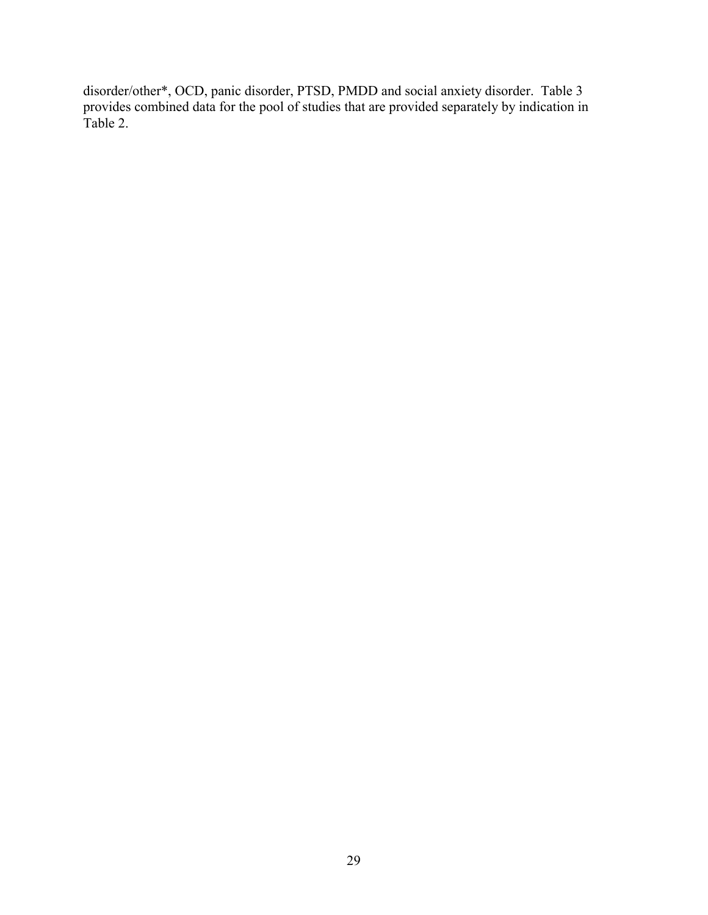disorder/other\*, OCD, panic disorder, PTSD, PMDD and social anxiety disorder. Table 3 provides combined data for the pool of studies that are provided separately by indication in Table 2.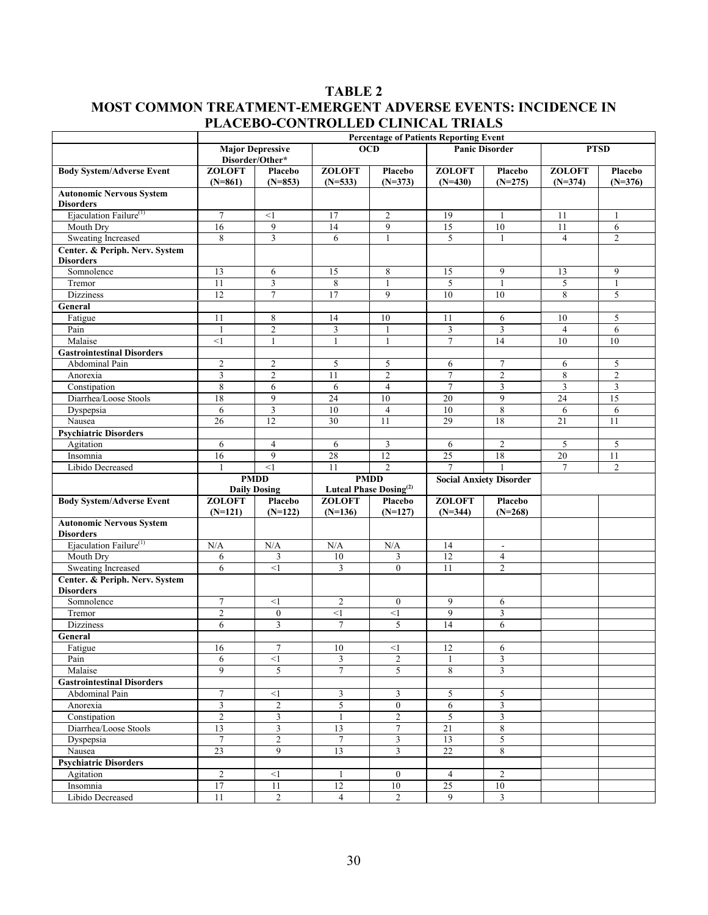# **TABLE 2 MOST COMMON TREATMENT-EMERGENT ADVERSE EVENTS: INCIDENCE IN PLACEBO-CONTROLLED CLINICAL TRIALS**

|                                    | <b>Percentage of Patients Reporting Event</b> |                                  |                       |                                    |                                |                                     |                |                      |
|------------------------------------|-----------------------------------------------|----------------------------------|-----------------------|------------------------------------|--------------------------------|-------------------------------------|----------------|----------------------|
|                                    | <b>Major Depressive</b><br><b>OCD</b>         |                                  | <b>Panic Disorder</b> |                                    | <b>PTSD</b>                    |                                     |                |                      |
|                                    | Disorder/Other*                               |                                  |                       |                                    |                                |                                     |                |                      |
| <b>Body System/Adverse Event</b>   | <b>ZOLOFT</b>                                 | Placebo<br>$(N=853)$             | <b>ZOLOFT</b>         | Placebo<br>$(N=373)$               | <b>ZOLOFT</b><br>$(N=430)$     | Placebo                             | <b>ZOLOFT</b>  | Placebo<br>$(N=376)$ |
| <b>Autonomic Nervous System</b>    | $(N=861)$                                     |                                  | $(N=533)$             |                                    |                                | $(N=275)$                           | $(N=374)$      |                      |
| <b>Disorders</b>                   |                                               |                                  |                       |                                    |                                |                                     |                |                      |
| Ejaculation Failure <sup>(1)</sup> | $\overline{7}$                                | $\leq$ 1                         | 17                    | 2                                  | 19                             | $\mathbf{1}$                        | 11             | 1                    |
| Mouth Dry                          | $\overline{16}$                               | 9                                | 14                    | 9                                  | $\overline{15}$                | 10                                  | 11             | 6                    |
| <b>Sweating Increased</b>          | 8                                             | $\overline{3}$                   | 6                     | $\mathbf{1}$                       | 5                              | $\mathbf{1}$                        | $\overline{4}$ | $\overline{2}$       |
| Center. & Periph. Nerv. System     |                                               |                                  |                       |                                    |                                |                                     |                |                      |
| <b>Disorders</b>                   |                                               |                                  |                       |                                    |                                |                                     |                |                      |
| Somnolence                         | 13                                            | 6                                | 15                    | 8                                  | 15                             | 9                                   | 13             | 9                    |
| Tremor                             | 11                                            | 3                                | 8                     | 1                                  | 5                              | $\overline{1}$                      | 5              | 1                    |
| <b>Dizziness</b>                   | 12                                            | $\tau$                           | 17                    | 9                                  | 10                             | 10                                  | 8              | 5                    |
| General                            |                                               |                                  |                       |                                    |                                |                                     |                |                      |
| Fatigue                            | 11                                            | 8                                | 14                    | 10                                 | 11                             | 6                                   | 10             | 5                    |
| Pain                               | 1                                             | $\overline{2}$                   | 3                     | 1                                  | 3                              | 3                                   | $\overline{4}$ | 6                    |
| Malaise                            | $\leq$ 1                                      | 1                                | $\mathbf{1}$          | 1                                  | $\overline{7}$                 | 14                                  | 10             | 10                   |
| <b>Gastrointestinal Disorders</b>  |                                               |                                  |                       |                                    |                                |                                     |                |                      |
| Abdominal Pain                     | $\overline{2}$<br>$\overline{3}$              | $\overline{2}$<br>$\overline{c}$ | 5<br>11               | 5<br>$\overline{2}$                | 6<br>$\overline{7}$            | $\tau$<br>$\overline{2}$            | 6<br>8         | 5<br>$\overline{2}$  |
| Anorexia                           | 8                                             |                                  |                       | 4                                  | 7                              |                                     | 3              |                      |
| Constipation                       | 18                                            | 6<br>9                           | 6<br>$\overline{24}$  | $\overline{10}$                    | $\overline{20}$                | 3<br>9                              | 24             | 3<br>15              |
| Diarrhea/Loose Stools              | 6                                             | 3                                | 10                    | $\overline{4}$                     | 10                             | 8                                   | 6              | 6                    |
| Dyspepsia<br>Nausea                | 26                                            | 12                               | $\overline{30}$       | 11                                 | 29                             | 18                                  | 21             | 11                   |
| <b>Psychiatric Disorders</b>       |                                               |                                  |                       |                                    |                                |                                     |                |                      |
| Agitation                          | 6                                             | $\overline{4}$                   | 6                     | 3                                  | 6                              | $\overline{2}$                      | 5              | 5                    |
| Insomnia                           | 16                                            | 9                                | $\overline{28}$       | 12                                 | $\overline{25}$                | 18                                  | $20\,$         | 11                   |
| Libido Decreased                   |                                               | <1                               | 11                    | $\mathfrak{2}$                     | $\overline{7}$                 |                                     | $\overline{7}$ | 2                    |
|                                    |                                               | <b>PMDD</b>                      |                       | <b>PMDD</b>                        | <b>Social Anxiety Disorder</b> |                                     |                |                      |
|                                    |                                               | <b>Daily Dosing</b>              |                       | Luteal Phase Dosing <sup>(2)</sup> |                                |                                     |                |                      |
| <b>Body System/Adverse Event</b>   | <b>ZOLOFT</b>                                 | Placebo                          | <b>ZOLOFT</b>         | Placebo                            | <b>ZOLOFT</b>                  | Placebo                             |                |                      |
|                                    | $(N=121)$                                     | $(N=122)$                        | $(N=136)$             | $(N=127)$                          | $(N=344)$                      | $(N=268)$                           |                |                      |
| <b>Autonomic Nervous System</b>    |                                               |                                  |                       |                                    |                                |                                     |                |                      |
| <b>Disorders</b>                   |                                               |                                  |                       |                                    |                                |                                     |                |                      |
| Ejaculation Failure <sup>(1)</sup> | N/A                                           | N/A                              | N/A                   | N/A                                | 14                             | $\blacksquare$                      |                |                      |
| <b>Mouth Dry</b>                   | 6                                             | 3                                | 10                    | 3                                  | 12                             | $\overline{4}$                      |                |                      |
| Sweating Increased                 | 6                                             | <1                               | 3                     | $\mathbf{0}$                       | 11                             | $\overline{2}$                      |                |                      |
| Center. & Periph. Nerv. System     |                                               |                                  |                       |                                    |                                |                                     |                |                      |
| <b>Disorders</b>                   |                                               |                                  |                       |                                    |                                |                                     |                |                      |
| Somnolence                         | $\tau$                                        | <1                               | 2                     | $\mathbf{0}$                       | 9                              | 6                                   |                |                      |
| Tremor                             | $\overline{2}$                                | $\mathbf{0}$                     | $\leq$ 1              | $\leq$                             | 9<br>14                        | 3                                   |                |                      |
| <b>Dizziness</b>                   | 6                                             | 3                                | $\overline{7}$        | 5                                  |                                | 6                                   |                |                      |
| General<br>Fatigue                 | 16                                            | $\tau$                           | 10                    |                                    | $\overline{12}$                |                                     |                |                      |
| Pain                               | 6                                             | <1                               | $\overline{3}$        | $<\!\!1$<br>$\overline{2}$         | $\mathbf{1}$                   | $\sigma$<br>$\overline{\mathbf{3}}$ |                |                      |
| Malaise                            | 9                                             | 5                                | $\tau$                | 5                                  | 8                              | 3                                   |                |                      |
| <b>Gastrointestinal Disorders</b>  |                                               |                                  |                       |                                    |                                |                                     |                |                      |
| Abdominal Pain                     | $\tau$                                        | <1                               | 3                     | 3                                  | 5                              | 5                                   |                |                      |
| Anorexia                           | $\overline{3}$                                | $\overline{c}$                   | 5                     | $\boldsymbol{0}$                   | 6                              | 3                                   |                |                      |
| Constipation                       | $\overline{2}$                                | $\overline{3}$                   | $\mathbf{1}$          | $\overline{c}$                     | 5                              | $\mathfrak{Z}$                      |                |                      |
| Diarrhea/Loose Stools              | 13                                            | 3                                | 13                    | $\overline{7}$                     | 21                             | $\,8\,$                             |                |                      |
| Dyspepsia                          | $7\phantom{.0}$                               | $\overline{2}$                   | $7\phantom{.0}$       | 3                                  | 13                             | 5                                   |                |                      |
| Nausea                             | $\overline{23}$                               | $\overline{9}$                   | 13                    | $\overline{\mathbf{3}}$            | $\overline{22}$                | 8                                   |                |                      |
| <b>Psychiatric Disorders</b>       |                                               |                                  |                       |                                    |                                |                                     |                |                      |
| Agitation                          | $\overline{2}$                                | <1                               | -1                    | $\mathbf{0}$                       | 4                              | 2                                   |                |                      |
| Insomnia                           | 17                                            | 11                               | $\overline{12}$       | $10\,$                             | 25                             | 10                                  |                |                      |
| Libido Decreased                   | 11                                            | $\overline{2}$                   | $\overline{4}$        | $\overline{2}$                     | $\overline{9}$                 | $\overline{3}$                      |                |                      |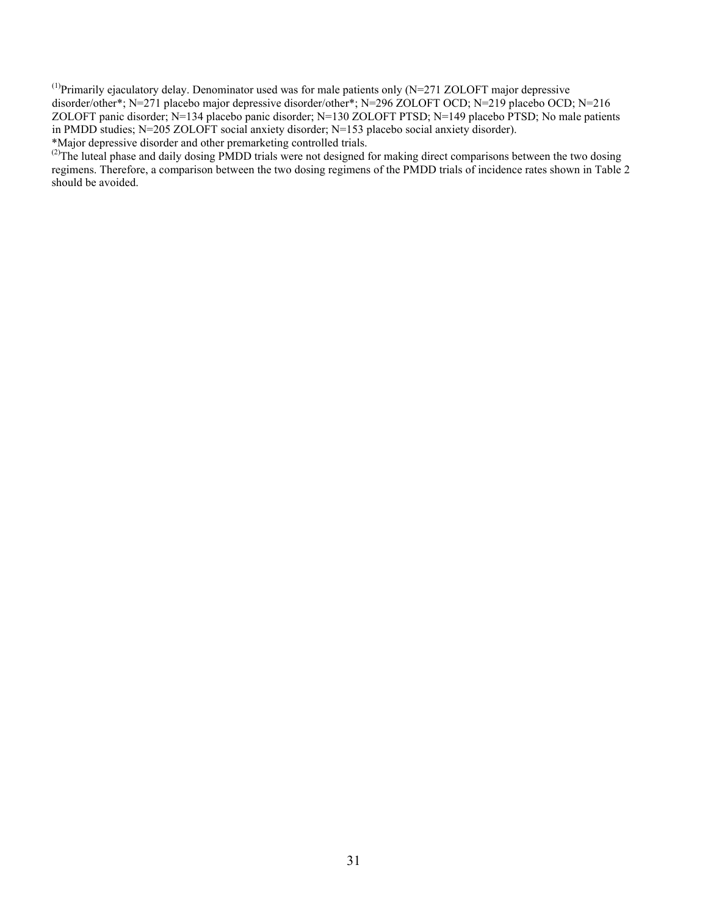$<sup>(1)</sup>$ Primarily ejaculatory delay. Denominator used was for male patients only (N=271 ZOLOFT major depressive</sup> disorder/other\*; N=271 placebo major depressive disorder/other\*; N=296 ZOLOFT OCD; N=219 placebo OCD; N=216 ZOLOFT panic disorder; N=134 placebo panic disorder; N=130 ZOLOFT PTSD; N=149 placebo PTSD; No male patients in PMDD studies; N=205 ZOLOFT social anxiety disorder; N=153 placebo social anxiety disorder). \*Major depressive disorder and other premarketing controlled trials.

<sup>(2)</sup>The luteal phase and daily dosing PMDD trials were not designed for making direct comparisons between the two dosing regimens. Therefore, a comparison between the two dosing regimens of the PMDD trials of incidence rates shown in Table 2 should be avoided.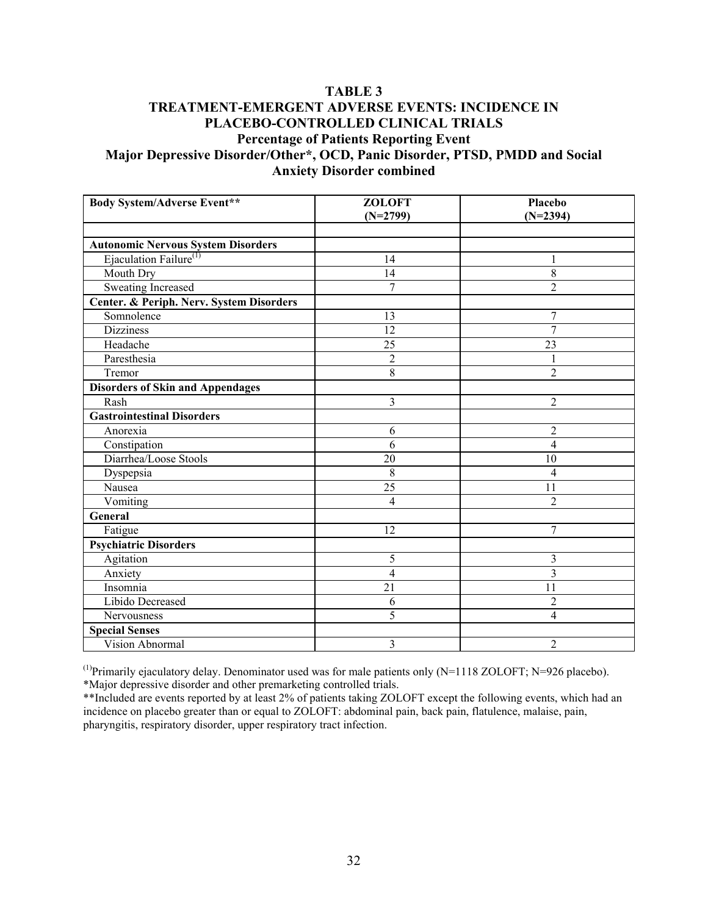#### **TABLE 3**

# **TREATMENT-EMERGENT ADVERSE EVENTS: INCIDENCE IN PLACEBO-CONTROLLED CLINICAL TRIALS Percentage of Patients Reporting Event Major Depressive Disorder/Other\*, OCD, Panic Disorder, PTSD, PMDD and Social Anxiety Disorder combined**

| <b>Body System/Adverse Event**</b>        | <b>ZOLOFT</b>   | Placebo        |
|-------------------------------------------|-----------------|----------------|
|                                           | $(N=2799)$      | $(N=2394)$     |
|                                           |                 |                |
| <b>Autonomic Nervous System Disorders</b> |                 |                |
| Ejaculation Failure <sup>(1)</sup>        | 14              | 1              |
| Mouth Dry                                 | 14              | 8              |
| <b>Sweating Increased</b>                 | 7               | $\overline{2}$ |
| Center. & Periph. Nerv. System Disorders  |                 |                |
| Somnolence                                | 13              | 7              |
| <b>Dizziness</b>                          | 12              | 7              |
| Headache                                  | $\overline{25}$ | 23             |
| Paresthesia                               | $\overline{2}$  |                |
| Tremor                                    | 8               | $\overline{2}$ |
| <b>Disorders of Skin and Appendages</b>   |                 |                |
| Rash                                      | 3               | $\overline{2}$ |
| <b>Gastrointestinal Disorders</b>         |                 |                |
| Anorexia                                  | 6               | $\overline{2}$ |
| Constipation                              | 6               | $\overline{4}$ |
| Diarrhea/Loose Stools                     | 20              | 10             |
| Dyspepsia                                 | 8               | $\overline{4}$ |
| Nausea                                    | $\overline{25}$ | 11             |
| Vomiting                                  | $\overline{4}$  | $\overline{2}$ |
| General                                   |                 |                |
| Fatigue                                   | 12              | $\overline{7}$ |
| <b>Psychiatric Disorders</b>              |                 |                |
| Agitation                                 | 5               | 3              |
| Anxiety                                   | 4               | 3              |
| Insomnia                                  | 21              | 11             |
| Libido Decreased                          | 6               | $\overline{2}$ |
| Nervousness                               | 5               | 4              |
| <b>Special Senses</b>                     |                 |                |
| Vision Abnormal                           | 3               | $\overline{2}$ |

(1)Primarily ejaculatory delay. Denominator used was for male patients only (N=1118 ZOLOFT; N=926 placebo). \*Major depressive disorder and other premarketing controlled trials.

\*\*Included are events reported by at least 2% of patients taking ZOLOFT except the following events, which had an incidence on placebo greater than or equal to ZOLOFT: abdominal pain, back pain, flatulence, malaise, pain, pharyngitis, respiratory disorder, upper respiratory tract infection.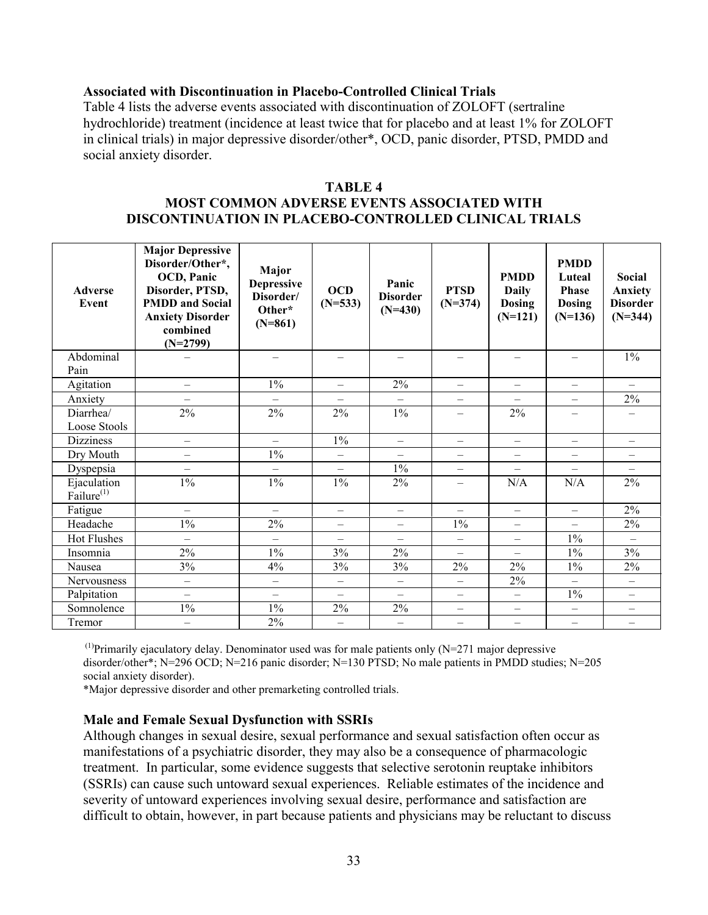## **Associated with Discontinuation in Placebo-Controlled Clinical Trials**

Table 4 lists the adverse events associated with discontinuation of ZOLOFT (sertraline hydrochloride) treatment (incidence at least twice that for placebo and at least 1% for ZOLOFT in clinical trials) in major depressive disorder/other\*, OCD, panic disorder, PTSD, PMDD and social anxiety disorder.

## **TABLE 4 MOST COMMON ADVERSE EVENTS ASSOCIATED WITH DISCONTINUATION IN PLACEBO-CONTROLLED CLINICAL TRIALS**

| <b>Adverse</b><br>Event            | <b>Major Depressive</b><br>Disorder/Other*,<br>OCD, Panic<br>Disorder, PTSD,<br><b>PMDD</b> and Social<br><b>Anxiety Disorder</b><br>combined<br>$(N=2799)$ | Major<br><b>Depressive</b><br>Disorder/<br>Other*<br>$(N=861)$ | <b>OCD</b><br>$(N=533)$  | Panic<br><b>Disorder</b><br>$(N=430)$ | <b>PTSD</b><br>$(N=374)$ | <b>PMDD</b><br><b>Daily</b><br><b>Dosing</b><br>$(N=121)$ | <b>PMDD</b><br>Luteal<br><b>Phase</b><br><b>Dosing</b><br>$(N=136)$ | <b>Social</b><br><b>Anxiety</b><br><b>Disorder</b><br>$(N=344)$ |
|------------------------------------|-------------------------------------------------------------------------------------------------------------------------------------------------------------|----------------------------------------------------------------|--------------------------|---------------------------------------|--------------------------|-----------------------------------------------------------|---------------------------------------------------------------------|-----------------------------------------------------------------|
| Abdominal                          |                                                                                                                                                             | $\overline{\phantom{0}}$                                       |                          | $\qquad \qquad -$                     |                          | $\equiv$                                                  |                                                                     | $1\%$                                                           |
| Pain                               |                                                                                                                                                             |                                                                |                          |                                       |                          |                                                           |                                                                     |                                                                 |
| Agitation                          |                                                                                                                                                             | $1\%$                                                          | $\qquad \qquad -$        | $2\%$                                 |                          | $\qquad \qquad -$                                         |                                                                     |                                                                 |
| Anxiety                            |                                                                                                                                                             | $\equiv$                                                       | $\equiv$                 | $\equiv$                              |                          | $\equiv$                                                  |                                                                     | 2%                                                              |
| Diarrhea/                          | $2\%$                                                                                                                                                       | $2\%$                                                          | $2\%$                    | $1\%$                                 | $\overline{\phantom{0}}$ | 2%                                                        | $\overline{\phantom{0}}$                                            | $\overline{\phantom{0}}$                                        |
| Loose Stools                       |                                                                                                                                                             |                                                                |                          |                                       |                          |                                                           |                                                                     |                                                                 |
| <b>Dizziness</b>                   | $\overline{\phantom{m}}$                                                                                                                                    | $\overline{\phantom{0}}$                                       | $1\%$                    | $\overline{\phantom{m}}$              |                          | $\overline{\phantom{m}}$                                  | $\qquad \qquad -$                                                   | $\overline{\phantom{0}}$                                        |
| Dry Mouth                          | $\overline{\phantom{m}}$                                                                                                                                    | $1\%$                                                          | $\overline{\phantom{m}}$ | $\equiv$                              | $\qquad \qquad -$        | $\overline{\phantom{0}}$                                  | $\overline{\phantom{0}}$                                            | $\qquad \qquad -$                                               |
| Dyspepsia                          | $\equiv$                                                                                                                                                    | $\overline{\phantom{0}}$                                       | $\overline{\phantom{0}}$ | $1\%$                                 | —                        |                                                           |                                                                     | $\overline{\phantom{0}}$                                        |
| Ejaculation<br>$F\$ {ailure}^{(1)} | $1\%$                                                                                                                                                       | $1\%$                                                          | $1\%$                    | $2\%$                                 |                          | N/A                                                       | N/A                                                                 | 2%                                                              |
| Fatigue                            | —                                                                                                                                                           | $\overline{\phantom{0}}$                                       | $\qquad \qquad -$        | $\overline{\phantom{m}}$              | $\overline{\phantom{0}}$ | $\qquad \qquad -$                                         | —                                                                   | $2\%$                                                           |
| Headache                           | $1\%$                                                                                                                                                       | $2\%$                                                          |                          | $\overline{\phantom{m}}$              | $1\%$                    | $\equiv$                                                  | $\qquad \qquad -$                                                   | 2%                                                              |
| Hot Flushes                        | $\overline{\phantom{m}}$                                                                                                                                    | $\overline{\phantom{m}}$                                       | $\qquad \qquad -$        | $\overline{\phantom{m}}$              | $\overline{\phantom{m}}$ | $\overline{\phantom{0}}$                                  | $1\%$                                                               | $\equiv$                                                        |
| Insomnia                           | $2\%$                                                                                                                                                       | $1\%$                                                          | 3%                       | $2\%$                                 | $\equiv$                 | $\equiv$                                                  | $1\%$                                                               | 3%                                                              |
| Nausea                             | 3%                                                                                                                                                          | 4%                                                             | 3%                       | 3%                                    | 2%                       | 2%                                                        | $1\%$                                                               | 2%                                                              |
| Nervousness                        | $\overline{\phantom{m}}$                                                                                                                                    | $\overline{\phantom{0}}$                                       | $\overline{\phantom{m}}$ | $\overline{\phantom{m}}$              | $\overline{\phantom{m}}$ | 2%                                                        | $\qquad \qquad -$                                                   | $\overline{\phantom{m}}$                                        |
| Palpitation                        | $\qquad \qquad -$                                                                                                                                           | $\overline{\phantom{m}}$                                       | $\qquad \qquad -$        | $\overline{\phantom{m}}$              |                          | $\overline{\phantom{m}}$                                  | 1%                                                                  | $\overline{\phantom{m}}$                                        |
| Somnolence                         | $1\%$                                                                                                                                                       | $1\%$                                                          | 2%                       | $2\%$                                 | —                        | $\qquad \qquad -$                                         | $\overline{\phantom{0}}$                                            | $\overline{\phantom{0}}$                                        |
| Tremor                             | $\qquad \qquad -$                                                                                                                                           | $2\%$                                                          | $\equiv$                 | $\overline{\phantom{m}}$              | $\overline{\phantom{0}}$ | $\overline{\phantom{0}}$                                  | $\overline{\phantom{m}}$                                            | $\qquad \qquad -$                                               |

<sup>(1)</sup>Primarily ejaculatory delay. Denominator used was for male patients only  $(N=271$  major depressive disorder/other\*; N=296 OCD; N=216 panic disorder; N=130 PTSD; No male patients in PMDD studies; N=205 social anxiety disorder).

\*Major depressive disorder and other premarketing controlled trials.

## **Male and Female Sexual Dysfunction with SSRIs**

Although changes in sexual desire, sexual performance and sexual satisfaction often occur as manifestations of a psychiatric disorder, they may also be a consequence of pharmacologic treatment. In particular, some evidence suggests that selective serotonin reuptake inhibitors (SSRIs) can cause such untoward sexual experiences. Reliable estimates of the incidence and severity of untoward experiences involving sexual desire, performance and satisfaction are difficult to obtain, however, in part because patients and physicians may be reluctant to discuss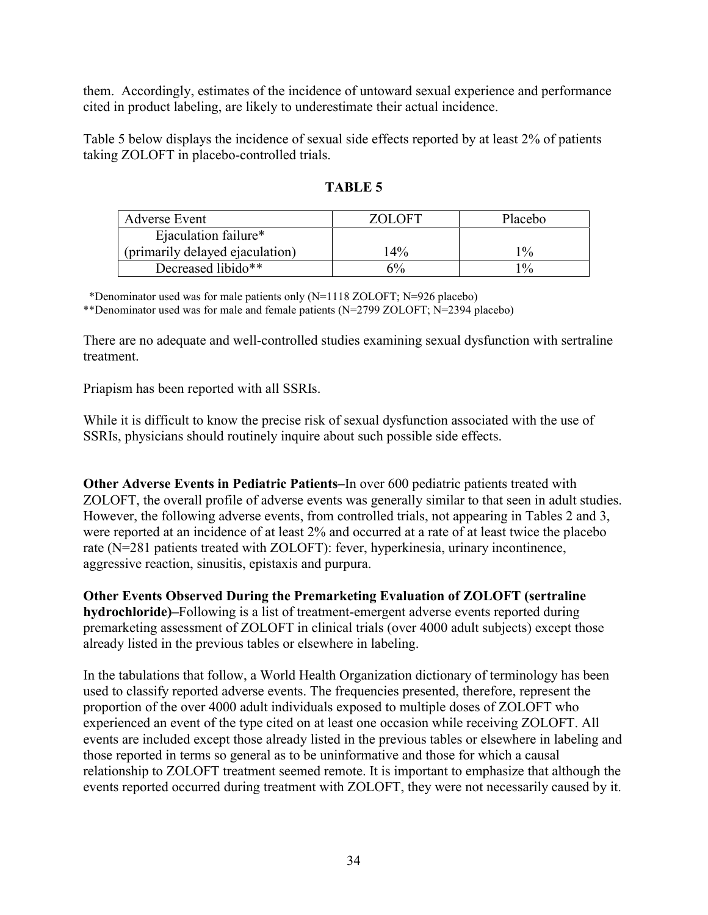them. Accordingly, estimates of the incidence of untoward sexual experience and performance cited in product labeling, are likely to underestimate their actual incidence.

Table 5 below displays the incidence of sexual side effects reported by at least 2% of patients taking ZOLOFT in placebo-controlled trials.

| Adverse Event                   | ZOLOFT | Placebo |
|---------------------------------|--------|---------|
| Ejaculation failure*            |        |         |
| (primarily delayed ejaculation) | 14%    | $1\%$   |
| Decreased libido**              | 6%     | $1\%$   |

# **TABLE 5**

 \*Denominator used was for male patients only (N=1118 ZOLOFT; N=926 placebo) \*\*Denominator used was for male and female patients (N=2799 ZOLOFT; N=2394 placebo)

There are no adequate and well-controlled studies examining sexual dysfunction with sertraline treatment.

Priapism has been reported with all SSRIs.

While it is difficult to know the precise risk of sexual dysfunction associated with the use of SSRIs, physicians should routinely inquire about such possible side effects.

**Other Adverse Events in Pediatric Patients–**In over 600 pediatric patients treated with ZOLOFT, the overall profile of adverse events was generally similar to that seen in adult studies. However, the following adverse events, from controlled trials, not appearing in Tables 2 and 3, were reported at an incidence of at least 2% and occurred at a rate of at least twice the placebo rate (N=281 patients treated with ZOLOFT): fever, hyperkinesia, urinary incontinence, aggressive reaction, sinusitis, epistaxis and purpura.

**Other Events Observed During the Premarketing Evaluation of ZOLOFT (sertraline hydrochloride)–**Following is a list of treatment-emergent adverse events reported during premarketing assessment of ZOLOFT in clinical trials (over 4000 adult subjects) except those already listed in the previous tables or elsewhere in labeling.

In the tabulations that follow, a World Health Organization dictionary of terminology has been used to classify reported adverse events. The frequencies presented, therefore, represent the proportion of the over 4000 adult individuals exposed to multiple doses of ZOLOFT who experienced an event of the type cited on at least one occasion while receiving ZOLOFT. All events are included except those already listed in the previous tables or elsewhere in labeling and those reported in terms so general as to be uninformative and those for which a causal relationship to ZOLOFT treatment seemed remote. It is important to emphasize that although the events reported occurred during treatment with ZOLOFT, they were not necessarily caused by it.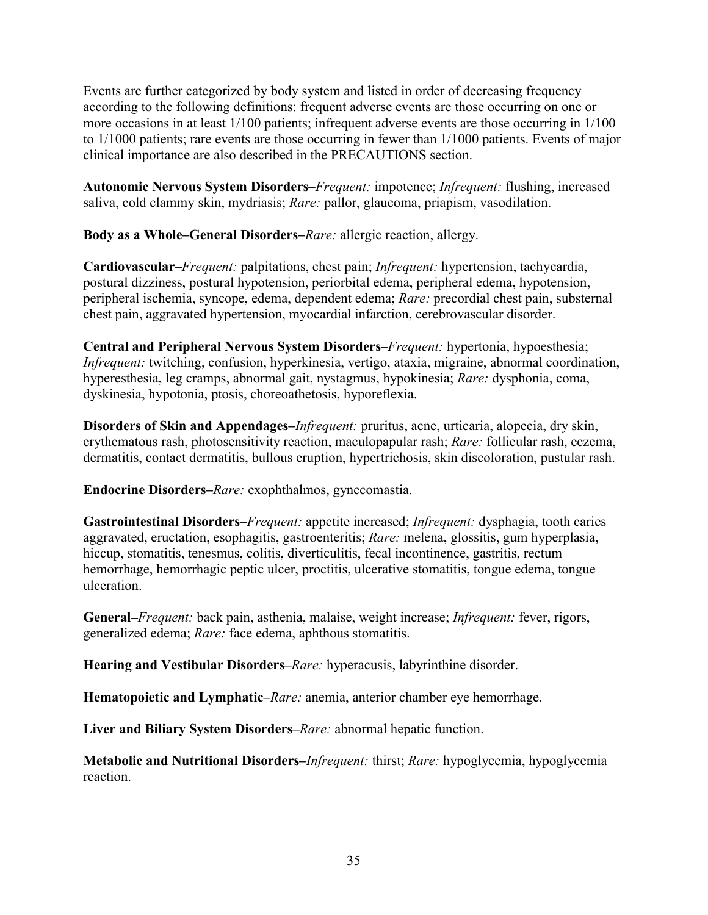Events are further categorized by body system and listed in order of decreasing frequency according to the following definitions: frequent adverse events are those occurring on one or more occasions in at least 1/100 patients; infrequent adverse events are those occurring in 1/100 to 1/1000 patients; rare events are those occurring in fewer than 1/1000 patients. Events of major clinical importance are also described in the PRECAUTIONS section.

**Autonomic Nervous System Disorders–***Frequent:* impotence; *Infrequent:* flushing, increased saliva, cold clammy skin, mydriasis; *Rare:* pallor, glaucoma, priapism, vasodilation.

**Body as a Whole–General Disorders–***Rare:* allergic reaction, allergy.

**Cardiovascular–***Frequent:* palpitations, chest pain; *Infrequent:* hypertension, tachycardia, postural dizziness, postural hypotension, periorbital edema, peripheral edema, hypotension, peripheral ischemia, syncope, edema, dependent edema; *Rare:* precordial chest pain, substernal chest pain, aggravated hypertension, myocardial infarction, cerebrovascular disorder.

**Central and Peripheral Nervous System Disorders–***Frequent:* hypertonia, hypoesthesia; *Infrequent:* twitching, confusion, hyperkinesia, vertigo, ataxia, migraine, abnormal coordination, hyperesthesia, leg cramps, abnormal gait, nystagmus, hypokinesia; *Rare:* dysphonia, coma, dyskinesia, hypotonia, ptosis, choreoathetosis, hyporeflexia.

**Disorders of Skin and Appendages–***Infrequent:* pruritus, acne, urticaria, alopecia, dry skin, erythematous rash, photosensitivity reaction, maculopapular rash; *Rare:* follicular rash, eczema, dermatitis, contact dermatitis, bullous eruption, hypertrichosis, skin discoloration, pustular rash.

**Endocrine Disorders–***Rare:* exophthalmos, gynecomastia.

**Gastrointestinal Disorders–***Frequent:* appetite increased; *Infrequent:* dysphagia, tooth caries aggravated, eructation, esophagitis, gastroenteritis; *Rare:* melena, glossitis, gum hyperplasia, hiccup, stomatitis, tenesmus, colitis, diverticulitis, fecal incontinence, gastritis, rectum hemorrhage, hemorrhagic peptic ulcer, proctitis, ulcerative stomatitis, tongue edema, tongue ulceration.

**General–***Frequent:* back pain, asthenia, malaise, weight increase; *Infrequent:* fever, rigors, generalized edema; *Rare:* face edema, aphthous stomatitis.

**Hearing and Vestibular Disorders–***Rare:* hyperacusis, labyrinthine disorder.

**Hematopoietic and Lymphatic–***Rare:* anemia, anterior chamber eye hemorrhage.

**Liver and Biliary System Disorders–***Rare:* abnormal hepatic function.

**Metabolic and Nutritional Disorders–***Infrequent:* thirst; *Rare:* hypoglycemia, hypoglycemia reaction.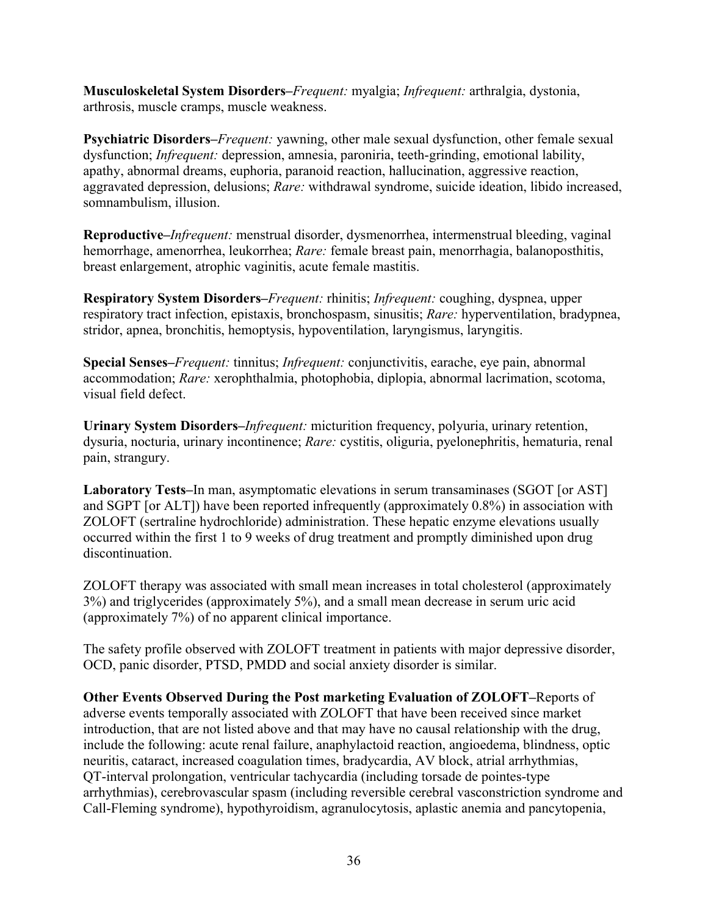**Musculoskeletal System Disorders–***Frequent:* myalgia; *Infrequent:* arthralgia, dystonia, arthrosis, muscle cramps, muscle weakness.

**Psychiatric Disorders–***Frequent:* yawning, other male sexual dysfunction, other female sexual dysfunction; *Infrequent:* depression, amnesia, paroniria, teeth-grinding, emotional lability, apathy, abnormal dreams, euphoria, paranoid reaction, hallucination, aggressive reaction, aggravated depression, delusions; *Rare:* withdrawal syndrome, suicide ideation, libido increased, somnambulism, illusion.

**Reproductive–***Infrequent:* menstrual disorder, dysmenorrhea, intermenstrual bleeding, vaginal hemorrhage, amenorrhea, leukorrhea; *Rare:* female breast pain, menorrhagia, balanoposthitis, breast enlargement, atrophic vaginitis, acute female mastitis.

**Respiratory System Disorders–***Frequent:* rhinitis; *Infrequent:* coughing, dyspnea, upper respiratory tract infection, epistaxis, bronchospasm, sinusitis; *Rare:* hyperventilation, bradypnea, stridor, apnea, bronchitis, hemoptysis, hypoventilation, laryngismus, laryngitis.

**Special Senses–***Frequent:* tinnitus; *Infrequent:* conjunctivitis, earache, eye pain, abnormal accommodation; *Rare:* xerophthalmia, photophobia, diplopia, abnormal lacrimation, scotoma, visual field defect.

**Urinary System Disorders–***Infrequent:* micturition frequency, polyuria, urinary retention, dysuria, nocturia, urinary incontinence; *Rare:* cystitis, oliguria, pyelonephritis, hematuria, renal pain, strangury.

**Laboratory Tests–**In man, asymptomatic elevations in serum transaminases (SGOT [or AST] and SGPT [or ALT]) have been reported infrequently (approximately 0.8%) in association with ZOLOFT (sertraline hydrochloride) administration. These hepatic enzyme elevations usually occurred within the first 1 to 9 weeks of drug treatment and promptly diminished upon drug discontinuation.

ZOLOFT therapy was associated with small mean increases in total cholesterol (approximately 3%) and triglycerides (approximately 5%), and a small mean decrease in serum uric acid (approximately 7%) of no apparent clinical importance.

The safety profile observed with ZOLOFT treatment in patients with major depressive disorder, OCD, panic disorder, PTSD, PMDD and social anxiety disorder is similar.

**Other Events Observed During the Post marketing Evaluation of ZOLOFT–**Reports of adverse events temporally associated with ZOLOFT that have been received since market introduction, that are not listed above and that may have no causal relationship with the drug, include the following: acute renal failure, anaphylactoid reaction, angioedema, blindness, optic neuritis, cataract, increased coagulation times, bradycardia, AV block, atrial arrhythmias, QT-interval prolongation, ventricular tachycardia (including torsade de pointes-type arrhythmias), cerebrovascular spasm (including reversible cerebral vasconstriction syndrome and Call-Fleming syndrome), hypothyroidism, agranulocytosis, aplastic anemia and pancytopenia,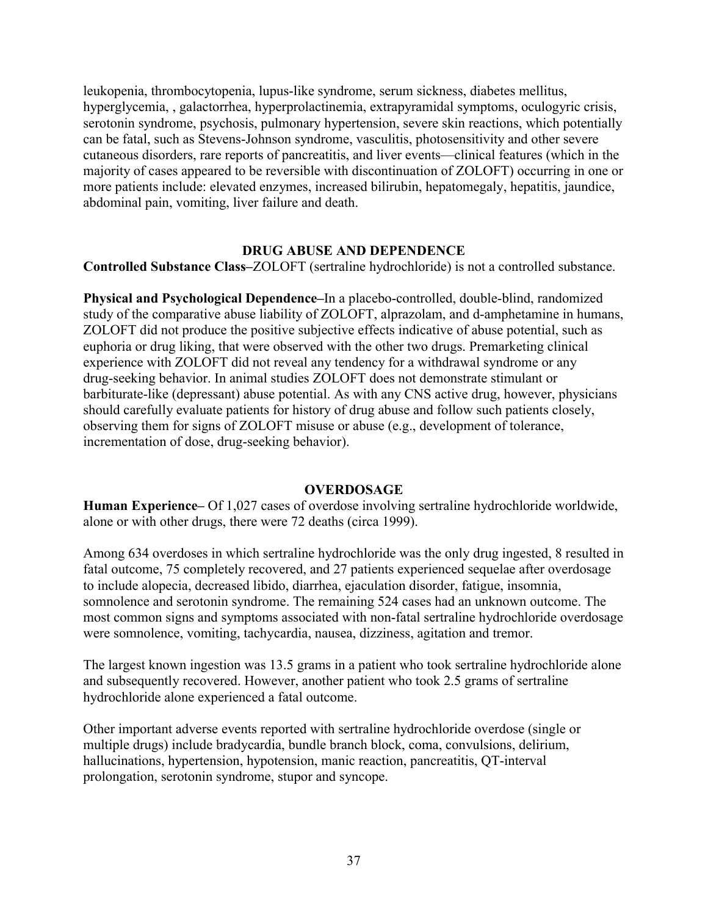leukopenia, thrombocytopenia, lupus-like syndrome, serum sickness, diabetes mellitus, hyperglycemia, , galactorrhea, hyperprolactinemia, extrapyramidal symptoms, oculogyric crisis, serotonin syndrome, psychosis, pulmonary hypertension, severe skin reactions, which potentially can be fatal, such as Stevens-Johnson syndrome, vasculitis, photosensitivity and other severe cutaneous disorders, rare reports of pancreatitis, and liver events—clinical features (which in the majority of cases appeared to be reversible with discontinuation of ZOLOFT) occurring in one or more patients include: elevated enzymes, increased bilirubin, hepatomegaly, hepatitis, jaundice, abdominal pain, vomiting, liver failure and death.

## **DRUG ABUSE AND DEPENDENCE**

**Controlled Substance Class–**ZOLOFT (sertraline hydrochloride) is not a controlled substance.

**Physical and Psychological Dependence–**In a placebo-controlled, double-blind, randomized study of the comparative abuse liability of ZOLOFT, alprazolam, and d-amphetamine in humans, ZOLOFT did not produce the positive subjective effects indicative of abuse potential, such as euphoria or drug liking, that were observed with the other two drugs. Premarketing clinical experience with ZOLOFT did not reveal any tendency for a withdrawal syndrome or any drug-seeking behavior. In animal studies ZOLOFT does not demonstrate stimulant or barbiturate-like (depressant) abuse potential. As with any CNS active drug, however, physicians should carefully evaluate patients for history of drug abuse and follow such patients closely, observing them for signs of ZOLOFT misuse or abuse (e.g., development of tolerance, incrementation of dose, drug-seeking behavior).

## **OVERDOSAGE**

**Human Experience–** Of 1,027 cases of overdose involving sertraline hydrochloride worldwide, alone or with other drugs, there were 72 deaths (circa 1999).

Among 634 overdoses in which sertraline hydrochloride was the only drug ingested, 8 resulted in fatal outcome, 75 completely recovered, and 27 patients experienced sequelae after overdosage to include alopecia, decreased libido, diarrhea, ejaculation disorder, fatigue, insomnia, somnolence and serotonin syndrome. The remaining 524 cases had an unknown outcome. The most common signs and symptoms associated with non-fatal sertraline hydrochloride overdosage were somnolence, vomiting, tachycardia, nausea, dizziness, agitation and tremor.

The largest known ingestion was 13.5 grams in a patient who took sertraline hydrochloride alone and subsequently recovered. However, another patient who took 2.5 grams of sertraline hydrochloride alone experienced a fatal outcome.

Other important adverse events reported with sertraline hydrochloride overdose (single or multiple drugs) include bradycardia, bundle branch block, coma, convulsions, delirium, hallucinations, hypertension, hypotension, manic reaction, pancreatitis, QT-interval prolongation, serotonin syndrome, stupor and syncope.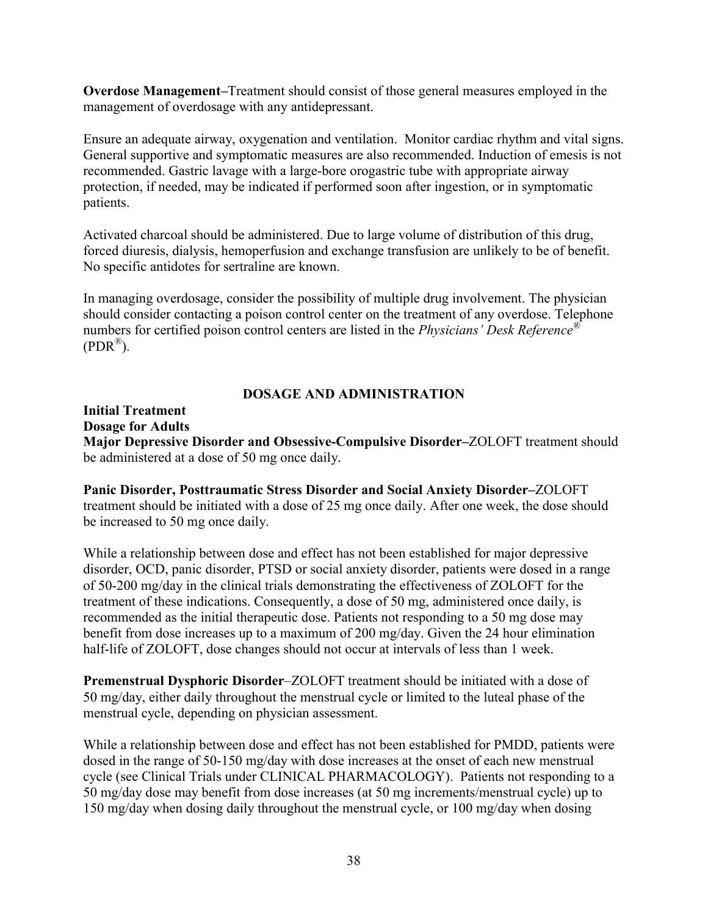**Overdose Management–**Treatment should consist of those general measures employed in the management of overdosage with any antidepressant.

Ensure an adequate airway, oxygenation and ventilation. Monitor cardiac rhythm and vital signs. General supportive and symptomatic measures are also recommended. Induction of emesis is not recommended. Gastric lavage with a large-bore orogastric tube with appropriate airway protection, if needed, may be indicated if performed soon after ingestion, or in symptomatic patients.

Activated charcoal should be administered. Due to large volume of distribution of this drug, forced diuresis, dialysis, hemoperfusion and exchange transfusion are unlikely to be of benefit. No specific antidotes for sertraline are known.

In managing overdosage, consider the possibility of multiple drug involvement. The physician should consider contacting a poison control center on the treatment of any overdose. Telephone numbers for certified poison control centers are listed in the *Physicians' Desk Reference®*  $(PDR^{\circledR})$ .

# **DOSAGE AND ADMINISTRATION**

**Initial Treatment**

**Dosage for Adults**

**Major Depressive Disorder and Obsessive-Compulsive Disorder–**ZOLOFT treatment should be administered at a dose of 50 mg once daily.

**Panic Disorder, Posttraumatic Stress Disorder and Social Anxiety Disorder–**ZOLOFT treatment should be initiated with a dose of 25 mg once daily. After one week, the dose should be increased to 50 mg once daily.

While a relationship between dose and effect has not been established for major depressive disorder, OCD, panic disorder, PTSD or social anxiety disorder, patients were dosed in a range of 50-200 mg/day in the clinical trials demonstrating the effectiveness of ZOLOFT for the treatment of these indications. Consequently, a dose of 50 mg, administered once daily, is recommended as the initial therapeutic dose. Patients not responding to a 50 mg dose may benefit from dose increases up to a maximum of 200 mg/day. Given the 24 hour elimination half-life of ZOLOFT, dose changes should not occur at intervals of less than 1 week.

**Premenstrual Dysphoric Disorder**–ZOLOFT treatment should be initiated with a dose of 50 mg/day, either daily throughout the menstrual cycle or limited to the luteal phase of the menstrual cycle, depending on physician assessment.

While a relationship between dose and effect has not been established for PMDD, patients were dosed in the range of 50-150 mg/day with dose increases at the onset of each new menstrual cycle (see Clinical Trials under CLINICAL PHARMACOLOGY). Patients not responding to a 50 mg/day dose may benefit from dose increases (at 50 mg increments/menstrual cycle) up to 150 mg/day when dosing daily throughout the menstrual cycle, or 100 mg/day when dosing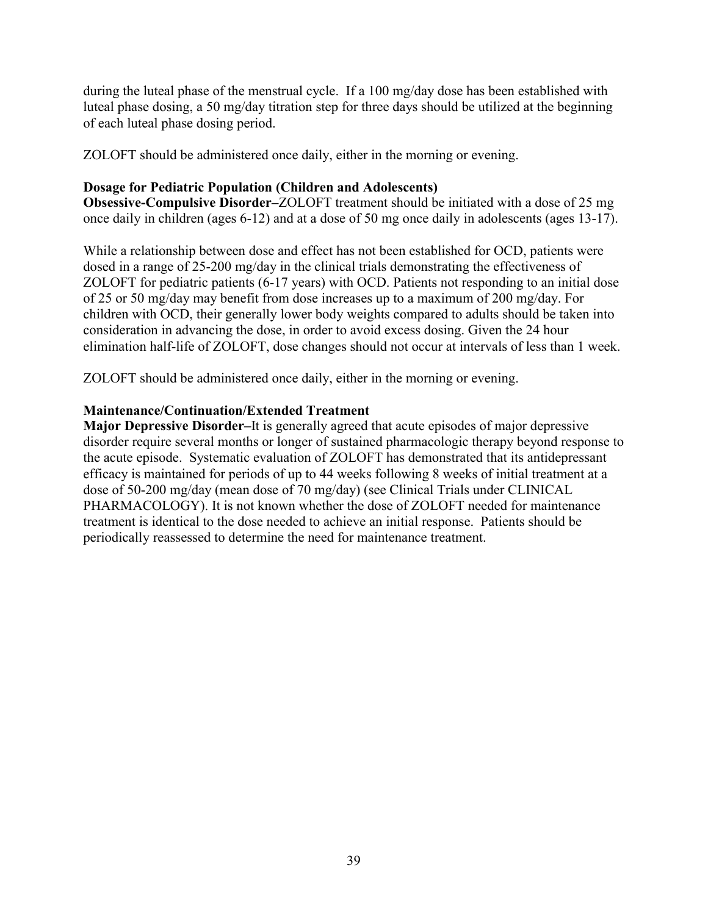during the luteal phase of the menstrual cycle. If a 100 mg/day dose has been established with luteal phase dosing, a 50 mg/day titration step for three days should be utilized at the beginning of each luteal phase dosing period.

ZOLOFT should be administered once daily, either in the morning or evening.

# **Dosage for Pediatric Population (Children and Adolescents)**

**Obsessive-Compulsive Disorder–**ZOLOFT treatment should be initiated with a dose of 25 mg once daily in children (ages 6-12) and at a dose of 50 mg once daily in adolescents (ages 13-17).

While a relationship between dose and effect has not been established for OCD, patients were dosed in a range of 25-200 mg/day in the clinical trials demonstrating the effectiveness of ZOLOFT for pediatric patients (6-17 years) with OCD. Patients not responding to an initial dose of 25 or 50 mg/day may benefit from dose increases up to a maximum of 200 mg/day. For children with OCD, their generally lower body weights compared to adults should be taken into consideration in advancing the dose, in order to avoid excess dosing. Given the 24 hour elimination half-life of ZOLOFT, dose changes should not occur at intervals of less than 1 week.

ZOLOFT should be administered once daily, either in the morning or evening.

# **Maintenance/Continuation/Extended Treatment**

**Major Depressive Disorder–**It is generally agreed that acute episodes of major depressive disorder require several months or longer of sustained pharmacologic therapy beyond response to the acute episode. Systematic evaluation of ZOLOFT has demonstrated that its antidepressant efficacy is maintained for periods of up to 44 weeks following 8 weeks of initial treatment at a dose of 50-200 mg/day (mean dose of 70 mg/day) (see Clinical Trials under CLINICAL PHARMACOLOGY). It is not known whether the dose of ZOLOFT needed for maintenance treatment is identical to the dose needed to achieve an initial response. Patients should be periodically reassessed to determine the need for maintenance treatment.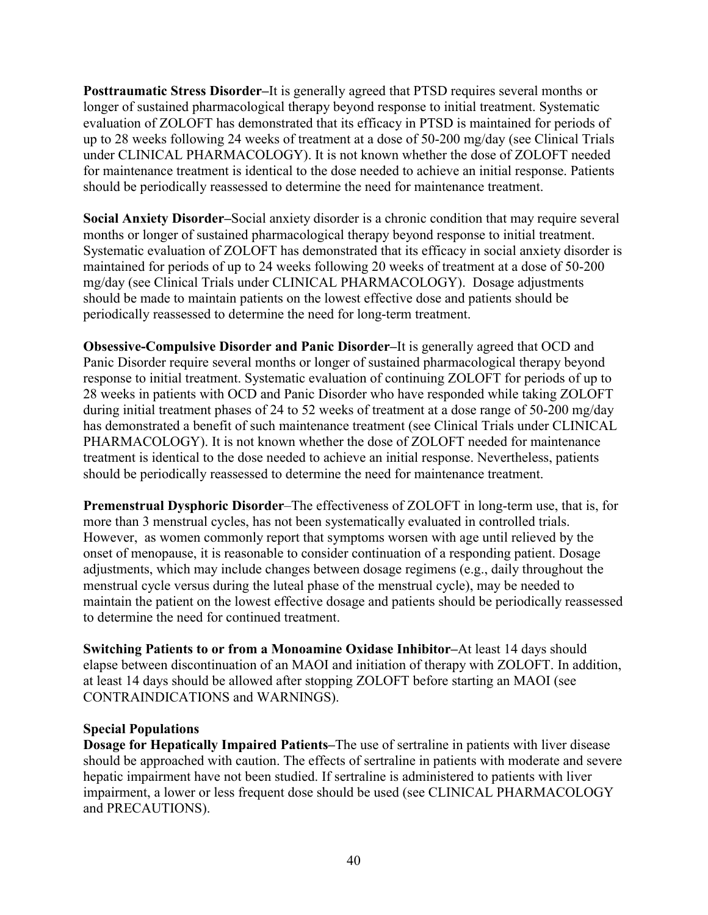**Posttraumatic Stress Disorder–**It is generally agreed that PTSD requires several months or longer of sustained pharmacological therapy beyond response to initial treatment. Systematic evaluation of ZOLOFT has demonstrated that its efficacy in PTSD is maintained for periods of up to 28 weeks following 24 weeks of treatment at a dose of 50-200 mg/day (see Clinical Trials under CLINICAL PHARMACOLOGY). It is not known whether the dose of ZOLOFT needed for maintenance treatment is identical to the dose needed to achieve an initial response. Patients should be periodically reassessed to determine the need for maintenance treatment.

**Social Anxiety Disorder–**Social anxiety disorder is a chronic condition that may require several months or longer of sustained pharmacological therapy beyond response to initial treatment. Systematic evaluation of ZOLOFT has demonstrated that its efficacy in social anxiety disorder is maintained for periods of up to 24 weeks following 20 weeks of treatment at a dose of 50-200 mg/day (see Clinical Trials under CLINICAL PHARMACOLOGY). Dosage adjustments should be made to maintain patients on the lowest effective dose and patients should be periodically reassessed to determine the need for long-term treatment.

**Obsessive-Compulsive Disorder and Panic Disorder–**It is generally agreed that OCD and Panic Disorder require several months or longer of sustained pharmacological therapy beyond response to initial treatment. Systematic evaluation of continuing ZOLOFT for periods of up to 28 weeks in patients with OCD and Panic Disorder who have responded while taking ZOLOFT during initial treatment phases of 24 to 52 weeks of treatment at a dose range of 50-200 mg/day has demonstrated a benefit of such maintenance treatment (see Clinical Trials under CLINICAL PHARMACOLOGY). It is not known whether the dose of ZOLOFT needed for maintenance treatment is identical to the dose needed to achieve an initial response. Nevertheless, patients should be periodically reassessed to determine the need for maintenance treatment.

**Premenstrual Dysphoric Disorder**–The effectiveness of ZOLOFT in long-term use, that is, for more than 3 menstrual cycles, has not been systematically evaluated in controlled trials. However, as women commonly report that symptoms worsen with age until relieved by the onset of menopause, it is reasonable to consider continuation of a responding patient. Dosage adjustments, which may include changes between dosage regimens (e.g., daily throughout the menstrual cycle versus during the luteal phase of the menstrual cycle), may be needed to maintain the patient on the lowest effective dosage and patients should be periodically reassessed to determine the need for continued treatment.

**Switching Patients to or from a Monoamine Oxidase Inhibitor–**At least 14 days should elapse between discontinuation of an MAOI and initiation of therapy with ZOLOFT. In addition, at least 14 days should be allowed after stopping ZOLOFT before starting an MAOI (see CONTRAINDICATIONS and WARNINGS).

## **Special Populations**

**Dosage for Hepatically Impaired Patients–**The use of sertraline in patients with liver disease should be approached with caution. The effects of sertraline in patients with moderate and severe hepatic impairment have not been studied. If sertraline is administered to patients with liver impairment, a lower or less frequent dose should be used (see CLINICAL PHARMACOLOGY and PRECAUTIONS).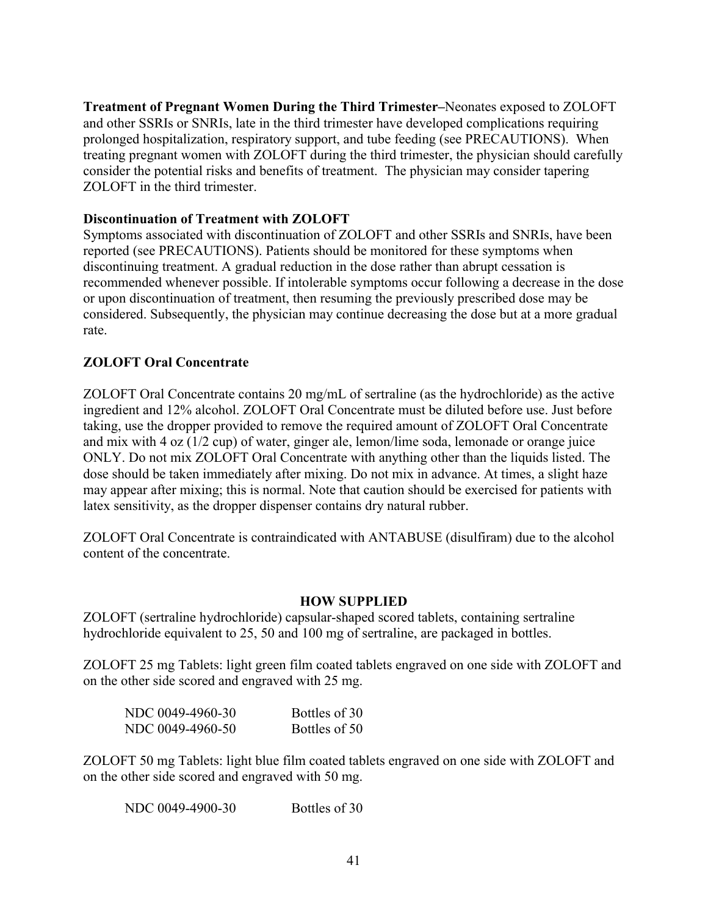**Treatment of Pregnant Women During the Third Trimester–**Neonates exposed to ZOLOFT and other SSRIs or SNRIs, late in the third trimester have developed complications requiring prolonged hospitalization, respiratory support, and tube feeding (see PRECAUTIONS). When treating pregnant women with ZOLOFT during the third trimester, the physician should carefully consider the potential risks and benefits of treatment. The physician may consider tapering ZOLOFT in the third trimester.

## **Discontinuation of Treatment with ZOLOFT**

Symptoms associated with discontinuation of ZOLOFT and other SSRIs and SNRIs, have been reported (see PRECAUTIONS). Patients should be monitored for these symptoms when discontinuing treatment. A gradual reduction in the dose rather than abrupt cessation is recommended whenever possible. If intolerable symptoms occur following a decrease in the dose or upon discontinuation of treatment, then resuming the previously prescribed dose may be considered. Subsequently, the physician may continue decreasing the dose but at a more gradual rate.

# **ZOLOFT Oral Concentrate**

ZOLOFT Oral Concentrate contains 20 mg/mL of sertraline (as the hydrochloride) as the active ingredient and 12% alcohol. ZOLOFT Oral Concentrate must be diluted before use. Just before taking, use the dropper provided to remove the required amount of ZOLOFT Oral Concentrate and mix with 4 oz (1/2 cup) of water, ginger ale, lemon/lime soda, lemonade or orange juice ONLY. Do not mix ZOLOFT Oral Concentrate with anything other than the liquids listed. The dose should be taken immediately after mixing. Do not mix in advance. At times, a slight haze may appear after mixing; this is normal. Note that caution should be exercised for patients with latex sensitivity, as the dropper dispenser contains dry natural rubber.

ZOLOFT Oral Concentrate is contraindicated with ANTABUSE (disulfiram) due to the alcohol content of the concentrate.

## **HOW SUPPLIED**

ZOLOFT (sertraline hydrochloride) capsular-shaped scored tablets, containing sertraline hydrochloride equivalent to 25, 50 and 100 mg of sertraline, are packaged in bottles.

ZOLOFT 25 mg Tablets: light green film coated tablets engraved on one side with ZOLOFT and on the other side scored and engraved with 25 mg.

| NDC 0049-4960-30 | Bottles of 30 |
|------------------|---------------|
| NDC 0049-4960-50 | Bottles of 50 |

ZOLOFT 50 mg Tablets: light blue film coated tablets engraved on one side with ZOLOFT and on the other side scored and engraved with 50 mg.

NDC 0049-4900-30 Bottles of 30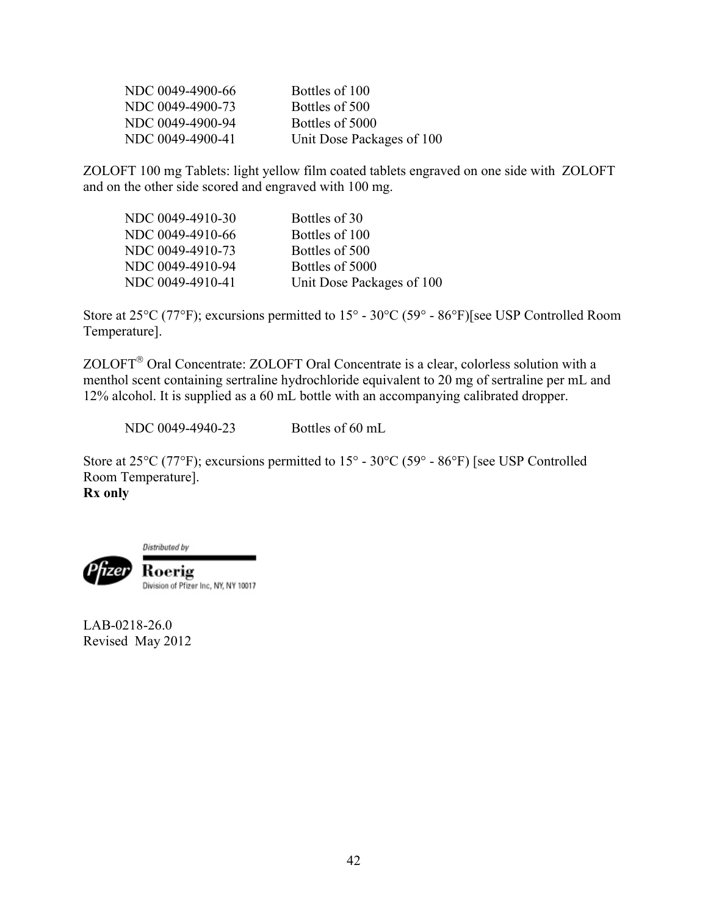| NDC 0049-4900-66 | Bottles of 100            |
|------------------|---------------------------|
| NDC 0049-4900-73 | Bottles of 500            |
| NDC 0049-4900-94 | Bottles of 5000           |
| NDC 0049-4900-41 | Unit Dose Packages of 100 |

ZOLOFT 100 mg Tablets: light yellow film coated tablets engraved on one side with ZOLOFT and on the other side scored and engraved with 100 mg.

| NDC 0049-4910-30 | Bottles of 30             |
|------------------|---------------------------|
| NDC 0049-4910-66 | Bottles of 100            |
| NDC 0049-4910-73 | Bottles of 500            |
| NDC 0049-4910-94 | Bottles of 5000           |
| NDC 0049-4910-41 | Unit Dose Packages of 100 |

Store at 25 $\rm{^{\circ}C}$  (77 $\rm{^{\circ}F}$ ); excursions permitted to 15 $\rm{^{\circ}}$  - 30 $\rm{^{\circ}C}$  (59 $\rm{^{\circ}}$  - 86 $\rm{^{\circ}F}$ ) [see USP Controlled Room Temperature].

ZOLOFT Oral Concentrate: ZOLOFT Oral Concentrate is a clear, colorless solution with a menthol scent containing sertraline hydrochloride equivalent to 20 mg of sertraline per mL and 12% alcohol. It is supplied as a 60 mL bottle with an accompanying calibrated dropper.

NDC 0049-4940-23 Bottles of 60 mL

Store at  $25^{\circ}$ C (77°F); excursions permitted to  $15^{\circ}$  - 30°C (59° - 86°F) [see USP Controlled Room Temperature].

**Rx only**

Distributed by

Roerig Division of Pfizer Inc, NY, NY 10017

LAB-0218-26.0 Revised May 2012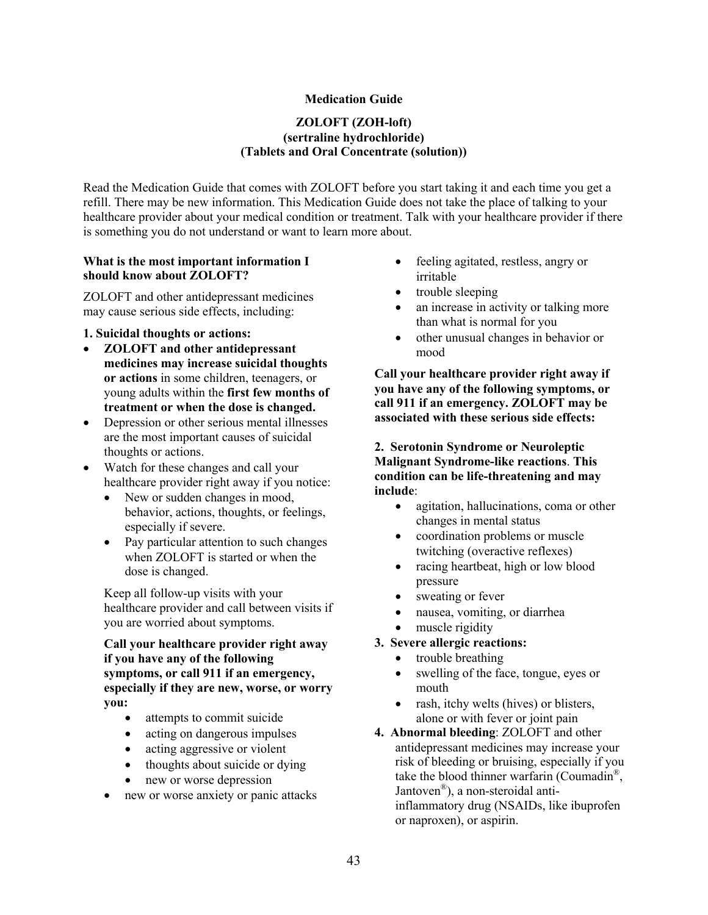#### **Medication Guide**

#### **ZOLOFT (ZOH-loft) (sertraline hydrochloride) (Tablets and Oral Concentrate (solution))**

Read the Medication Guide that comes with ZOLOFT before you start taking it and each time you get a refill. There may be new information. This Medication Guide does not take the place of talking to your healthcare provider about your medical condition or treatment. Talk with your healthcare provider if there is something you do not understand or want to learn more about.

#### **What is the most important information I should know about ZOLOFT?**

ZOLOFT and other antidepressant medicines may cause serious side effects, including:

#### **1. Suicidal thoughts or actions:**

- **ZOLOFT and other antidepressant medicines may increase suicidal thoughts or actions** in some children, teenagers, or young adults within the **first few months of treatment or when the dose is changed.**
- Depression or other serious mental illnesses are the most important causes of suicidal thoughts or actions.
- Watch for these changes and call your healthcare provider right away if you notice:
	- New or sudden changes in mood, behavior, actions, thoughts, or feelings, especially if severe.
	- Pay particular attention to such changes when ZOLOFT is started or when the dose is changed.

Keep all follow-up visits with your healthcare provider and call between visits if you are worried about symptoms.

**Call your healthcare provider right away if you have any of the following symptoms, or call 911 if an emergency, especially if they are new, worse, or worry you:**

- attempts to commit suicide
- acting on dangerous impulses
- acting aggressive or violent
- thoughts about suicide or dying
- new or worse depression
- new or worse anxiety or panic attacks
- feeling agitated, restless, angry or irritable
- trouble sleeping
- an increase in activity or talking more than what is normal for you
- other unusual changes in behavior or mood

**Call your healthcare provider right away if you have any of the following symptoms, or call 911 if an emergency. ZOLOFT may be associated with these serious side effects:**

#### **2. Serotonin Syndrome or Neuroleptic Malignant Syndrome-like reactions**. **This condition can be life-threatening and may include**:

- agitation, hallucinations, coma or other changes in mental status
- coordination problems or muscle twitching (overactive reflexes)
- racing heartbeat, high or low blood pressure
- sweating or fever
- nausea, vomiting, or diarrhea
- muscle rigidity
- **3. Severe allergic reactions:** 
	- trouble breathing
	- swelling of the face, tongue, eyes or mouth
	- rash, itchy welts (hives) or blisters, alone or with fever or joint pain
- **4. Abnormal bleeding**: ZOLOFT and other antidepressant medicines may increase your risk of bleeding or bruising, especially if you take the blood thinner warfarin (Coumadin® , Jantoven® ), a non-steroidal antiinflammatory drug (NSAIDs, like ibuprofen or naproxen), or aspirin.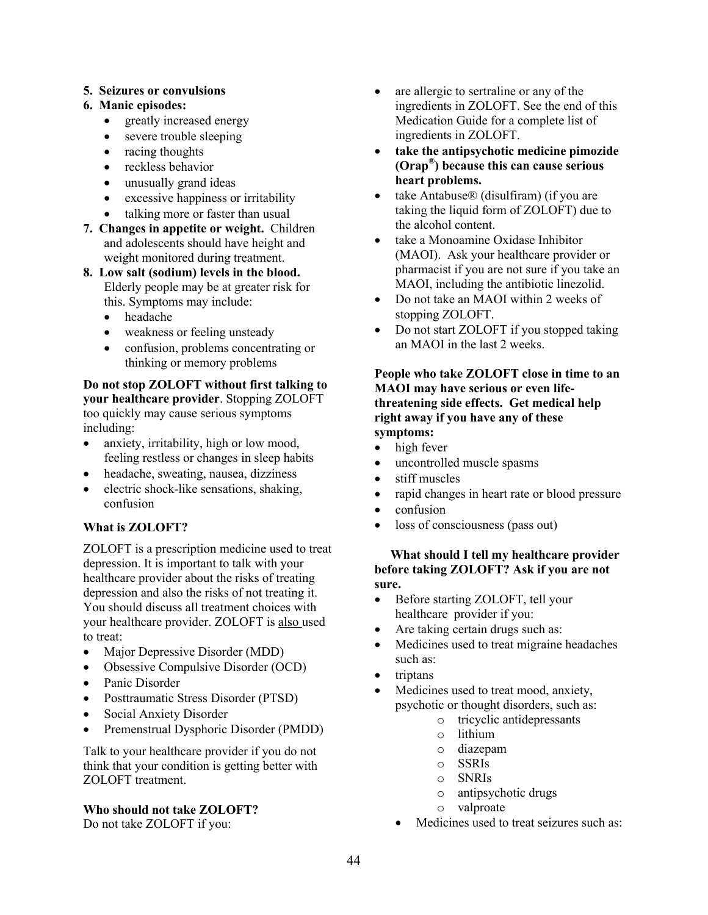#### **5. Seizures or convulsions**

## **6. Manic episodes:**

- greatly increased energy
- severe trouble sleeping
- racing thoughts
- reckless behavior
- unusually grand ideas
- excessive happiness or irritability
- talking more or faster than usual
- **7. Changes in appetite or weight.** Children and adolescents should have height and weight monitored during treatment.
- **8. Low salt (sodium) levels in the blood.**  Elderly people may be at greater risk for this. Symptoms may include:
	- headache
	- weakness or feeling unsteady
	- confusion, problems concentrating or thinking or memory problems

#### **Do not stop ZOLOFT without first talking to your healthcare provider**. Stopping ZOLOFT too quickly may cause serious symptoms including:

- anxiety, irritability, high or low mood, feeling restless or changes in sleep habits
- headache, sweating, nausea, dizziness
- electric shock-like sensations, shaking, confusion

# **What is ZOLOFT?**

ZOLOFT is a prescription medicine used to treat depression. It is important to talk with your healthcare provider about the risks of treating depression and also the risks of not treating it. You should discuss all treatment choices with your healthcare provider. ZOLOFT is also used to treat:

- Major Depressive Disorder (MDD)
- Obsessive Compulsive Disorder (OCD)
- Panic Disorder
- Posttraumatic Stress Disorder (PTSD)
- Social Anxiety Disorder
- Premenstrual Dysphoric Disorder (PMDD)

Talk to your healthcare provider if you do not think that your condition is getting better with ZOLOFT treatment.

## **Who should not take ZOLOFT?**

Do not take ZOLOFT if you:

- are allergic to sertraline or any of the ingredients in ZOLOFT. See the end of this Medication Guide for a complete list of ingredients in ZOLOFT.
- **take the antipsychotic medicine pimozide (Orap® ) because this can cause serious heart problems.**
- take Antabuse® (disulfiram) (if you are taking the liquid form of ZOLOFT) due to the alcohol content.
- take a Monoamine Oxidase Inhibitor (MAOI). Ask your healthcare provider or pharmacist if you are not sure if you take an MAOI, including the antibiotic linezolid.
- Do not take an MAOI within 2 weeks of stopping ZOLOFT.
- Do not start ZOLOFT if you stopped taking an MAOI in the last 2 weeks.

#### **People who take ZOLOFT close in time to an MAOI may have serious or even lifethreatening side effects. Get medical help right away if you have any of these symptoms:**

- high fever
- uncontrolled muscle spasms
- stiff muscles
- rapid changes in heart rate or blood pressure
- confusion
- loss of consciousness (pass out)

## **What should I tell my healthcare provider before taking ZOLOFT? Ask if you are not sure.**

- Before starting ZOLOFT, tell your healthcare provider if you:
- Are taking certain drugs such as:
- Medicines used to treat migraine headaches such as:
- triptans
- Medicines used to treat mood, anxiety, psychotic or thought disorders, such as:
	- o tricyclic antidepressants
	- o lithium
	- o diazepam
	- o SSRIs
	- o SNRIs
	- o antipsychotic drugs
	- o valproate
	- Medicines used to treat seizures such as: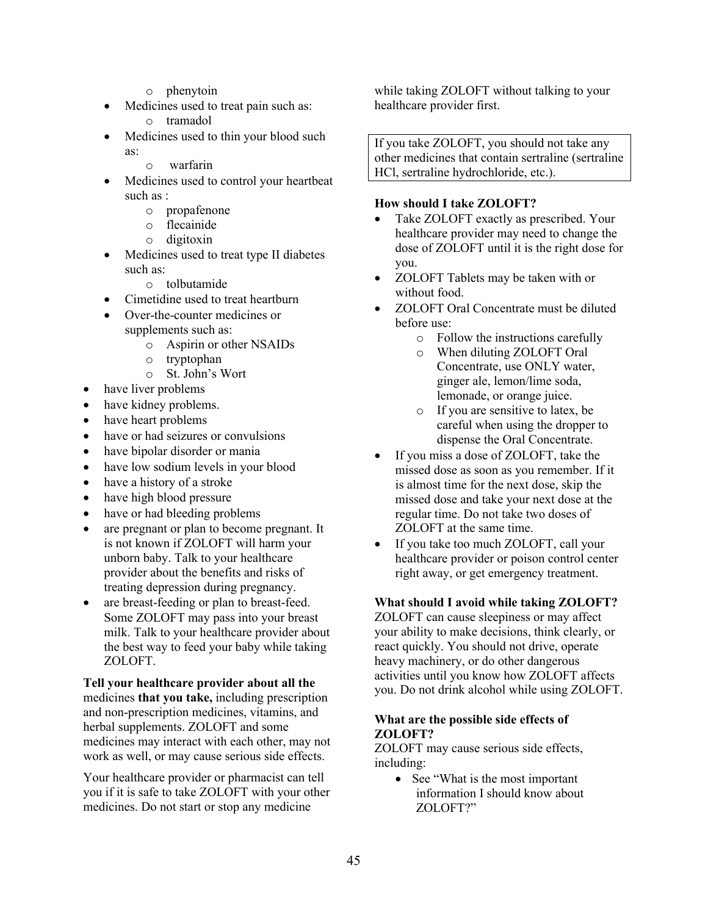- o phenytoin
- Medicines used to treat pain such as:
	- o tramadol
- Medicines used to thin your blood such as:
	- o warfarin
- Medicines used to control your heartbeat such as :
	- o propafenone
	- o flecainide
	- o digitoxin
- Medicines used to treat type II diabetes such as:
	- o tolbutamide
- Cimetidine used to treat heartburn
- Over-the-counter medicines or supplements such as:
	- o Aspirin or other NSAIDs
	- o tryptophan
	- o St. John's Wort
- have liver problems
- have kidney problems.
- have heart problems
- have or had seizures or convulsions
- have bipolar disorder or mania
- have low sodium levels in your blood
- have a history of a stroke
- have high blood pressure
- have or had bleeding problems
- are pregnant or plan to become pregnant. It is not known if ZOLOFT will harm your unborn baby. Talk to your healthcare provider about the benefits and risks of treating depression during pregnancy.
- are breast-feeding or plan to breast-feed. Some ZOLOFT may pass into your breast milk. Talk to your healthcare provider about the best way to feed your baby while taking ZOLOFT.

#### **Tell your healthcare provider about all the**  medicines **that you take,** including prescription and non-prescription medicines, vitamins, and herbal supplements. ZOLOFT and some medicines may interact with each other, may not work as well, or may cause serious side effects.

Your healthcare provider or pharmacist can tell you if it is safe to take ZOLOFT with your other medicines. Do not start or stop any medicine

while taking ZOLOFT without talking to your healthcare provider first.

If you take ZOLOFT, you should not take any other medicines that contain sertraline (sertraline HCl, sertraline hydrochloride, etc.).

## **How should I take ZOLOFT?**

- Take ZOLOFT exactly as prescribed. Your healthcare provider may need to change the dose of ZOLOFT until it is the right dose for you.
- ZOLOFT Tablets may be taken with or without food.
- ZOLOFT Oral Concentrate must be diluted before use:
	- o Follow the instructions carefully
	- o When diluting ZOLOFT Oral Concentrate, use ONLY water, ginger ale, lemon/lime soda, lemonade, or orange juice.
	- o If you are sensitive to latex, be careful when using the dropper to dispense the Oral Concentrate.
- If you miss a dose of ZOLOFT, take the missed dose as soon as you remember. If it is almost time for the next dose, skip the missed dose and take your next dose at the regular time. Do not take two doses of ZOLOFT at the same time.
- If you take too much ZOLOFT, call your healthcare provider or poison control center right away, or get emergency treatment.

#### **What should I avoid while taking ZOLOFT?**

ZOLOFT can cause sleepiness or may affect your ability to make decisions, think clearly, or react quickly. You should not drive, operate heavy machinery, or do other dangerous activities until you know how ZOLOFT affects you. Do not drink alcohol while using ZOLOFT.

### **What are the possible side effects of ZOLOFT?**

ZOLOFT may cause serious side effects, including:

• See "What is the most important information I should know about ZOLOFT?"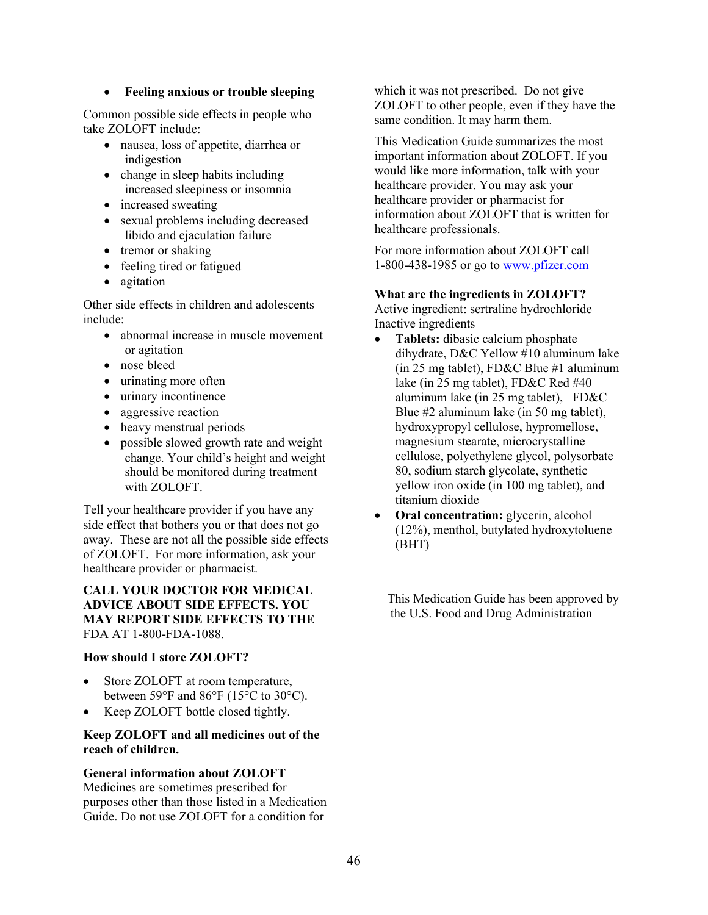#### **Feeling anxious or trouble sleeping**

Common possible side effects in people who take ZOLOFT include:

- nausea, loss of appetite, diarrhea or indigestion
- change in sleep habits including increased sleepiness or insomnia
- increased sweating
- sexual problems including decreased libido and ejaculation failure
- tremor or shaking
- feeling tired or fatigued
- agitation

Other side effects in children and adolescents include:

- abnormal increase in muscle movement or agitation
- nose bleed
- urinating more often
- urinary incontinence
- aggressive reaction
- heavy menstrual periods
- possible slowed growth rate and weight change. Your child's height and weight should be monitored during treatment with ZOLOFT.

Tell your healthcare provider if you have any side effect that bothers you or that does not go away. These are not all the possible side effects of ZOLOFT. For more information, ask your healthcare provider or pharmacist.

#### **CALL YOUR DOCTOR FOR MEDICAL ADVICE ABOUT SIDE EFFECTS. YOU MAY REPORT SIDE EFFECTS TO THE**  FDA AT 1-800-FDA-1088.

## **How should I store ZOLOFT?**

- Store ZOLOFT at room temperature, between 59°F and 86°F (15°C to 30°C).
- Keep ZOLOFT bottle closed tightly.

### **Keep ZOLOFT and all medicines out of the reach of children.**

## **General information about ZOLOFT**

Medicines are sometimes prescribed for purposes other than those listed in a Medication Guide. Do not use ZOLOFT for a condition for

which it was not prescribed.Do not give ZOLOFT to other people, even if they have the same condition. It may harm them.

This Medication Guide summarizes the most important information about ZOLOFT. If you would like more information, talk with your healthcare provider. You may ask your healthcare provider or pharmacist for information about ZOLOFT that is written for healthcare professionals.

For more information about ZOLOFT call 1-800-438-1985 or go to [www.pfizer.com](http://www.pfizer.com/)

### **What are the ingredients in ZOLOFT?**

Active ingredient: sertraline hydrochloride Inactive ingredients

- **Tablets:** dibasic calcium phosphate dihydrate, D&C Yellow #10 aluminum lake (in 25 mg tablet), FD&C Blue #1 aluminum lake (in 25 mg tablet), FD&C Red #40 aluminum lake (in 25 mg tablet), FD&C Blue #2 aluminum lake (in 50 mg tablet), hydroxypropyl cellulose, hypromellose, magnesium stearate, microcrystalline cellulose, polyethylene glycol, polysorbate 80, sodium starch glycolate, synthetic yellow iron oxide (in 100 mg tablet), and titanium dioxide
- **Oral concentration:** glycerin, alcohol (12%), menthol, butylated hydroxytoluene (BHT)

 This Medication Guide has been approved by the U.S. Food and Drug Administration